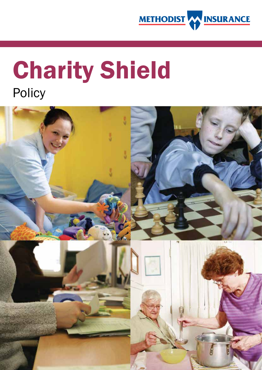

# Charity Shield Policy

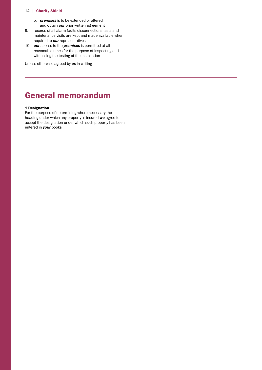- b. *premises* is to be extended or altered and obtain *our* prior written agreement
- 9. records of all alarm faults disconnections tests and maintenance visits are kept and made available when required to *our* representatives
- 10. *our* access to the *premises* is permitted at all reasonable times for the purpose of inspecting and witnessing the testing of the installation

Unless otherwise agreed by *us* in writing

# General memorandum

### 1 Designation

For the purpose of determining where necessary the heading under which any property is insured *we* agree to accept the designation under which such property has been entered in *your* books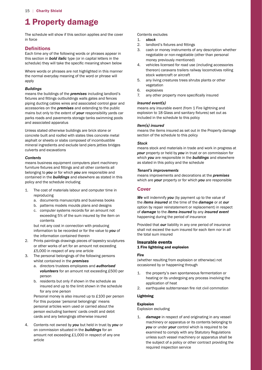# 1 Property damage

The schedule will show if this section applies and the cover in force

# **Definitions**

 schedule) they will take the specific meaning shown below Each time any of the following words or phrases appear in this section in *bold italic* type (or in capital letters in the

Where words or phrases are not highlighted in this manner the normal everyday meaning of the word or phrase will apply

#### *Buildings*

 fixtures and fittings outbuildings walls gates and fences means the buildings of the *premises* including landlord's piping ducting cables wires and associated control gear and accessories on the *premises* and extending to the public mains but only to the extent of *your* responsibility yards car parks roads and pavements storage tanks swimming pools and associated apparatus

Unless stated otherwise buildings are brick stone or concrete built and roofed with slates tiles concrete metal asphalt or sheets or slabs composed of incombustible mineral ingredients and exclude land piers jetties bridges culverts and excavations

# *Contents*

 furniture fixtures and fittings and all other contents all means business equipment computers plant machinery belonging to *you* or for which *you* are responsible and contained in the *buildings* and elsewhere as stated in this policy and the schedule including

- 1. The cost of materials labour and computer time in reproducing
	- a. documents manuscripts and business books
	- b. patterns models moulds plans and designs
	- c. computer systems records for an amount not exceeding 5% of the sum insured by the item on contents

but not any cost in connection with producing information to be recorded or for the value to *you* of the information contained therein

- £5,000 in respect of any one article 2. Prints paintings drawings pieces of tapestry sculptures or other works of art for an amount not exceeding
- 3. The personal belongings of the following persons whilst contained in the *premises* 
	- *volunteers* for an amount not exceeding £500 per a. directors trustees employees and *authorised*  person
	- b. residents but only if shown in the schedule as insured and up to the limit shown in the schedule for any one person

 Personal money is also insured up to £100 per person For this purpose 'personal belongings' means personal articles worn used or carried about the person excluding bankers' cards credit and debit cards and any belongings otherwise insured

 amount not exceeding £1,000 in respect of any one 4. Contents not owned by *you* but held in trust by *you* or on commission situated in the *buildings* for an article

# Contents excludes

- 1. *stock*
- 2. landlord's fixtures and fittings
- 3. cash or money instruments of any description whether negotiable or non-negotiable (other than personal money previously mentioned)
- 4. vehicles licensed for road use (including accessories thereon) caravans trailers railway locomotives rolling stock watercraft or aircraft
- 5. any living creatures trees shrubs plants or other vegetation
- 6. explosives
- 7. any other property more specifically insured

# *Insured event(s)*

 explosion to 18 Glass and sanitary fixtures) set out as means any insurable event (from 1 Fire lightning and included in the schedule to this policy

#### *Item(s) insured*

means the items insured as set out in the Property damage section of the schedule to this policy

#### *Stock*

means stock and materials in trade and work in progress at *your* property or held by *you* in trust or on commission for which *you* are responsible in the *buildings* and elsewhere as stated in this policy and the schedule

#### *Tenant's improvements*

means improvements and decorations at the *premises*  which are *your* property or for which *you* are responsible

# **Cover**

*We* will indemnify *you* (by payment up to the value of the *items insured* at the time of the *damage* or at *our*  option by repair reinstatement or replacement) in respect of *damage* to the *items insured* by any *insured event*  happening during the period of insurance

Provided that *our* liability in any one period of insurance shall not exceed the sum insured for each item nor in all the total sum insured

# Insurable events 1 Fire lightning and explosion

# Fire

(whether resulting from explosion or otherwise) not occasioned by or happening through

- 1. the property's own spontaneous fermentation or heating or its undergoing any process involving the application of heat
- 2. earthquake subterranean fire riot civil commotion

# Lightning

#### Explosion

Explosion excluding

damage in respect of and originating in any vessel machinery or apparatus or its contents belonging to *you* or under *your* control which is required to be examined to comply with any Statutory Regulations unless such vessel machinery or apparatus shall be the subject of a policy or other contract providing the required inspection service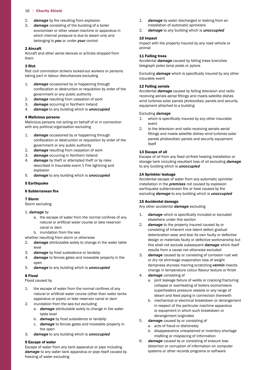- 2. *damage* by fire resulting from explosion
- 3. *damage* consisting of the bursting of a boiler economiser or other vessel machine or apparatus in which internal pressure is due to steam only and belonging to *you* or under *your* control

#### 2 Aircraft

 Aircraft and other aerial devices or articles dropped from them

#### 3 Riot

Riot civil commotion strikers locked-out workers or persons taking part in labour disturbances excluding

- $1.$  confiscation or destruction or requisition by order of the damage occasioned by or happening through government or any public authority
- 2. *damage* resulting from cessation of work
- 3. *damage* occurring in Northern Ireland
- 4. *damage* to any building which is *unoccupied*

#### 4 Malicious persons

Malicious persons not acting on behalf of or in connection with any political organisation excluding

- $1.$  confiscation or destruction or requisition by order of the damage occasioned by or happening through government or any public authority
- 2. *damage* resulting from cessation of work
- 3. *damage* occurring in Northern Ireland
- 4. *damage* by theft or attempted theft or by risks described in Insurable event 1 Fire lightning and explosion
- 5. *damage* to any building which is *unoccupied*

#### 5 Earthquake

#### 6 Subterranean fire

#### 7 Storm

Storm excluding

#### 1. *damage* by

- a. the escape of water from the normal confines of any natural or artificial water course or lake reservoir canal or dam
	- b. inundation from the sea
- whether resulting from storm or otherwise
- 2. *damage* attributable solely to change in the water table level
- 3. *damage* by frost subsidence or landslip
- 4. *damage* to fences gates and moveable property in the open
- 5. *damage* to any building which is *unoccupied*

#### 8 Flood

Flood caused by

- 1. the escape of water from the normal confines of any natural or artificial water course (other than water tanks apparatus or pipes) or lake reservoir canal or dam
- 2. inundation from the sea but excluding
	- a. *damage* attributable solely to change in the water table level
	- b. *damage* by frost subsidence or landslip
	- c. *damage* to fences gates and moveable property in the open
- 3. *damage* to any building which is *unoccupied*

#### 9 Escape of water

Escape of water from any tank apparatus or pipe including damage to any water tank apparatus or pipe itself caused by freezing of water excluding

- $1<sub>n</sub>$ damage by water discharged or leaking from an installation of automatic sprinklers
- 2. *damage* to any building which is *unoccupied*

#### 10 Impact

Impact with the property insured by any road vehicle or animal

# 11 Falling trees

Accidental *damage* caused by falling trees branches telegraph poles lamp posts or pylons

 Excluding *damage* which is specifically insured by any other insurable event

# 12 Falling aerials

 receiving aerials aerial fittings and masts satellite dishes Accidental *damage* caused by falling television and radio wind turbines solar panels photovoltaic panels and security equipment attached to a building

#### Excluding *damage*

- 1. which is specifically insured by any other insurable event
- fittings and masts satellite dishes wind turbines solar 2. to the television and radio receiving aerials aerial panels photovoltaic panels and security equipment itself

# 13 Escape of oil

 Escape of oil from any fixed oil-fired heating installation or storage tank including resultant loss of oil excluding *damage*  to any building which is *unoccupied* 

#### 14 Sprinkler leakage

 Accidental escape of water from any automatic sprinkler earthquake subterranean fire or heat caused by fire installation in the *premises* not caused by explosion excluding *damage* to any building which is *unoccupied* 

#### 15 Accidental damage

 Any other accidental *damage* excluding

- 1. *damage* which is specifically included or excluded elsewhere under this section
- 2. *damage* to the property insured caused by or consisting of inherent vice latent defect gradual deterioration wear and tear its own faulty or defective design or materials faulty or defective workmanship but this shall not exclude subsequent *damage* which itself results from a cause not otherwise excluded
- change in temperature colour flavour texture or finish 3. *damage* caused by or consisting of corrosion rust wet or dry rot shrinkage evaporation loss of weight dampness dryness marring scratching *vermin* insects
- 4. *damage* consisting of
	- a. joint leakage failure of welds or cracking fracturing collapse or overheating of boilers economisers superheaters pressure vessels or any range of steam and feed piping in connection therewith
	- b. mechanical or electrical breakdown or derangement in respect of the particular machine apparatus or equipment in which such breakdown or derangement originates
- 5. *damage* caused by or consisting of
	- a. acts of fraud or dishonesty
	- misfiling or misplacing of information b. disappearance unexplained or inventory shortage
- 6. *damage* caused by or consisting of erasure loss distortion or corruption of information on computer systems or other records programs or software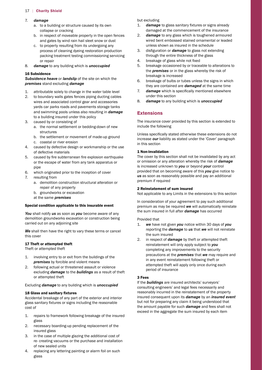#### 7. *damage*

- a. to a building or structure caused by its own collapse or cracking
- b. in respect of moveable property in the open fences and gates by wind rain hail sleet snow or dust
- c. to property resulting from its undergoing any process of cleaning dyeing restoration production packing treatment testing commissioning servicing or repair
- 8. *damage* to any building which is *unoccupied*

#### 16 Subsidence

*Subsidence heave* or *landslip* of the site on which the *premises* stand excluding *damage* 

- 1. attributable solely to change in the water table level
- 2. to boundary walls gates fences piping ducting cables wires and associated control gear and accessories yards car parks roads and pavements storage tanks and swimming pools unless also resulting in *damage*  to a building insured under this policy
- 3. caused by or consisting of
	- a. the normal settlement or bedding-down of new structures
	- b. the settlement or movement of made-up ground
	- c. coastal or river erosion
- 4. caused by defective design or workmanship or the use of defective materials
- 5. caused by fire subterranean fire explosion earthquake or the escape of water from any tank apparatus or pipe
- 6. which originated prior to the inception of cover
- 7. resulting from
	- a. demolition construction structural alteration or repair of any property
	- b. groundworks or excavation
	- at the same *premises*

#### Special condition applicable to this insurable event

*You* shall notify *us* as soon as *you* become aware of any demolition groundworks excavation or construction being carried out on any adjoining site

*We* shall then have the right to vary these terms or cancel this cover

#### 17 Theft or attempted theft

Theft or attempted theft

- 1. involving entry to or exit from the buildings of the *premises* by forcible and violent means
- 2. following actual or threatened assault or violence excluding *damage* to the *buildings* as a result of theft or attempted theft

Excluding *damage* to any building which is *unoccupied* 

#### 18 Glass and sanitary fixtures

 Accidental breakage of any part of the exterior and interior glass sanitary fixtures or signs including the reasonable cost of

- 1. repairs to framework following breakage of the insured glass
- 2. necessary boarding-up pending replacement of the insured glass
- 3. in the case of multiple glazing the additional cost of re- creating vacuums or the purchase and installation of new sealed units
- 4. replacing any lettering painting or alarm foil on such glass

but excluding

- 1. *damage* to glass sanitary fixtures or signs already damaged at the commencement of the insurance
- 2. *damage* to any glass which is toughened armoured wired bent embossed stained ornamental or leaded unless shown as insured in the schedule
- 3. disfiguration or *damage* to glass not extending through the entire thickness of the glass
- 4. breakage of glass while not fixed
- 5. breakage occasioned by or traceable to alterations to the *premises* or in the glass whereby the risk of breakage is increased
- 6. breakage of bulbs or tubes unless the signs in which they are contained are *damaged* at the same time
- 7. *damage* which is specifically mentioned elsewhere under this section
- 8. *damage* to any building which is *unoccupied*

# **Extensions**

The insurance cover provided by this section is extended to include the following

 Unless specifically stated otherwise these extensions do not increase *our* liability as stated under the 'Cover' paragraph in this section

# 1 Non-invalidation

The cover by this section shall not be invalidated by any act or omission or any alteration whereby the risk of *damage*  is increased unknown to *you* or beyond *your* control provided that on becoming aware of this *you* give notice to *us* as soon as reasonably possible and pay an additional premium if required

#### 2 Reinstatement of sum insured

Not applicable to any Limits in the extensions to this section

In consideration of your agreement to pay such additional premium as may be required *we* will automatically reinstate the sum insured in full after *damage* has occurred

#### Provided that

- 1. *we* have not given *you* notice within 30 days of *you*  reporting the *damage* to *us* that *we* will not reinstate the sum insured
- 2. in respect of *damage* by theft or attempted theft reinstatement will only apply subject to *you*  completing any improvements to the security precautions at the *premises* that *we* may require and in any event reinstatement following theft or attempted theft will apply only once during each period of insurance

### 3 Fees

If the *buildings* are insured architects' surveyors' consulting engineers' and legal fees necessarily and reasonably incurred in the reinstatement of the property insured consequent upon its *damage* by an *insured event*  but not for preparing any claim it being understood that the amount payable for such *damage* and fees shall not exceed in the aggregate the sum insured by each item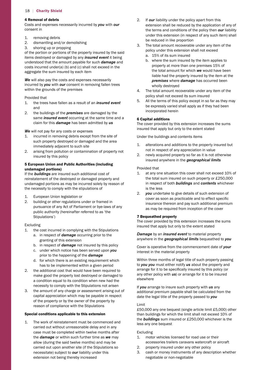#### 4 Removal of debris

Costs and expenses necessarily incurred by *you* with *our*  consent in

- 1. removing debris
- 2. dismantling and/or demolishing
- 3. shoring up or propping

of the portion or portions of the property insured by the said items destroyed or damaged by any *insured event* it being understood that the amount payable for such *damage* and costs incurred under(a) (b) and (c) shall not exceed in the aggregate the sum insured by each item

**We** will also pay the costs and expenses necessarily incurred by *you* with *our* consent in removing fallen trees within the grounds of the premises

Provided that

- 1. the trees have fallen as a result of an *insured event*  and
- 2. the buildings of the *premises* are damaged by the same *insured event* occurring at the same time and a claim for this *damage* has been admitted by *us*

*We* will not pay for any costs or expenses

- 1. incurred in removing debris except from the site of such property destroyed or damaged and the area immediately adjacent to such site
- 2. arising from pollution or contamination of property not insured by this policy

### 5 European Union and Public Authorities (including undamaged portions)

If the *buildings* are insured such additional cost of reinstatement of the destroyed or damaged property and undamaged portions as may be incurred solely by reason of the necessity to comply with the stipulations of

- 1. European Union legislation or
- pursuance of any Act of Parliament or bye-laws of any 2. building or other regulations under or framed in public authority (hereinafter referred to as 'the Stipulations')

#### Excluding

- 1. the cost incurred in complying with the Stipulations
	- a. in respect of *damage* occurring prior to the granting of this extension
	- b. in respect of *damage* not insured by this policy
	- c. under which notice has been served upon *you*  prior to the happening of the *damage*
	- d. for which there is an existing requirement which has to be implemented within a given period
- 2. the additional cost that would have been required to make good the property lost destroyed or damaged to a condition equal to its condition when new had the necessity to comply with the Stipulations not arisen
- 3. the amount of any charge or assessment arising out of capital appreciation which may be payable in respect of the property or by the owner of the property by reason of compliance with the Stipulations

#### Special conditions applicable to this extension

1. The work of reinstatement must be commenced and carried out without unreasonable delay and in any case must be completed within twelve months after the *damage* or within such further time as *we* may allow (during the said twelve months) and may be carried out upon another site (if the Stipulations so necessitate) subject to *our* liability under this extension not being thereby increased

- 2. If *our* liability under the policy apart from this extension shall be reduced by the application of any of the terms and conditions of the policy then *our* liability under this extension (in respect of any such item) shall be reduced in like proportion
- 3. The total amount recoverable under any item of the policy under this extension shall not exceed
	- a. 15% of its sum insured
	- b. where the sum insured by the item applies to property at more than one premises 15% of the total amount for which *we* would have been liable had the property insured by the item at the *premises* where *damage* has occurred been wholly destroyed
- 4. The total amount recoverable under any item of the policy shall not exceed its sum insured
- 5. All the terms of this policy except in so far as they may be expressly varied shall apply as if they had been incorporated herein

#### 6 Capital additions

The cover provided by this extension increases the sums insured that apply but only to the extent stated

Under the buildings and contents items

- 1. alterations and additions to the property insured but not in respect of any appreciation in value
- 2. newly acquired property so far as it is not otherwise insured anywhere in the *geographical limits*

#### Provided that

- 1. at any one situation this cover shall not exceed 10% of the total sum insured on such property or £250,000 in respect of both *buildings* and *contents* whichever is the less
- cover as soon as practicable and to effect specific 2. *you* undertake to give details of such extension of insurance thereon and pay such additional premium as may be required from inception of the cover

#### 7 Bequeathed property

The cover provided by this extension increases the sums insured that apply but only to the extent stated

#### *Damage* by an *insured event* to material property anywhere in the *geographical limits* bequeathed to *you*

Cover is operative from the commencement date of *your*  interest in the material property

 arrange for it to be specifically insured by this policy (or Within three months of legal title of such property passing to *you you* must either notify *us* about the property and any other policy with *us*) or arrange for it to be insured elsewhere

If *you* arrange to insure such property with *us* any additional premium payable shall be calculated from the date the legal title of the property passed to *you* 

#### Limit

 £50,000 any one bequest (single article limit £5,000) other than buildings for which the limit shall not exceed 10% of the *buildings* sum insured or £250,000 whichever is the less any one bequest

#### Excluding

- 1. motor vehicles licensed for road use or their accessories trailers caravans watercraft or aircraft
- 2. property insured under any other policy
- 3. cash or money instruments of any description whether negotiable or non-negotiable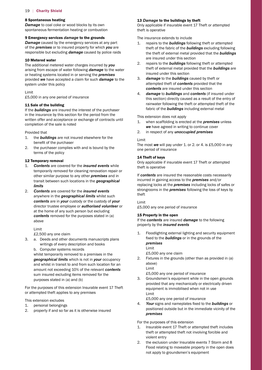#### 8 Spontaneous heating

*Damage* to coal coke or wood blocks by its own spontaneous fermentation heating or combustion

#### 9 Emergency services *damage* to the grounds

*Damage* caused by the emergency services at any part of the *premises* or to insured property for which *you* are responsible but excluding *damage* caused by police raids

#### 10 Metered water

The additional metered water charges incurred by *you*  arising from escape of water following *damage* to the water or heating systems located in or serving the *premises*  provided *we* have accepted a claim for such *damage* to the system under this policy

Limit

 £5,000 in any one period of insurance

# 11 Sale of the building

If the *buildings* are insured the interest of the purchaser in the insurance by this section for the period from the written offer and acceptance or exchange of contracts until completion of the sale is noted

Provided that

- $1.$  benefit of the purchaser the **buildings** are not insured elsewhere for the
- 2. the purchaser complies with and is bound by the terms of the policy

#### 12 Temporary removal

- 1. *Contents* are covered for the *insured events* while temporarily removed for cleaning renovation repair or other similar purpose to any other *premises* and in transit between such locations in the *geographical limits*
- 2. *Contents* are covered for the *insured events*  anywhere in the *geographical limits* whilst such *contents* are in *your* custody or the custody of *your*  director trustee employee or *authorised volunteer* or at the home of any such person but excluding *contents* removed for the purposes stated in (a) above

Limit

 £2,500 any one claim

- 3. a. Deeds and other documents manuscripts plans writings of every description and books
	- b. Computer systems records

 amount not exceeding 10% of the relevant *contents*  whilst temporarily removed to a premises in the *geographical limits* which is not in *your* occupancy and whilst in transit to and from such location for an sum insured excluding items removed for the purposes stated in (a) and (b)

For the purposes of this extension Insurable event 17 Theft or attempted theft applies to any premises

This extension excludes

- 1. personal belongings
- 2. property if and so far as it is otherwise insured

#### 13 *Damage* to the buildings by theft

Only applicable if insurable event 17 Theft or attempted theft is operative

The insurance extends to include

- 1. repairs to the *buildings* following theft or attempted theft of the fabric of the *buildings* excluding following the theft of external metal provided that the *buildings*  are insured under this section
- 2. repairs to the *buildings* following theft or attempted theft of external metal provided that the *buildings* are insured under this section
- 3. *damage* to the *buildings* caused by theft or attempted theft of *contents* provided that the *contents* are insured under this section
- 4. *damage* to *buildings* and *contents* (if insured under this section) directly caused as a result of the entry of rainwater following the theft or attempted theft of the fabric of the *buildings* including external metal

This extension does not apply

- 1. when scaffolding is erected at the *premises* unless *we* have agreed in writing to continue cover
- 2. in respect of any *unoccupied premises*

#### Limit

 The most *we* will pay under 1. or 2. or 4. is £5,000 in any one period of insurance

#### 14 Theft of keys

Only applicable if insurable event 17 Theft or attempted theft is operative

If *contents* are insured the reasonable costs necessarily incurred in gaining access to the *premises* and/or replacing locks at the *premises* including locks of safes or strongrooms in the *premises* following the loss of keys by theft

#### Limit

 £5,000 any one period of insurance

#### 15 Property in the open

If the *contents* are insured *damage* to the following property by the *insured events* 

 fixed to the *buildings* or in the grounds of the 1. Floodlighting external lighting and security equipment *premises*  Limit

 £5,000 any one claim

2. Fixtures in the grounds (other than as provided in (a) above) Limit

 £5,000 any one period of insurance

3. Groundsmen's equipment while in the open grounds provided that any mechanically or electrically driven equipment is immobilised when not in use Limit

 £5,000 any one period of insurance

 4. *Your* signs and nameplates fixed to the *buildings* or positioned outside but in the immediate vicinity of the *premises* 

For the purposes of this extension

- 1. Insurable event 17 Theft or attempted theft includes theft or attempted theft not involving forcible and violent entry
- 2. the exclusion under Insurable events 7 Storm and 8 Flood relating to moveable property in the open does not apply to groundsmen's equipment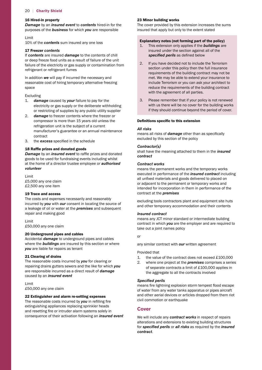#### 16 Hired-in property

*Damage* by an *insured event* to *contents* hired-in for the purposes of the *business* for which *you* are responsible

#### Limit

 10% of the *contents* sum insured any one loss

#### 17 Freezer *contents*

If *contents* are insured *damage* to the contents of chill or deep freeze food units as a result of failure of the unit failure of the electricity or gas supply or contamination from refrigerant or refrigerant fumes

In addition *we* will pay if incurred the necessary and reasonable cost of hiring temporary alternative freezing space

#### Excluding

- $1.$ damage caused by *your* failure to pay for the electricity or gas supply or the deliberate withholding or restricting of supplies by any public utility supplier
- 2. *damage* to freezer contents where the freezer or compressor is more than 15 years old unless the refrigeration unit is the subject of a current manufacturer's guarantee or an annual maintenance contract
- 3. the *excess* specified in the schedule

#### 18 Raffle prizes and donated goods

 *Damage* by an *insured event* to raffle prizes and donated goods to be used for fundraising events including whilst at the home of a director trustee employee or *authorised volunteer* 

 £5,000 any one claim £2,500 any one item Limit

#### 19 Trace and access

The costs and expenses necessarily and reasonably incurred by *you* with *our* consent in locating the source of a leakage of oil or water at the *premises* and subsequent repair and making good

 £50,000 any one claim Limit

#### 20 Underground pipes and cables

Accidental *damage* to underground pipes and cables where the *buildings* are insured by this section or where *you* are liable for repairs as tenant

#### 21 Clearing of drains

The reasonable costs incurred by *you* for clearing or repairing drains gutters sewers and the like for which *you*  are responsible incurred as a direct result of *damage*  caused by an *insured event* 

 £50,000 any one claim Limit

#### 22 Extinguisher and alarm re-setting expenses

 The reasonable costs incurred by *you* in refilling fire and resetting fire or intruder alarm systems solely in extinguishing appliances replacing sprinkler heads consequence of their activation following an *insured event* 

#### 23 Minor building works

The cover provided by this extension increases the sums insured that apply but only to the extent stated

#### Explanatory notes (not forming part of the policy)

- *specifed perils* as defined below 1. This extension only applies if the *buildings* are insured under the section against all of the
- 2. If you have decided not to include the Terrorism section under this policy then the full insurance requirements of the building contract may not be met. We may be able to extend your insurance to include Terrorism or you can ask your architect to reduce the requirements of the building contract with the agreement of all parties.
- 3. Please remember that if your policy is not renewed with us there will be no cover for the building works if they should continue beyond the period of cover.

#### Definitions specific to this extension

#### *All risks*

 means all risks of *damage* other than as specifically excluded by this section of the policy

#### *Contractor(s)*

shall have the meaning attached to them in the *insured contract* 

#### *Contract works*

 all unfixed materials and goods delivered to placed on means the permanent works and the temporary works executed in performance of the *insured contract* including or adjacent to the permanent or temporary works and intended for incorporation in them in performance of the contract at the *premises* 

excluding tools contractors plant and equipment site huts and other temporary accommodation and their contents

#### *Insured contract*

means any JCT minor standard or intermediate building contract in which *you* are the employer and are required to take out a joint names policy

or

any similar contract with *our* written agreement

#### Provided that

- 1. the value of the contract does not exceed £100,000
- of separate contracts a limit of £100,000 applies in 2. where one project at the *premises* comprises a series the aggregate to all the contracts involved

#### *Specifed perils*

 means fire lightning explosion storm tempest flood escape of water from any water tanks apparatus or pipes aircraft and other aerial devices or articles dropped from them riot civil commotion or earthquake

# **Cover**

We will include any *contract works* in respect of repairs alterations and extensions to existing building structures for *specifed perils* or *all risks* as required by the *insured contract*.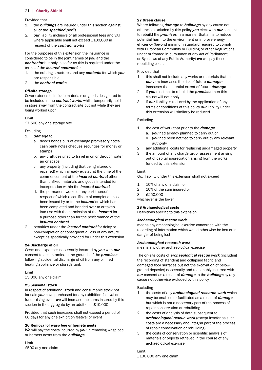Provided that

- 1. the *buildings* are insured under this section against all of the *specifed perils*
- 2. *our* liability inclusive of all professional fees and VAT where applicable shall not exceed £100,000 in respect of the *contract works*

For the purposes of this extension the insurance is considered to be in the joint names of *you* and the *contractor* but only in so far as this is required under the terms of the *insured contract* for

- 1. the existing structures and any *contents* for which *you*  are responsible
- $\mathcal{P}$ 2. the *contract works*

#### Off-site storage

Cover extends to include materials or goods designated to be included in the *contract works* whilst temporarily held in store away from the contract site but not while they are being worked upon

Limit

 £7,500 any one storage site

#### Excluding

- 1. *damage* to
	- a. deeds bonds bills of exchange promissory notes cash bank notes cheques securities for money or stamps
	- b. any craft designed to travel in on or through water air or space
	- than unfixed materials and goods intended for c. any property (including that being altered or repaired) which already existed at the time of the commencement of the *insured contract* other incorporation within the *insured contract*
	- respect of which a certificate of completion has d. the permanent works or any part thereof in been issued by or to the *Insured* or which has been completed and handed over to or taken into use with the permission of the *Insured* for a purpose other than for the performance of the *insured contract*
- except as specifically provided for under this extension 2. penalties under the *insured contract* for delay or non-completion or consequential loss of any nature

#### 24 Discharge of oil

 following accidental discharge of oil from any oil fired Costs and expenses necessarily incurred by *you* with *our*  consent to decontaminate the grounds of the *premises*  heating appliance or storage tank

 £5,000 any one claim Limit

#### 25 Seasonal stock

 section in the aggregate by an additional £10,000 In respect of additional *stock* and consumable stock not for sale *you* have purchased for any exhibition festival or fund raising event *we* will increase the sums insured by this

 60 days for any one exhibition festival or event Provided that such increases shall not exceed a period of

#### 26 Removal of wasp bee or hornets nests

*We* will pay the costs incurred by *you* in removing wasp bee or hornets nests from the *buildings* 

 £500 any one claim Limit

#### 27 Green clause

 efficiency (beyond minimum standard required to comply under or framed in pursuance of any Act of Parliament or Bye-Laws of any Public Authority) *we* will pay these Where following *damage* to *buildings* by any cause not otherwise excluded by this policy *you* elect with *our* consent to rebuild the *premises* in a manner that aims to reduce potential harm to the environment or improve energy with European Community or Building or other Regulations rebuilding costs

#### Provided that

- 1. this shall not include any works or materials that in *our* view increases the risk of future *damage* or increases the potential extent of future *damage*
- 2. if *you* elect not to rebuild the *premises* then this clause will not apply
- 3. if *our* liability is reduced by the application of any terms or conditions of this policy *our* liability under this extension will similarly be reduced

#### Excluding

- 1. the cost of work that prior to the *damage* 
	- a. *you* had already planned to carry out or
- b. *you* had been notified to carry out by any relevant authority
- 2. any additional costs for replacing undamaged property
- 3. the amount of any charge tax or assessment arising out of capital appreciation arising from the works funded by this extension

#### Limit

**Our** liability under this extension shall not exceed

- 1. 10% of any one claim or
- 2. 10% of the sum insured or
- 3. £250,000
- whichever is the lower

# 28 Archaeological costs

 Definitions specific to this extension

#### *Archaeological rescue work*

means any archaeological exercise concerned with the recording of information which would otherwise be lost or in danger of being lost

#### *Archaeological research work*

means any other archaeological exercise

 damaged floor surfaces but not the excavation of below-The on-site costs of *archaeological rescue work* (including the recording of standing and collapsed fabric and ground deposits) necessarily and reasonably incurred with *our* consent as a result of *damage* to the *buildings* by any cause not otherwise excluded by this policy

#### Excluding

- 1. the costs of any *archaeological research work* which may be enabled or facilitated as a result of *damage*  but which is not a necessary part of the process of repair conservation or rebuilding
- 2. the costs of analysis of data subsequent to *archaeological rescue work* (except insofar as such costs are a necessary and integral part of the process of repair conservation or rebuilding)
- 3. the costs of conservation or scientific analysis of materials or objects retrieved in the course of any archaeological exercise

 £100,000 any one claimLimit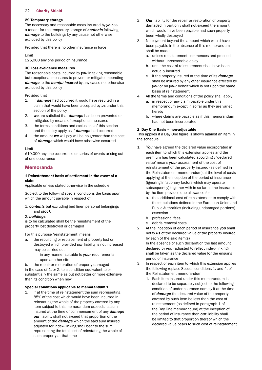#### 29 Temporary storage

The necessary and reasonable costs incurred by *you* as a tenant for the temporary storage of *contents* following *damage* to the buildings by any cause not otherwise excluded by this policy

Provided that there is no other insurance in force

Limit

 £25,000 any one period of insurance

#### 30 Loss avoidance measures

The reasonable costs incurred by *you* in taking reasonable but exceptional measures to prevent or mitigate impending *damage* to the *item(s) insured* by any cause not otherwise excluded by this policy

#### Provided that

- 1. if *damage* had occurred it would have resulted in a claim that would have been accepted by *us* under this section of the policy
- 2. *we* are satisfied that *damage* has been prevented or mitigated by means of exceptional measures
- 3. the terms conditions and exclusions of this section and the policy apply as if *damage* had occurred
- 4. the amount *we* will pay will be no greater than the cost of *damage* which would have otherwise occurred

Limit

 £10,000 any one occurrence or series of events arising out of one occurrence

# **Memoranda**

#### 1 Reinstatement basis of settlement in the event of a claim

 Applicable unless stated otherwise in the schedule

Subject to the following special conditions the basis upon which the amount payable in respect of

1. *contents* but excluding bed linen personal belongings and *stock* 

#### 2. *buildings*

is to be calculated shall be the reinstatement of the property lost destroyed or damaged

For this purpose 'reinstatement' means

- a. the rebuilding or replacement of property lost or destroyed which provided *our* liability is not increased may be carried out
	- i. in any manner suitable to *your* requirements
	- ii. upon another site

b. the repair or restoration of property damaged in the case of 1. or 2. to a condition equivalent to or substantially the same as but not better or more extensive than its condition when new

#### Special conditions applicable to memorandum 1

If at the time of reinstatement the sum representing 85% of the cost which would have been incurred in reinstating the whole of the property covered by any item subject to this memorandum exceeds its sum insured at the time of commencement of any *damage our* liability shall not exceed that proportion of the amount of the *damage* which the said sum insured adjusted for index- linking shall bear to the sum representing the total cost of reinstating the whole of such property at that time

- 2. *Our* liability for the repair or restoration of property damaged in part only shall not exceed the amount which would have been payable had such property been wholly destroyed
- 3. No payment beyond the amount which would have been payable in the absence of this memorandum shall be made
	- a. unless reinstatement commences and proceeds without unreasonable delay
	- b. until the cost of reinstatement shall have been actually incurred
	- c. if the property insured at the time of its *damage*  shall be insured by any other insurance effected by *you* or on *your* behalf which is not upon the same basis of reinstatement
- 4. All the terms and conditions of the policy shall apply
	- a. in respect of any claim payable under this memorandum except in so far as they are varied hereby
	- b. where claims are payable as if this memorandum had not been incorporated

#### 2 Day One Basis – non-adjustable

 This applies if a Day One figure is shown against an item in the schedule

- reinstatement of the property insured (as defined in (ignoring inflationary factors which may operate 1. *You* have agreed the declared value incorporated in each item to which this extension applies and the premium has been calculated accordingly 'declared value' means *your* assessment of the cost of the Reinstatement memorandum) at the level of costs applying at the inception of the period of insurance subsequently) together with in so far as the insurance by the item provides due allowance for
	- the stipulations defined in the European Union and Public Authorities (including undamaged portions) a. the additional cost of reinstatement to comply with extension
	- b. professional fees
	- c. debris removal costs
- 2. At the inception of each period of insurance *you* shall notify *us* of the declared value of the property insured by each of the said item(s)

 declared by *you* (adjusted to reflect index- linking) In the absence of such declaration the last amount shall be taken as the declared value for the ensuing period of insurance

- 3. In respect of each item to which this extension applies the following replace Special conditions 1. and 4. of the Reinstatement memorandum
	- reinstatement (as defined in paragraph 1 of 1. Each item insured under this memorandum is declared to be separately subject to the following condition of underinsurance namely if at the time of *damage* the declared value of the property covered by such item be less than the cost of the Day One memorandum) at the inception of the period of insurance then *our* liability shall be limited to that proportion thereof which the declared value bears to such cost of reinstatement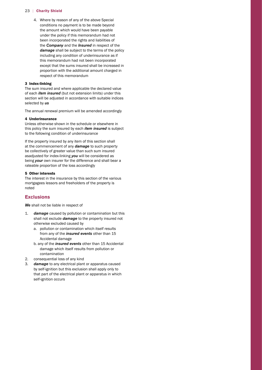4. Where by reason of any of the above Special conditions no payment is to be made beyond the amount which would have been payable under the policy if this memorandum had not been incorporated the rights and liabilities of the *Company* and the *Insured* in respect of the *damage* shall be subject to the terms of the policy including any condition of underinsurance as if this memorandum had not been incorporated except that the sums insured shall be increased in proportion with the additional amount charged in respect of this memorandum

#### 3 Index-linking

The sum insured and where applicable the declared value of each *item insured* (but not extension limits) under this section will be adjusted in accordance with suitable indices selected by *us* 

The annual renewal premium will be amended accordingly

#### 4 Underinsurance

Unless otherwise shown in the schedule or elsewhere in this policy the sum insured by each *item insured* is subject to the following condition of underinsurance

If the property insured by any item of this section shall at the commencement of any *damage* to such property be collectively of greater value than such sum insured asadjusted for index-linking *you* will be considered as being *your* own insurer for the difference and shall bear a rateable proportion of the loss accordingly

#### 5 Other interests

The interest in the insurance by this section of the various mortgagees lessors and freeholders of the property is noted

# **Exclusions**

*We* shall not be liable in respect of

- $1.$ damage caused by pollution or contamination but this shall not exclude *damage* to the property insured not otherwise excluded caused by
	- a. pollution or contamination which itself results from any of the *insured events* other than 15 Accidental damage
	- b. any of the *insured events* other than 15 Accidental damage which itself results from pollution or contamination
- 2. consequential loss of any kind
- 3. *damage* to any electrical plant or apparatus caused by self-ignition but this exclusion shall apply only to that part of the electrical plant or apparatus in which self-ignition occurs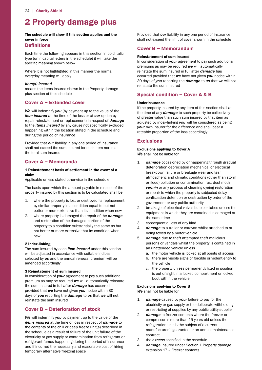# 2 Property damage plus

#### The schedule will show if this section applies and the cover in force

# **Definitions**

 specific meaning shown below Each time the following appears in this section in bold italic type (or in capital letters in the schedule) it will take the

Where it is not highlighted in this manner the normal everyday meaning will apply

#### *Item(s) insured*

means the items insured shown in the Property damage plus section of the schedule

# **Cover A – Extended cover**

 to the *items insured* by any cause not specifically excluded *We* will indemnify *you* (by payment up to the value of the *item insured* at the time of the loss or at *our* option by repair reinstatement or replacement) in respect of *damage*  happening within the location stated in the schedule and during the period of insurance

Provided that *our* liability in any one period of insurance shall not exceed the sum insured for each item nor in all the total sum insured

# **Cover A – Memoranda**

#### 1 Reinstatement basis of settlement in the event of a claim

 Applicable unless stated otherwise in the schedule

The basis upon which the amount payable in respect of the property insured by this section is to be calculated shall be

- 1. where the property is lost or destroyed its replacement by similar property in a condition equal to but not better or more extensive than its condition when new
- 2. where property is damaged the repair of the *damage*  and restoration of the damaged portion of the property to a condition substantially the same as but not better or more extensive that its condition when new

#### 2 Index-linking

The sum insured by each *item insured* under this section will be adjusted in accordance with suitable indices selected by *us* and the annual renewal premium will be amended accordingly

#### 3 Reinstatement of sum insured

 provided that *we* have not given *you* notice within 30 In consideration of *your* agreement to pay such additional premium as may be required *we* will automatically reinstate the sum insured in full after *damage* has occurred days of *you* reporting the *damage* to *us* that *we* will not reinstate the sum insured

# **Cover B – Deterioration of stock**

*We* will indemnify *you* by payment up to the value of the *items insured* at the time of loss in respect of *damage* to the contents of the chill or deep freeze unit(s) described in the schedule as a result of failure of the unit failure of the electricity or gas supply or contamination from refrigerant or refrigerant fumes happening during the period of insurance and if incurred the necessary and reasonable cost of hiring temporary alternative freezing space

Provided that *our* liability in any one period of insurance shall not exceed the limit of cover shown in the schedule

# **Cover B – Memorandum**

#### Reinstatement of sum insured

 30 days of *you* reporting the *damage* to *us* that we will not In consideration of *your* agreement to pay such additional premiums as may be required *we* will automatically reinstate the sum insured in full after *damage* has occurred provided that *we* have not given *you* notice within reinstate the sum insured

# **Special condition – Cover A & B**

#### Underinsurance

If the property insured by any item of this section shall at the time of any *damage* to such property be collectively of greater value than such sum insured by that item as adjusted by index-linking *you* will be considered as being *your* own insurer for the difference and shall bear a rateable proportion of the loss accordingly

# **Exclusions**

# Exclusions applying to Cover A

*We* shall not be liable for

- $1<sub>1</sub>$  or flood) pollution or contamination rust dust moth confiscation detention or destruction by order of the damage occasioned by or happening through gradual deterioration depreciation mechanical or electrical breakdown failure or breakage wear and tear atmospheric and climatic conditions (other than storm *vermin* or any process of cleaning dyeing restoration or repair to which the property is subjected delay government or any public authority
- 2. breakage of electrical valves bulbs or tubes unless the equipment in which they are contained is damaged at the same time
- 3. consequential loss of any kind
- 4. *damage* to a trailer or caravan whilst attached to or being towed by a motor vehicle
- 5. *damage* due to theft attempted theft malicious persons or vandals whilst the property is contained in an unattended vehicle unless
	- a. the motor vehicle is locked at all points of access
	- b. there are visible signs of forcible or violent entry to the vehicle
- c. the property unless permanently fixed in position is out of sight in a locked compartment or locked boot within the vehicle

#### Exclusions applying to Cover B

*We* shall not be liable for

- $1.$ damage caused by *your* failure to pay for the electricity or gas supply or the deliberate withholding or restricting of supplies by any public utility supplier
- 2. *damage* to freezer contents where the freezer or compressor is more than 15 years old unless the refrigeration unit is the subject of a current manufacturer's guarantee or an annual maintenance contract
- 3. the *excess* specified in the schedule
- 4. *damage* insured under Section 1 Property damage extension 17 – Freezer contents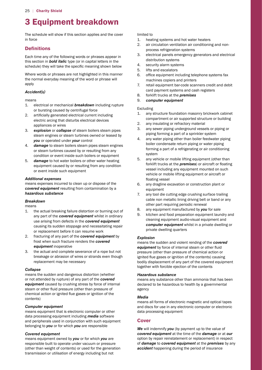# 3 Equipment breakdown

The schedule will show if this section applies and the cover in force

# **Definitions**

 schedule) they will take the specific meaning shown below Each time any of the following words or phrases appear in this section in *bold italic* type (or in capital letters in the

Where words or phrases are not highlighted in this manner the normal everyday meaning of the word or phrase will apply

# *Accident(s)*

means

- 1. electrical or mechanical *breakdown* including rupture or bursting caused by centrifugal force
- 2. artificially generated electrical current including electric arcing that disturbs electrical devices appliances or wires
- 3. *explosion* or *collapse* of steam boilers steam pipes steam engines or steam turbines owned or leased by *you* or operated under *your* control
- 4. *damage* to steam boilers steam pipes steam engines or steam turbines caused by or resulting from any condition or event inside such boilers or equipment
- 5. *damage* to hot water boilers or other water heating equipment caused by or resulting from any condition or event inside such equipment

#### *Additional expenses*

means expenses incurred to clean up or dispose of the *covered equipment* resulting from contamination by a *hazardous substance* 

# *Breakdown*

means

- 1. the actual breaking failure distortion or burning out of any part of the *covered equipment* whilst in ordinary use arising from defects in the *covered equipment*  causing its sudden stoppage and necessitating repair or replacement before it can resume work
- 2. fracturing of any part of the *covered equipment* by frost when such fracture renders the *covered equipment* inoperative
- 3. the actual and complete severance of a rope but not breakage or abrasion of wires or strands even though replacement may be necessary

# *Collapse*

 steam or other fluid pressure (other than pressure of chemical action or ignited flue gases or ignition of the means the sudden and dangerous distortion (whether or not attended by rupture) of any part of the *covered equipment* caused by crushing stress by force of internal contents)

# *Computer equipment*

means equipment that is electronic computer or other data processing equipment including *media* software and peripherals used in conjunction with such equipment belonging to *you* or for which *you* are responsible

# *Covered equipment*

means equipment owned by *you* or for which *you* are responsible built to operate under vacuum or pressure (other than weight of contents) or used for the generation transmission or utilisation of energy including but not

#### limited to

- 1. heating systems and hot water heaters
- 2. air circulation ventilation air conditioning and nonprocess refrigeration systems
- 3. electrical panels emergency generators and electrical distribution systems
- 4. security alarm systems
- 5. lifts and escalators
- 6. office equipment including telephone systems fax machines copiers and printers
- 7. retail equipment bar-code scanners credit and debit card payment systems and cash registers
- 8. forklift trucks at the *premises*
- 9. *computer equipment*

# Excluding

- 1. any structure foundation masonry brickwork cabinet compartment or air supported structure or building
- 2. any insulating or refractory material
- 3. any sewer piping underground vessels or piping or piping forming a part of a sprinkler system
- 4. any water piping other than boiler feedwater piping boiler condensate return piping or water piping forming a part of a refrigerating or air conditioning system
- forklift trucks at the *premises*) or aircraft or floating 5. any vehicle or mobile lifting equipment (other than vessel including any equipment mounted on such vehicle or mobile lifting equipment or aircraft or floating vessel
- 6. any dragline excavation or construction plant or equipment
- 7. any tool die cutting edge crushing surface trailing cable non metallic lining driving belt or band or any other part requiring periodic renewal
- 8. any equipment manufactured by *you* for sale
- 9. kitchen and food preparation equipment laundry and cleaning equipment audio-visual equipment and *computer equipment* whilst in a private dwelling or private dwelling quarters

#### *Explosion*

 *equipment* by force of internal steam or other fluid ignited flue gases or ignition of the contents) causing means the sudden and violent rending of the *covered*  pressure (other than pressure of chemical action or bodily displacement of any part of the covered equipment together with forcible ejection of the contents

#### *Hazardous substance*

means any substance other than ammonia that has been declared to be hazardous to health by a governmental agency

# *Media*

means all forms of electronic magnetic and optical tapes and discs for use in any electronic computer or electronic data processing equipment

# **Cover**

*We* will indemnify *you* (by payment up to the value of *covered equipment* at the time of the *damage* or at *our*  option by repair reinstatement or replacement) in respect of *damage* to *covered equipment* at the *premises* by any *accident* happening during the period of insurance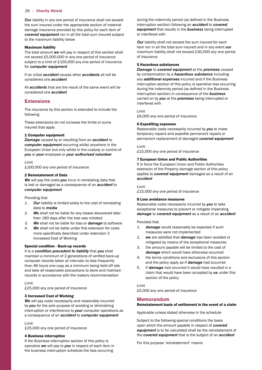**Our** liability in any one period of insurance shall not exceed the sum insured under the appropriate section of material damage insurance provided by this policy for each item of *covered equipment* nor in all the total sum insured subject to the maximum liability below

#### Maximum liability

 not exceed £5,000,000 in any one period of insurance subject to a limit of £100,000 any one period of insurance The total amount *we* will pay in respect of this section shall for *computer equipment* 

If an initial *accident* causes other *accidents* all will be considered one *accident* 

All *accidents* that are the result of the same event will be considered one *accident* 

### **Extensions**

The insurance by this section is extended to include the following

These extensions do not increase the limits or sums insured that apply

#### 1 Computer equipment

*Damage* caused by or resulting from an *accident* to *computer equipment* occurring whilst anywhere in the European Union but only whilst in the custody or control of *you* or *your* employee or *your authorised volunteer* 

#### Limit

 £100,000 any one period of insurance

#### 2 Reinstatement of Data

*We* will pay the costs *you* incur in reinstating data that is lost or damaged as a consequence of an *accident* to *computer equipment* 

Providing that

- 1. *Our* liability is limited solely to the cost of reinstating data to *media*
- than 180 days after the loss was initiated 2. *We* shall not be liable for any losses discovered later
- 3. *We* shall not be liable for loss or *damage* to software
- more specifically described under extension 3 4. *We* shall not be liable under this extension for costs Increased Cost of Working

#### Special condition - Back-up records

 maintain a minimum of 2 generations of verified back-up It is a *condition precedent to liability* that *you* shall computer records taken at intervals no less frequently than 48 hours one copy as a minimum being held off site and take all reasonable precautions to store and maintain records in accordance with the makers recommendation

#### Limit

 £25,000 any one period of insurance

#### 3 Increased Cost of Working

**We** will pay costs necessarily and reasonably incurred by *you* for the sole purpose of avoiding or diminishing interruption or interference to *your* computer operations as a consequence of an *accident* to *computer equipment* 

#### Limit

 £25,000 any one period of insurance

#### 4 Business interruption

If the Business interruption section of this policy is operative *we* will pay to *you* in respect of each item in the business interruption schedule the loss occurring

 during the indemnity period (as defined in the Business interruption section) following an *accident* to *covered equipment* that results in the *business* being interrupted or interfered with

 maximum liability shall not exceed £30,000 any one period *Our* liability shall not exceed the sum insured for each item nor in all the total sum insured and in any event *our*  of insurance

# 5 Hazardous substances

 during the indemnity period (as defined in the Business *Damage* to *covered equipment* at the *premises* caused by contamination by a *hazardous substance* including any *additional expenses* incurred and if the Business interruption section of this policy is operative loss occurring interruption section) in consequence of the *business*  carried on by *you* at the *premises* being interrupted or interfered with

 £6,000 any one period of insurance Limit

#### 6 Expediting expenses

Reasonable costs necessarily incurred by *you* to make temporary repairs and expedite permanent repairs or permanent replacement of damaged *covered equipment* 

 £15,000 any one period of insurance Limit

#### 7 European Union and Public Authorities

 If in force the European Union and Public Authorities extension of the Property damage section of this policy applies to *covered equipment* damaged as a result of an *accident* 

#### Limit

 £15,000 any one period of insurance

#### 8 Loss avoidance measures

Reasonable costs necessarily incurred by *you* to take exceptional measures to prevent or mitigate impending *damage* to *covered equipment* as a result of an *accident* 

#### Provided that

- $1<sup>1</sup>$ damage would reasonably be expected if such measures were not implemented
- 2. *we* are satisfied that *damage* has been avoided or mitigated by means of the exceptional measures
- 3. the amount payable will be limited to the cost of *damage* which would have otherwise occurred
- 4. the terms conditions and exclusions of this section and the policy apply as if *damage* had occurred
- 5. if *damage* had occurred it would have resulted in a claim that would have been accepted by *us* under this section of the policy

#### Limit

 £5,000 any one period of insurance

#### **Memorandum**

#### Reinstatement basis of settlement in the event of a claim

 Applicable unless stated otherwise in the schedule

Subject to the following special conditions the basis upon which the amount payable in respect of *covered equipment* is to be calculated shall be the reinstatement of the *covered equipment* that is the subject of an *accident* 

For this purpose 'reinstatement' means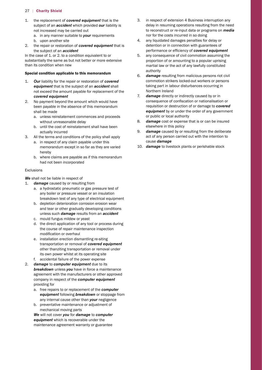- 1. the replacement of *covered equipment* that is the subject of an *accident* which provided *our* liability is not increased may be carried out
	- a. in any manner suitable to *your* requirements
	- b. upon another site
- 2. the repair or restoration of *covered equipment* that is the subject of an *accident*

In the case of 1. or 2. to a condition equivalent to or substantially the same as but not better or more extensive than its condition when new

#### Special condition applicable to this memorandum

- 1. *Our* liability for the repair or restoration of *covered equipment* that is the subject of an *accident* shall not exceed the amount payable for replacement of the *covered equipment*
- 2. No payment beyond the amount which would have been payable in the absence of this memorandum shall be made
	- a. unless reinstatement commences and proceeds without unreasonable delay
	- b. until the cost of reinstatement shall have been actually incurred
- 3. All the terms and conditions of the policy shall apply
	- a. in respect of any claim payable under this memorandum except in so far as they are varied hereby
	- b. where claims are payable as if this memorandum had not been incorporated

#### Exclusions

### *We* shall not be liable in respect of

- $1.$ damage caused by or resulting from
	- a. a hydrostatic pneumatic or gas pressure test of any boiler or pressure vessel or an insulation breakdown test of any type of electrical equipment
	- b. depletion deterioration corrosion erosion wear and tear or other gradually developing conditions unless such *damage* results from an *accident*
	- c. mould fungus mildew or yeast
	- modification or overhaul d. the direct application of any tool or process during the course of repair maintenance inspection
	- e. installation erection dismantling re-siting transportation or removal of *covered equipment*  other thanziting transportation or removal under its own power whilst at its operating site
	- f. accidental failure of the power expense
- 2. *damage* to *computer equipment* due to its *breakdown* unless *you* have in force a maintenance agreement with the manufacturers or other approved company in respect of the *computer equipment*  providing for
	- a. free repairs to or replacement of the *computer equipment* following *breakdown* or stoppage from any internal cause other than *your* negligence
	- b. preventative maintenance or adjustment of mechanical moving parts

*We* will not cover *you* for *damage* to *computer equipment* which is recoverable under the maintenance agreement warranty or guarantee

- 3. in respect of extension 4 Business interruption any delay in resuming operations resulting from the need to reconstruct or re-input data or programs on *media*  nor for the costs incurred in so doing
- performance or efficiency of *covered equipment*  4. any liquidated damages penalties for delay or detention or in connection with guarantees of
- 5. any consequence of civil commotion assuming the proportion of or amounting to a popular uprising martial law or the act of any lawfully constituted authority
- 6. *damage* resulting from malicious persons riot civil commotion strikers locked-out workers or persons taking part in labour disturbances occurring in Northern Ireland
- $7.$  consequence of confiscation or nationalisation or damage directly or indirectly caused by or in requisition or destruction of or damage to *covered equipment* by or under the order of any government or public or local authority
- 8. *damage* cost or expense that is or can be insured elsewhere in this policy
- 9. *damage* caused by or resulting from the deliberate act of any person carried out with the intention to cause *damage*
- 10. *damage* to livestock plants or perishable stock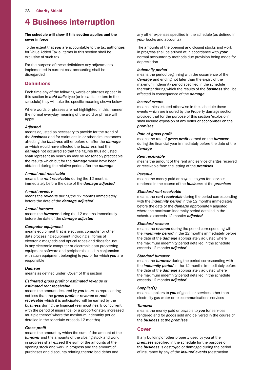# 4 Business interruption

#### The schedule will show if this section applies and the cover in force

 for Value Added Tax all terms in this section shall be To the extent that *you* are accountable to the tax authorities exclusive of such tax

 For the purpose of these definitions any adjustments implemented in current cost accounting shall be disregarded

# **Definitions**

 schedule) they will take the specific meaning shown below Each time any of the following words or phrases appear in this section in *bold italic* type (or in capital letters in the

Where words or phrases are not highlighted in this manner the normal everyday meaning of the word or phrase will apply

#### *Adjusted*

 *damage* not occurred so that the figures thus adjusted means adjusted as necessary to provide for the trend of the *business* and for variations in or other circumstances affecting the *business* either before or after the *damage*  or which would have affected the *business* had the shall represent as nearly as may be reasonably practicable the results which but for the *damage* would have been obtained during the relative period after the *damage* 

#### *Annual rent receivable*

means the *rent receivable* during the 12 months immediately before the date of the *damage adjusted* 

#### *Annual revenue*

means the *revenue* during the 12 months immediately before the date of the *damage adjusted* 

#### *Annual turnover*

means the *turnover* during the 12 months immediately before the date of the *damage adjusted* 

#### *Computer equipment*

means equipment that is electronic computer or other data processing equipment including all forms of electronic magnetic and optical tapes and discs for use in any electronic computer or electronic data processing equipment software and peripherals used in conjunction with such equipment belonging to *you* or for which *you* are responsible

#### *Damage*

 means as defined under 'Cover' of this section

#### *Estimated gross proft* or *estimated revenue* or *estimated rent receivable*

 *business* during the financial year most nearly concurrent means the amount declared by *you* to *us* as representing not less than the *gross proft* or *revenue* or *rent receivable* which it is anticipated will be earned by the with the period of insurance (or a proportionately increased multiple thereof where the maximum indemnity period detailed in the schedule exceeds 12 months)

# **Gross profit**

means the amount by which the sum of the amount of the *turnover* and the amounts of the closing stock and work in progress shall exceed the sum of the amounts of the opening stock and work in progress and the amount of purchases and discounts relating thereto bad debts and

 any other expenses specified in the schedule (as defined in *your* books and accounts)

The amounts of the opening and closing stocks and work in progress shall be arrived at in accordance with *your*  normal accountancy methods due provision being made for depreciation

#### *Indemnity period*

 maximum indemnity period specified in the schedule means the period beginning with the occurrence of the *damage* and ending not later than the expiry of the thereafter during which the results of the *business* shall be affected in consequence of the *damage* 

#### *Insured events*

means unless stated otherwise in the schedule those events which are insured by the Property damage section provided that for the purpose of this section 'explosion' shall include explosion of any boiler or economiser on the *premises* 

#### *Rate of gross proft*

 during the financial year immediately before the date of the means the rate of *gross proft* earned on the *turnover damage* 

### *Rent receivable*

means the amount of the rent and service charges received or receivable from the letting of the *premises* 

#### *Revenue*

means the money paid or payable to *you* for services rendered in the course of the *business* at the *premises* 

#### *Standard rent receivable*

means the *rent receivable* during the period corresponding with the *indemnity period* in the 12 months immediately before the date of the *damage* appropriately adjusted where the maximum indemnity period detailed in the schedule exceeds 12 months *adjusted* 

### *Standard revenue*

means the *revenue* during the period corresponding with the *indemnity period* in the 12 months immediately before the date of the *damage* appropriately adjusted where the maximum indemnity period detailed in the schedule exceeds 12 months *adjusted* 

#### *Standard turnover*

means the *turnover* during the period corresponding with the *indemnity period* in the 12 months immediately before the date of the *damage* appropriately adjusted where the maximum indemnity period detailed in the schedule exceeds 12 months *adjusted* 

# *Supplier(s)*

means suppliers to *you* of goods or services other than electricity gas water or telecommunications services

#### *Turnover*

means the money paid or payable to *you* for services rendered and for goods sold and delivered in the course of the *business* at the *premises* 

# **Cover**

 *premises* specified in the schedule for the purpose of If any building or other property used by you at the the *business* is destroyed or damaged during the period of insurance by any of the *insured events* (destruction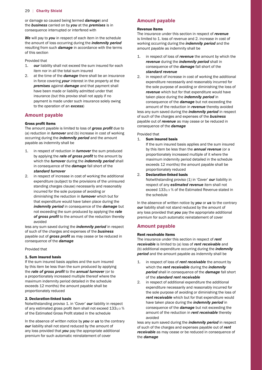or damage so caused being termed *damage*) and the *business* carried on by *you* at the *premises* is in consequence interrupted or interfered with

*We* will pay to *you* in respect of each item in the schedule the amount of loss occurring during the *indemnity period*  resulting from such *damage* in accordance with the terms of this section

Provided that

- 1. *our* liability shall not exceed the sum insured for each item nor in all the total sum insured
- 2. at the time of the *damage* there shall be an insurance in force covering *your* interest in the property at the *premises* against *damage* and that payment shall have been made or liability admitted under that insurance (but this proviso shall not apply if no payment is made under such insurance solely owing to the operation of an *excess*)

# **Amount payable**

#### Gross profit items

The amount payable is limited to loss of *gross proft* due to (a) reduction in *turnover* and (b) increase in cost of working occurring during the *indemnity period* and the amount payable as indemnity shall be

- 1. in respect of reduction in *turnover* the sum produced by applying the *rate of gross proft* to the amount by which the *turnover* during the *indemnity period* shall in consequence of the *damage* fall short of the *standard turnover*
- 2. in respect of increase in cost of working the additional expenditure (subject to the provisions of the uninsured standing charges clause) necessarily and reasonably incurred for the sole purpose of avoiding or diminishing the reduction in *turnover* which but for that expenditure would have taken place during the *indemnity period* in consequence of the *damage* but not exceeding the sum produced by applying the *rate of gross proft* to the amount of the reduction thereby avoided

less any sum saved during the *indemnity period* in respect of such of the charges and expenses of the *business*  payable out of *gross proft* as may cease or be reduced in consequence of the *damage* 

Provided that

#### 1. Sum insured basis

If the sum insured basis applies and the sum insured by this item be less than the sum produced by applying the *rate of gross proft* to the *annual turnover* (or to a proportionately increased multiple thereof where the maximum indemnity period detailed in the schedule exceeds 12 months) the amount payable shall be proportionately reduced

#### 2. Declaration-linked basis

 of any estimated gross profit item shall not exceed 1331/3 % of the Estimated Gross Profit stated in the schedule Notwithstanding proviso 1. in 'Cover' *our* liability in respect

In the absence of written notice by *you* or *us* to the contrary *our* liability shall not stand reduced by the amount of any loss provided that *you* pay the appropriate additional premium for such automatic reinstatement of cover

# **Amount payable**

#### Revenue items

The insurance under this section in respect of *revenue*  is limited to 1. loss of revenue and 2. increase in cost of working occurring during the *indemnity period* and the amount payable as indemnity shall be

- 1. in respect of loss of *revenue* the amount by which the *revenue* during the *indemnity period* shall in consequence of the *damage* fall short of the *standard revenue*
- 2. in respect of increase in cost of working the additional expenditure necessarily and reasonably incurred for the sole purpose of avoiding or diminishing the loss of *revenue* which but for that expenditure would have taken place during the *indemnity period* in consequence of the *damage* but not exceeding the amount of the reduction in *revenue* thereby avoided less any sum saved during the *indemnity period* in respect of such of the charges and expenses of the *business*

payable out of *revenue* as may cease or be reduced in consequence of the *damage* 

#### Provided that

 $1<sub>1</sub>$ Sum insured basis

> If the sum insured basis applies and the sum insured by this item be less than the *annual revenue* (or a proportionately increased multiple of it where the maximum indemnity period detailed in the schedule exceeds 12 months) the amount payable shall be proportionately reduced

2. Declaration-linked basis

Notwithstanding proviso (1) in 'Cover' *our* liability in respect of any *estimated revenue* item shall not exceed 1331/3 % of the Estimated Revenue stated in the schedule

In the absence of written notice by *you* or *us* to the contrary *our* liability shall not stand reduced by the amount of any loss provided that *you* pay the appropriate additional premium for such automatic reinstatement of cover

# **Amount payable**

#### Rent receivable items

The insurance under this section in respect of *rent receivable* is limited to (a) loss of *rent receivable* and (b) additional expenditure occurring during the *indemnity period* and the amount payable as indemnity shall be

- 1. in respect of loss of *rent receivable* the amount by which the *rent receivable* during the *indemnity period* shall in consequence of the *damage* fall short of the *standard rent receivable*
- 2. in respect of additional expenditure the additional expenditure necessarily and reasonably incurred for the sole purpose of avoiding or diminishing the loss of *rent receivable* which but for that expenditure would have taken place during the *indemnity period* in consequence of the *damage* but not exceeding the amount of the reduction in *rent receivable* thereby avoided

less any sum saved during the *indemnity period* in respect of such of the charges and expenses payable out of *rent receivable* as may cease or be reduced in consequence of the *damage*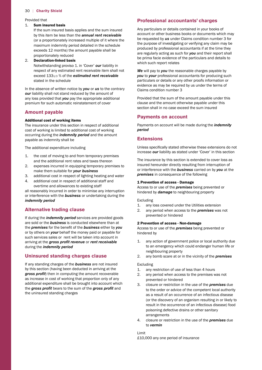#### Provided that

#### 1. Sum insured basis

If the sum insured basis applies and the sum insured by this item be less than the *annual rent receivable*  (or a proportionately increased multiple of it where the maximum indemnity period detailed in the schedule exceeds 12 months) the amount payable shall be proportionately reduced

#### 2. Declaration-linked basis

Notwithstanding proviso 1. in 'Cover' *our* liability in respect of any estimated rent receivable item shall not exceed 1331/3 % of the *estimated rent receivable*  stated in the schedule

In the absence of written notice by *you* or *us* to the contrary *our* liability shall not stand reduced by the amount of any loss provided that *you* pay the appropriate additional premium for such automatic reinstatement of cover

#### **Amount payable**

#### Additional cost of working items

The insurance under this section in respect of additional cost of working is limited to additional cost of working occurring during the *indemnity period* and the amount payable as indemnity shall be

The additional expenditure including

- 1. the cost of moving to and from temporary premises and the additional rent rates and taxes thereon
- 2. expenses incurred in equipping temporary premises to make them suitable for *your business*
- 3. additional cost in respect of lighting heating and water
- 4. additional cost in respect of additional staff and
- overtime and allowances to existing staff all reasonably incurred in order to minimise any interruption or interference with the *business* or undertaking during the *indemnity period*

# **Alternative trading clause**

 the *premises* for the benefit of the *business* either by *you*  If during the *indemnity period* services are provided goods are sold or the *business* is conducted elsewhere than at or by others on *your* behalf the money paid or payable for such services sales or rent will be taken into account in arriving at the *gross proft revenue* or *rent receivable*  during the *indemnity period* 

# **Uninsured standing charges clause**

If any standing charges of the *business* are not insured by this section (having been deducted in arriving at the *gross proft*) then in computing the amount recoverable as increase in cost of working that proportion only of any additional expenditure shall be brought into account which the *gross proft* bears to the sum of the *gross proft* and the uninsured standing charges

# **Professional accountants' charges**

 Any particulars or details contained in your books of account or other business books or documents which may be requested by *us* under Claims condition number 3 for the purpose of investigating or verifying any claim may be produced by professional accountants if at the time they are regularly acting as such for *you* and their report shall be prima facie evidence of the particulars and details to which such report relates

*We* will pay to *you* the reasonable charges payable by *you* to *your* professional accountants for producing such particulars or details or any other proofs information or evidence as may be required by us under the terms of Claims condition number 3

Provided that the sum of the amount payable under this clause and the amount otherwise payable under this section shall in no case exceed the sum insured

# **Payments on account**

Payments on account will be made during the *indemnity period* 

#### **Extensions**

 Unless specifically stated otherwise these extensions do not increase *our* liability as stated under 'Cover' in this section

The insurance by this section is extended to cover loss as insured hereunder directly resulting from interruption of or interference with the *business* carried on by *you* at the *premises* in consequence of the following

#### 1 Prevention of access - Damage

 Access to or use of the *premises* being prevented or hindered by *damage* to neighbouring property

Excluding

- 1. any loss covered under the Utilities extension
- 2. any period when access to the *premises* was not prevented or hindered

#### 2 Prevention of access - Non-damage

 Access to or use of the *premises* being prevented or hindered by

- 1. any action of government police or local authority due to an emergency which could endanger human life or neighbouring property
- 2. any bomb scare at or in the vicinity of the *premises*

#### Excluding

- 1. any restriction of use of less than 4 hours
- 2. any period when access to the premises was not prevented or hindered
- 3. closure or restriction in the use of the *premises* due to the order or advice of the competent local authority as a result of an occurrence of an infectious disease (or the discovery of an organism resulting in or likely to result in the occurrence of an infectious disease) food poisoning defective drains or other sanitary arrangements
- 4. closure or restriction in the use of the *premises* due to *vermin*

 £10,000 any one period of insuranceLimit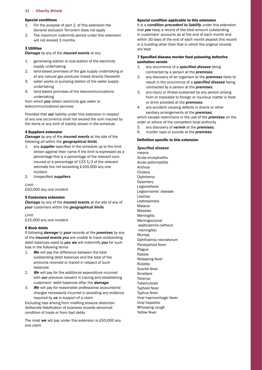### Special conditions

- 1. For the purpose of part 2. of this extension the General exclusion Terrorism does not apply
- 2. The maximum indemnity period under this extension will not exceed 3 months

#### 3 Utilities

*Damage* by any of the *insured events* at any

- 1. generating station or sub-station of the electricity supply undertaking
- 2. land-based premises of the gas supply undertaking or of any natural gas producer linked directly therewith
- 3. water works or pumping station of the water supply undertaking
- 4. land-based premises of the telecommunications undertaking

from which *you* obtain electricity gas water or telecommunications services

Provided that *our* liability under this extension in respect of any one occurrence shall not exceed the sum insured by the items or any limit of liability shown in the schedule

#### 4 Suppliers extension

*Damage* by any of the *insured events* at the site of the following all within the *geographical limits* 

- 1. any *supplier* specified in the schedule up to the limit estimate but not exceeding £100,000 any one shown against their name If the limit is expressed as a percentage this is a percentage of the relevant sum insured or a percentage of 133 1/3 of the relevant incident
- $2<sub>1</sub>$ 2. Unspecified *suppliers*

#### Limit

 £50,000 any one incident

#### 5 Customers extension

*Damage* by any of the *insured events* at the site of any of *your* customers within the *geographical limits* 

#### Limit

 £15,000 any one incident

#### 6 Book debts

If following *damage* to *your* records at the *premises* by any of the *insured events you* are unable to trace outstanding debit balances owed to *you we* will indemnify *you* for such loss in the following terms

- $1.$ We will pay the difference between the total outstanding debit balances and the total of the amounts received or traced in respect of such balances
- 2. *We* will pay for the additional expenditure incurred with *our* previous consent in tracing and establishing customers' debit balances after the *damage*
- 3. *We* will pay for reasonable professional accountants' charges necessarily incurred in providing any evidence required by *us* in support of a claim

 Excluding loss arising from misfiling erasure distortion deliberate falsification of business records abnormal condition of trade or from bad debts

 The most *we* will pay under this extension is £50,000 any one claim

#### Special condition applicable to this extension

 within 30 days of the end of each month deposit this record It is a *condition precedent to liability* under this extension that *you* keep a record of the total amount outstanding in customers' accounts as at the end of each month and in a building other than that in which the original records are kept

#### 7 Specified disease murder food poisoning defective sanitation vermin

- 1. any occurrence of a *specifed disease* being contracted by a person at the *premises*;
- 2. any discovery of an organism at the *premises* likely to result in the occurrence of a *specifed disease* being contracted by a person at the *premises*;
- 3. any injury or illness sustained by any person arising from or traceable to foreign or injurious matter in food or drink provided at the *premises*;
- 4. any accident causing defects in drains or other sanitary arrangements at the *premises*;

which causes restrictions in the use of the *premises* on the order or advice of the competent local authority

- 5. any discovery of *vermin* at the *premises*;
- 6. murder rape or suicide at the *premises*

#### Definition specific to this extension

*Specifed disease* 

means Acute encephalitis Acute poliomyelitis Anthrax Cholera Diphtheria **Dysentery** Legionellosis Legionnaires' disease Leprosy Leptospirosis Malaria Measles Meningitis Meningococcal septicaemia (without meningitis) Mumps Ophthalmia neonatorum Paratyphoid fever Plague Rabies Relapsing fever Rubella Scarlet fever **Smallpox Tetanus Tuberculosis** Typhoid fever Typhus fever Viral haemorrhagic fever Viral hepatitis Whooping cough Yellow fever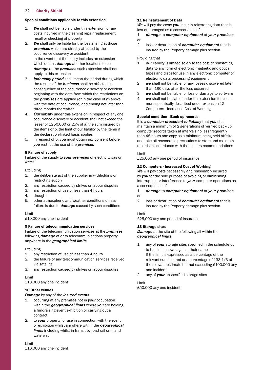#### Special conditions applicable to this extension

- 1. *We* shall not be liable under this extension for any costs incurred in the cleaning repair replacement recall or checking of property
- 2. *We* shall only be liable for the loss arising at those *premises* which are directly affected by the occurrence discovery or accident In the event that the policy includes an extension which deems *damage* at other locations to be *damage* at the *premises* such extension shall not apply to this extension
- 3. *Indemnity period* shall mean the period during which the results of the *business* shall be affected in consequence of the occurrence discovery or accident beginning with the date from which the restrictions on the *premises* are applied (or in the case of (f) above with the date of occurrence) and ending not later than three months thereafter
- lesser of £250,000 or 25% of a. the sum insured by 4. *Our* liability under this extension in respect of any one occurrence discovery or accident shall not exceed the the items or b. the limit of our liability by the items if the declaration-linked basis applies
- 5. in respect of 5. *you* must obtain *our* consent before *you* restrict the use of the *premises*

#### 8 Failure of supply

Failure of the supply to *your premises* of electricity gas or water

Excluding

- 1. the deliberate act of the supplier in withholding or restricting supply
- 2. any restriction caused by strikes or labour disputes
- 3. any restriction of use of less than 4 hours
- 4. drought
- 5. other atmospheric and weather conditions unless failure is due to *damage* caused by such conditions

#### Limit

 £10,000 any one incident

#### 9 Failure of telecommunication services

Failure of the telecommunication services at the *premises*  following *damage* of or to telecommunications property anywhere in the *geographical limits* 

#### Excluding

- 1. any restriction of use of less than 4 hours
- 2. the failure of any telecommunication services received via satellite
- 3. any restriction caused by strikes or labour disputes

#### Limit

 £10,000 any one incident

#### 10 Other venues

*Damage* by any of the *insured events* 

- 1. occurring at any premises not in *your* occupation within the *geographical limits* where *you* are holding a fundraising event exhibition or carrying out a contract
- 2. to *your* property for use in connection with the event or exhibition whilst anywhere within the *geographical limits* including whilst in transit by road rail or inland waterway

 £10,000 any one incident Limit

# 11 Reinstatement of Data

*We* will pay the costs *you* incur in reinstating data that is lost or damaged as a consequence of

- $1<sub>1</sub>$ 1. *damage* to *computer equipment* at *your premises*
- or
- 2. loss or destruction of *computer equipment* that is insured by the Property damage plus section

#### Providing that

- $\mathbf{1}$ . our liability is limited solely to the cost of reinstating data to any form of electronic magnetic and optical tapes and discs for use in any electronic computer or electronic data processing equipment
- than 180 days after the loss occurred 2. *we* shall not be liable for any losses discovered later
- 3. *we* shall not be liable for loss or damage to software
- more specifically described under extension 12 4. *we* shall not be liable under this extension for costs Computers - Increased Cost of Working

#### Special condition - Back-up records

 maintain a minimum of 2 generations of verified back-up It is a *condition precedent to liability* that *you* shall computer records taken at intervals no less frequently than 48 hours one copy as a minimum being held off site and take all reasonable precautions to store and maintain records in accordance with the makers recommendations

#### Limit

 £25,000 any one period of insurance

#### 12 Computers - Increased Cost of Working

**We** will pay costs necessarily and reasonably incurred by *you* for the sole purpose of avoiding or diminishing interruption or interference to *your* computer operations as a consequence of

- $1<sub>1</sub>$ 1. *damage* to *computer equipment* at *your premises*  or
- 
- 2. loss or destruction of *computer equipment* that is insured by the Property damage plus section

#### Limit

 £25,000 any one period of insurance

#### 13 Storage sites

*Damage* at the site of the following all within the *geographical limits* 

- 1. any of *your* storage sites specified in the schedule up the relevant estimate but not exceeding £100,000 any to the limit shown against their name If the limit is expressed as a percentage of the relevant sum insured or a percentage of 133 1/3 of one incident
- 2. any of *your* unspecified storage sites

# Limit

 £50,000 any one incident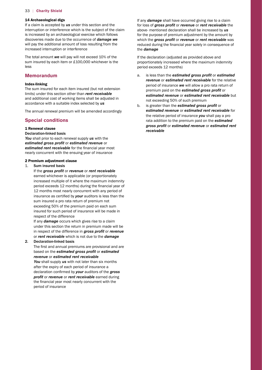#### 14 Archaeological digs

If a claim is accepted by *us* under this section and the interruption or interference which is the subject of the claim is increased by an archaeological exercise which follows discoveries made due to the occurrence of *damage we*  will pay the additional amount of loss resulting from the increased interruption or interference

 The total amount *we* will pay will not exceed 10% of the sum insured by each item or £100,000 whichever is the less

# **Memorandum**

#### Index-linking

The sum insured for each item insured (but not extension limits) under this section other than *rent receivable*  and additional cost of working items shall be adjusted in accordance with a suitable index selected by *us* 

The annual renewal premium will be amended accordingly

# **Special conditions**

#### 1 Renewal clause

Declaration-linked basis

 *estimated rent receivable* for the financial year most *You* shall prior to each renewal supply *us* with the *estimated gross proft* or *estimated revenue* or nearly concurrent with the ensuing year of insurance

#### 2 Premium adjustment clause

#### $1 \quad$ Sum insured basis

 period exceeds 12 months) during the financial year of insurance as certified by *your* auditors is less than the exceeding 50% of the premium paid on each sum If the *gross proft* or *revenue* or *rent receivable*  earned whichever is applicable (or proportionately increased multiple of it where the maximum indemnity 12 months most nearly concurrent with any period of sum insured a pro rata return of premium not insured for such period of insurance will be made in respect of the difference

If any *damage* occurs which gives rise to a claim under this section the return in premium made will be in respect of the difference in *gross proft* or *revenue*  or *rent receivable* which is not due to the *damage* 

#### 2. Declaration-linked basis

 The first and annual premiums are provisional and are revenue or estimated rent receivable based on the *estimated gross proft* or *estimated* 

 declaration confirmed by *your* auditors of the *gross*  the financial year most nearly concurrent with the You shall supply us with not later than six months after the expiry of each period of insurance a *profit or revenue or rent receivable earned during* period of insurance

 reduced during the financial year solely in consequence of If any *damage* shall have occurred giving rise to a claim for loss of *gross proft* or *revenue* or *rent receivable* the above- mentioned declaration shall be increased by *us*  for the purpose of premium adjustment by the amount by which the *gross proft* or *revenue* or *rent receivable* was the *damage* 

If the declaration (adjusted as provided above and proportionately increased where the maximum indemnity period exceeds 12 months)

- not exceeding 50% of such premium a. is less than the *estimated gross proft* or *estimated revenue* or *estimated rent receivable* for the relative period of insurance *we* will allow a pro rata return of premium paid on the *estimated gross proft* or *estimated revenue* or *estimated rent receivable* but
- b. is greater than the *estimated gross proft* or *estimated revenue* or *estimated rent receivable* for the relative period of insurance *you* shall pay a pro rata addition to the premium paid on the *estimated gross proft* or *estimated revenue* or *estimated rent receivable*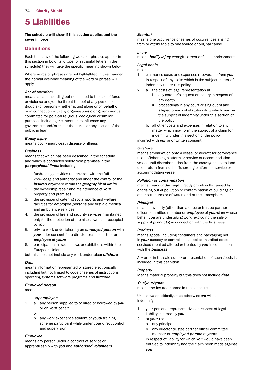# 5 Liabilities

The schedule will show if this section applies and the cover in force

# **Definitions**

 schedule) they will take the specific meaning shown below Each time any of the following words or phrases appear in this section in bold italic type (or in capital letters in the

Where words or phrases are not highlighted in this manner the normal everyday meaning of the word or phrase will apply

# *Act of terrorism*

 purposes including the intention to influence any means an act including but not limited to the use of force or violence and/or the threat thereof of any person or group(s) of persons whether acting alone or on behalf of or in connection with any organisation(s) or government(s) committed for political religious ideological or similar government and/or to put the public or any section of the public in fear

#### *Bodily injury*

means bodily injury death disease or illness

#### *Business*

means that which has been described in the schedule and which is conducted solely from premises in the *geographical limits* including

- 1. fundraising activities undertaken with the full knowledge and authority and under the control of the *Insured* anywhere within the *geographical limits*
- 2. the ownership repair and maintenance of *your*  property and premises
- facilities for *employed persons* and first aid medical 3. the provision of catering social sports and welfare and ambulance services
- 4. the provision of fire and security services maintained only for the protection of premises owned or occupied by *you*
- 5. private work undertaken by an *employed person* with *your* prior consent for a director trustee partner or *employee* of *yours*
- 6. participation in trade shows or exhibitions within the European Union

but this does not include any work undertaken *offshore* 

#### *Data*

 operating systems software programs and firmware means information represented or stored electronically including but not limited to code or series of instructions

#### *Employed person*

means

- 1. any *employee*
- 2. a. any person supplied to or hired or borrowed by *you*  or on *your* behalf
	- or
	- b. any work experience student or youth training scheme participant while under *your* direct control and supervision

#### *Employee*

means any person under a contract of service or apprenticeship with *you* and *authorised volunteers* 

# *Event(s)*

means one occurrence or series of occurrences arising from or attributable to one source or original cause

# *Injury*

means *bodily injury* wrongful arrest or false imprisonment

### *Legal costs*

means

- 1. claimant's costs and expenses recoverable from *you*  in respect of any claim which is the subject matter of indemnity under this policy
- $2<sub>1</sub>$ a. the costs of legal representation at
	- i. any coroner's inquest or inquiry in respect of any death
	- ii. proceedings in any court arising out of any alleged breach of statutory duty which may be the subject of indemnity under this section of the policy
	- b. all other costs and expenses in relation to any matter which may form the subject of a claim for indemnity under this section of the policy

incurred with *our* prior written consent

# *Offshore*

means embarkation onto a vessel or aircraft for conveyance to an offshore rig platform or service or accommodation vessel until disembarkation from the conveyance onto land upon return from such offshore rig platform or service or accommodation vessel

# *Pollution or contamination*

means *injury* or *damage* directly or indirectly caused by or arising out of pollution or contamination of buildings or other structures or of water land or the atmosphere

# *Principal*

 officer committee member or *employee* of *yours*) on whose means any party (other than a director trustee partner behalf *you* are undertaking work (excluding the sale or supply of *products*) in connection with the *business* 

# *Products*

means goods (including containers and packaging) not in *your* custody or control sold supplied installed erected serviced repaired altered or treated by *you* in connection with the *business* 

 Any error in the sale supply or presentation of such goods is included in this definition

# *Property*

Means material property but this does not include *data* 

# *You/your/yours*

means the Insured named in the schedule

 Unless *we* specifically state otherwise *we* will also indemnify

- 1. your personal representatives in respect of legal liability incurred by *you*
- 2. at *your* request
	- a. any principal
- b. any director trustee partner officer committee member or *employed person* of *yours*

in respect of liability for which *you* would have been entitled to indemnity had the claim been made against *you*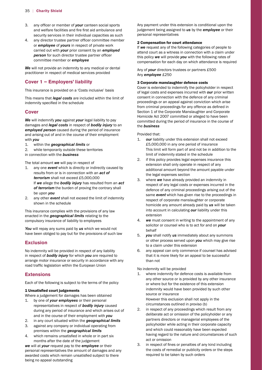- 3. any officer or member of *your* canteen social sports and welfare facilities and fire first aid ambulance and security services in their individual capacities as such
- 4. any director trustee partner officer committee member *person* for such director trustee partner officer or *employee* of *yours* in respect of private work carried out with *your* prior consent by an *employed*  committee member or *employee*

*We* will not provide an indemnity to any medical or dental practitioner in respect of medical services provided

# **Cover 1 – Employers' liability**

This insurance is provided on a 'Costs inclusive' basis

 indemnity specified in the schedule This means that *legal costs* are included within the limit of

# **Cover**

*We* will indemnify *you* against *your* legal liability to pay damages and *legal costs* in respect of *bodily injury* to an *employed person* caused during the period of insurance and arising out of and in the course of their employment with *you* 

- 1. within the *geographical limits* or
- 2. while temporarily outside these territories

in connection with the *business* 

The total amount *we* will pay in respect of

- *terrorism* shall not exceed £5,000,000 1. any one *event* which is directly or indirectly caused by results from or is in connection with an *act of*  If *we* allege the *bodily injury* has resulted from an *act of terrorism* the burden of proving the contrary shall be upon *you*
- 2. any other *event* shall not exceed the limit of indemnity shown in the schedule

This insurance complies with the provisions of any law enacted in the *geographical limits* relating to the compulsory insurance of liability to employees

*You* will repay any sums paid by *us* which we would not have been obliged to pay but for the provisions of such law

# **Exclusion**

 road traffic legislation within the European Union No indemnity will be provided in respect of any liability in respect of *bodily injury* for which *you* are required to arrange motor insurance or security in accordance with any

# **Extensions**

Each of the following is subject to the terms of the policy

#### 1 Unsatisfied court judgements

Where a judgement for damages has been obtained

- 1. by one of *your employees* or their personal representatives in respect of *bodily injury* caused during any period of insurance and which arises out of and in the course of their employment with *you*
- 2. in any court situated within the *geographical limits*
- 3. against any company or individual operating from premises within the *geographical limits*
- 4. which remains unsatisfied in whole or in part six months after the date of the judgement

 awarded costs which remain unsatisfied subject to there *we* will at *your* request pay to the *employee* or their personal representatives the amount of damages and any being no appeal outstanding

 Any payment under this extension is conditional upon the judgement being assigned to *us* by the *employee* or their personal representatives

### 2 Compensation for court attendance

If *we* request any of the following categories of people to attend court as a witness in connection with a claim under this policy *we* will provide *you* with the following rates of compensation for each day on which attendance is required

 Any of *your* directors trustees or partners £500 Any *employee* £250

#### 3 Corporate manslaughter defence costs

 from criminal proceedings for any offence as defined in Homicide Act 2007 committed or alleged to have been Cover is extended to indemnify the policyholder in respect of legal costs and expenses incurred with *our* prior written consent in connection with the defence of any criminal proceedings or an appeal against conviction which arise Section 1 of the Corporate Manslaughter and Corporate committed during the period of insurance in the course of the *business* 

Provided that:

- $\mathbf{1}$  £5,000,000 in any one period of insurance our liability under this extension shall not exceed This limit will form part of and not be in addition to the limit of indemnity stated in the schedule
- 2. if this policy provides legal expenses insurance this extension shall only operate in respect of any additional amount beyond the amount payable under the legal expenses section
- 3. where *we* have already provided an indemnity in respect of any legal costs or expenses incurred in the defence of any criminal proceedings arising out of the same *event* which has given rise to the proceedings in respect of corporate manslaughter or corporate homicide any amount already paid by *us* will be taken into account in calculating *our* liability under this extension
- 4. *we* must consent in writing to the appointment of any solicitor or counsel who is to act for and on *your*  behalf
- 5. *you* shall notify *us* immediately about any summons or other process served upon *you* which may give rise to a claim under this extension
- 6. any appeal can only commence if counsel has advised that it is more likely for an appeal to be successful than not

No indemnity will be provided

- 1. where indemnity for defence costs is available from any other source or is provided by any other insurance or where but for the existence of this extension indemnity would have been provided by such other source or insurance However this exclusion shall not apply in the circumstances outlined in proviso (b)
- 2. in respect of any proceedings which result from any deliberate act or omission of the policyholder or any partners directors or managerial employees of the policyholder while acting in their corporate capacity and which could reasonably have been expected having regard to the nature and circumstances of such act or omission
- 3. in respect of fines or penalties of any kind including the costs of remedial or publicity orders or the steps required to be taken by such orders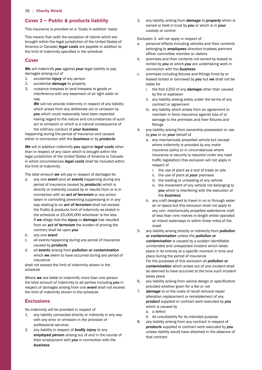# **Cover 2 – Public & products liability**

This insurance is provided on a 'Costs in addition' basis

 America or Canada) *legal costs* are payable in addition to the limit of indemnity specified in the schedule This means that (with the exception of claims which are brought within the legal jurisdiction of the United States of

# **Cover**

*We* will indemnify *you* against *your* legal liability to pay damages arising out of

- 1. accidental *injury* of any person
- 2. accidental *damage* to property
- 3. nuisance trespass to land trespass to goods or interference with any easement of air light water or way

**We** will not provide indemnity in respect of any liability which arises from any deliberate act or omission by *you* which could reasonably have been expected having regard to the nature and circumstances of such act or omission or which is a natural consequence of the ordinary conduct of *your business* 

happening during the period of insurance and caused either in connection with the *business* or by *products* 

 legal jurisdiction of the United States of America or Canada *We* will in addition indemnify *you* against *legal costs* other than in respect of any claim which is brought within the in which circumstances *legal costs* shall be included within the limit of indemnity

The total amount *we* will pay in respect of damages for

- the schedule or £5,000,000 whichever is the less a. any one *event* (and all *events* happening during any period of insurance caused by *products*) which is directly or indirectly caused by or results from or is in connection with an *act of terrorism* or any action taken in controlling preventing suppressing or in any way relating to an *act of terrorism* shall not exceed the Public & products limit of indemnity as stated in If *we* allege that the *injury* or *damage* has resulted from an *act of terrorism* the burden of proving the contrary shall be upon *you*
- b. any one *event*
- c. all events happening during any period of insurance caused by *products*
- d. all *events* arising from *pollution or contamination*  which *we* deem to have occurred during any period of insurance

shall not exceed the limit of indemnity shown in the schedule

Where *we* are liable to indemnify more than one person the total amount of indemnity to all parties including *you* in respect of damages arising from one *event* shall not exceed the limit of indemnity shown in the schedule

# **Exclusions**

No indemnity will be provided in respect of

- 1. any liability connected directly or indirectly in any way with any error or omission in the provision of professional services
- 2. any liability in respect of *bodily injury* to any *employed person* arising out of and in the course of their employment with *you* in connection with the *business*

3. any liability arising from *damage* to *property* which is owned or held in trust by *you* or which is in *your*  custody or control

Exclusion 3. will not apply in respect of

- officer committee member or visitors a. personal effects including vehicles and their contents belonging to *employees* directors trustees partners
- b. premises and their contents not owned by leased or rented by *you* at which *you* are undertaking work in connection with the *business*
- c. premises including fixtures and fittings hired by or leased rented or borrowed by *you* but *we* shall not be liable for
- i. the first £250 of any *damage* other than caused by fire or explosion
	- ii. any liability arising solely under the terms of any contract or agreement
	- damage to the premises and their fixtures and iii. any liability which arises from an agreement to maintain in force insurance against loss of or fittings
- 4. any liability arising from ownership possession or use by *you* or on *your* behalf of
	- traffic legislation) this exclusion will not apply in a. any mechanically propelled vehicle but (except where indemnity is provided by any motor insurance policy or in circumstances where insurance or security is required under any road respect of
		- i. the use of plant as a tool of trade on site
		- ii. the use of plant at *your* premises
		- iii. the loading or unloading of any vehicle
		- iv. the movement of any vehicle not belonging to *you* which is interfering with the execution of the *business*
	- b. any craft designed to travel in on or through water air or space but this exclusion shall not apply to any non- mechanically propelled waterborne craft of less than nine metres in length whilst operated on inland waterways or within three miles of the coast
- *contamination* is caused by a sudden identifiable place in its entirety at a specific moment in time and 5. any liability arising directly or indirectly from *pollution or contamination* unless the *pollution or*  unintended and unexpected incident which takes place during the period of insurance For the purposes of this exclusion all *pollution or contamination* which arises out of one incident shall be deemed to have occurred at the time such incident takes place
- 6. any liability arising from advice design or specification provided whether given for a fee or not
- $7.$ damage to or the costs of recall removal repair alteration replacement or reinstatement of any *product* supplied or contract work executed by *you*  which is caused by
	- a. a defect
	- b. its unsuitability for its intended purpose
- 8. any liability arising from any contract in respect of *products* supplied or contract work executed by *you*  unless liability would have attached in the absence of that contract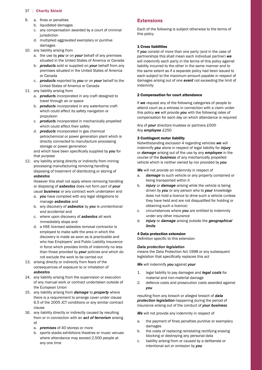- 9. a. fines or penalties
	- b. liquidated damages
	- c. any compensation awarded by a court of criminal iurisdiction
	- d. multiplied aggravated exemplary or punitive damages
- 10. any liability arising from
	- situated in the United States of America or Canada a. the use by *you* or on *your* behalf of any premises
	- premises situated in the United States of America b. *products* sold or supplied on *your* behalf from any or Canada
	- United States of America or Canada c. *products* exported by *you* or on *your* behalf to the
- 11. any liability arising from
	- a. *products* incorporated in any craft designed to travel through air or space
	- b. *products* incorporated in any waterborne craft which could affect its safety navigation or propulsion
	- c. *products* incorporated in mechanically propelled which could affect their safety
	- d. *products* incorporated in gas chemical petrochemical or power generation plant which is directly connected to manufacture processing storage or power generation

 and which have been specifically supplied by *you* for that purpose

12. any liability arising directly or indirectly from mining processing manufacturing removing handling disposing of treatment of distributing or storing of *asbestos* 

However this shall not apply where removing handling or disposing of *asbestos* does not form part of *your*  usual *business* or any contract work undertaken and

- a. *you* have complied with any legal obligations to manage *asbestos* and
- b. any discovery of *asbestos* by *you* is unintentional and accidental and
- c. where upon discovery of *asbestos* all work immediately stops and
- d. a HSE licensed asbestos removal contractor is employed to make safe the area in which the discovery is made as soon as is practicable and who has Employers' and Public Liability insurance in force which provides limits of indemnity no less than those provided by *your* policies and which do not exclude the work to be carried out
- 13. arising directly or indirectly from fears of the consequences of exposure to or inhalation of *asbestos*
- 14. any liability arising from the supervision or execution of any manual work or contract undertaken outside of the European Union
- 6.5 of the 2005 JCT conditions or any similar contract 15. any liability arising from *damage* to *property* where there is a requirement to arrange cover under clause clause
- 16. any liability directly or indirectly caused by resulting from or in connection with an *act of terrorism* arising at
- a. *premises* of 40 storeys or more
	- where attendance may exceed 2,500 people at b. sports stadia exhibitions theatres or music venues any one time

# **Extensions**

Each of the following is subject otherwise to the terms of this policy

#### 1 Cross liabilities

If *you* consist of more than one party (and in the case of partnerships this shall mean each individual partner) *we*  will indemnify each party in the terms of this policy against liability incurred to the other in the same manner and to the same extent as if a separate policy had been issued to each subject to the maximum amount payable in respect of damages arising out of one *event* not exceeding the limit of indemnity

#### 2 Compensation for court attendance

If *we* request any of the following categories of people to attend court as a witness in connection with a claim under this policy *we* will provide *you* with the following rates of compensation for each day on which attendance is required

#### Any of *your* directors trustees or partners £500 Any *employee* £250

#### 3 Contingent motor liability

Notwithstanding exclusion 4 regarding vehicles *we* will indemnify *you* alone in respect of legal liability for *injury*  or *damage* arising out of the use by any *employee* in the course of the *business* of any mechanically propelled vehicle which is neither owned by nor provided by *you* 

*We* will not provide an indemnity in respect of

- a. *damage* to such vehicle or any property contained or being transported within it
- they have held and are not disqualified for holding or b. *injury* or *damage* arising while the vehicle is being driven by *you* or any person who to *your* knowledge does not hold a licence to drive such a vehicle (unless obtaining such a licence)
- c. circumstances where *you* are entitled to indemnity under any other insurance
- d. *injury* or *damage* arising outside the *geographical limits*

#### 4 Data protection extension

 Definition specific to this extension

#### *Data protection legislation*

 means the Data Protection Act 1998 or any subsequent legislation that specifically replaces this act

*We* will indemnify *you* against *your* 

- 1. legal liability to pay damages and *legal costs* for material and non-material damage
- 2. defence costs and prosecution costs awarded against *you*

#### resulting from any breach or alleged breach of *data protection legislation* happening during the period of insurance arising out of the conduct of *your business*

*We* will not provide any indemnity in respect of

- a. the payment of fines penalties punitive or exemplary damages
- b. the costs of replacing reinstating rectifying erasing blocking or destroying any personal data
- c. liability arising from or caused by a deliberate or intentional act or omission by *you*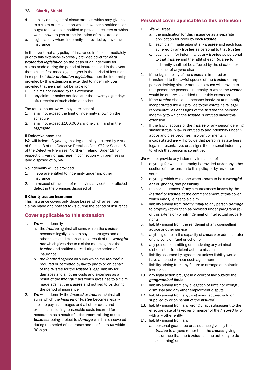- to a claim or prosecution which have been notified to or ought to have been notified to previous insurers or which d. liability arising out of circumstances which may give rise were known to *you* at the inception of this extension
- e. legal liability where indemnity is provided by any other insurance

 that a claim first made against *you* in the period of insurance In the event that any policy of insurance in force immediately prior to this extension expressly provided cover for *data protection legislation* on the basis of an indemnity for claims made during the period of insurance and in the event in respect of *data protection legislation* then the indemnity provided by this extension is extended to indemnify *you*  provided that *we* shall not be liable for

- i. claims not insured by this extension
- ii. any claim or notice notified later than twenty-eight days after receipt of such claim or notice

The total amount *we* will pay in respect of

- 1. shall not exceed the limit of indemnity shown on the schedule
- 2. shall not exceed £100,000 any one claim and in the aggregate

#### 5 Defective premises

 of Section 3 of the Defective Premises Act 1972 or Section 5 *We* will indemnify *you* against legal liability incurred by virtue of the Defective Premises (Northern Ireland) Order 1975 in respect of *injury* or *damage* in connection with premises or land disposed of by *you* 

No indemnity will be provided

- 1. if *you* are entitled to indemnity under any other insurance
- 2. in respect of the cost of remedying any defect or alleged defect in the premises disposed of

#### 6 Charity trustee insurance

 claims made and notified to *us* during the period of insurance This insurance covers only those losses which arise from

# **Cover applicable to this extension**

- 1. *We* will indemnify
	- *trustee* and notified to *us* during the period of a. the *trustee* against all sums which the *trustee*  becomes legally liable to pay as damages and all other costs and expenses as a result of the *wrongful act* which gives rise to a claim made against the insurance
	- made against the *trustee* and notified to *us* during b. the *Insured* against all sums which the *Insured* is required or permitted by law to pay to or on behalf of the *trustee* for the *trustee's* legal liability for damages and all other costs and expenses as a result of the *wrongful act* which gives rise to a claim the period of insurance
- during the period of insurance and notified to *us* within 2. *We* will indemnify the *Insured* or *trustee* against all sums which the *Insured* or *trustee* becomes legally liable to pay as damages and all other costs and expenses including reasonable costs incurred for restoration as a result of a document relating to the *business* being subject to *damage* which is discovered 30 days

#### **Personal cover applicable to this extension**

- $1.$ **We** will treat
	- a. the application for this insurance as a separate application for cover by each *trustee*
	- b. each claim made against any *trustee* and each loss suffered by any *trustee* as personal to that *trustee*
	- c. each claim for indemnity by any *trustee* as personal to that *trustee* and the right of each *trustee* to indemnity shall not be affected by the situation or conduct of anyone else
- 2. If the legal liability of the *trustee* is imputed or transferred to the lawful spouse of the *trustee* or any person deriving similar status in law *we* will provide to that person the personal indemnity to which the *trustee*  would be otherwise entitled under this extension
- 3. If the *trustee* should die become insolvent or mentally incapacitated *we* will provide to the estate heirs legal representatives or assigns of the *trustee* the personal indemnity to which the *trustee* is entitled under this extension
- 4. If the lawful spouse of the *trustee* or any person deriving similar status in law is entitled to any indemnity under 2 above and dies becomes insolvent or mentally incapacitated *we* will provide that person's estate heirs legal representatives or assigns the personal indemnity to which that person is so entitled

*We* will not provide any indemnity in respect of

- 1. anything for which indemnity is provided under any other section of or extension to this policy or by any other source
- 2. anything which was done when known to be a *wrongful act* or ignoring that possibility
- 3. the consequences of any circumstances known by the *Insured* or *trustee* at the commencement of this cover which may give rise to a claim
- 4. liability arising from *bodily injury* to any person *damage*  to property (other than as provided under paragraph (b) of this extension) or infringement of intellectual property rights
- 5. liability arising from the rendering of any counselling advice or other service
- 6. anything done in the capacity of *trustee* or administrator of any pension fund or scheme
- 7. any person committing or condoning any criminal dishonest or fraudulent act or omission
- 8. liability assumed by agreement unless liability would have attached without such agreement
- 9. liability arising from any failure to arrange or maintain insurance
- 10. any legal action brought in a court of law outside the *geographical limits*
- 11. liability arising from any allegation of unfair or wrongful dismissal and any other employment dispute
- 12. liability arising from anything manufactured sold or supplied by or on behalf of the *Insured*
- 13. liability arising from any wrongful act subsequent to the effective date of takeover or merger of the *Insured* by or with any other entity
- 14. liability arising from any
	- a. personal guarantee or assurance given by the *trustee* to anyone (other than the *trustee* giving assurance that the *trustee* has the authority to do something) or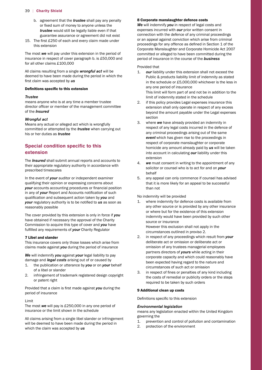- or fixed sum of money to anyone unless the b. agreement that the *trustee* shall pay any penalty *trustee* would still be legally liable even if that guarantee assurance or agreement did not exist
- 15. The first £250 of each and every claim made under this extension

 insurance in respect of cover paragraph b. is £50,000 and for all other claims £100,000 The most *we* will pay under this extension in the period of

 All claims resulting from a single *wrongful act* will be first claim was accepted by *us*  deemed to have been made during the period in which the

#### Definitions specific to this extension

#### *Trustee*

 director officer or member of the management committee means anyone who is at any time a member trustee of the *Insured* 

#### *Wrongful act*

Means any actual or alleged act which is wrongfully committed or attempted by the *trustee* when carrying out his or her duties as *trustee* 

# **Special condition specific to this extension**

The *Insured* shall submit annual reports and accounts to their appropriate regulatory authority in accordance with prescribed timescales

 *your* accounts accounting procedures or financial position in any of *your* Report and Accounts notification of such qualification and subsequent action taken by *you* and *your* regulatory authority is to be notified to *us* as soon as In the event of *your* auditor or independent examiner qualifying their opinion or expressing concerns about reasonably possible

 fulfilled any requirements of *your* Charity Regulator The cover provided by this extension is only in force if *you*  have obtained if necessary the approval of the Charity Commission to acquire this type of cover and *you* have

#### 7 Libel and slander

This insurance covers only those losses which arise from claims made against *you* during the period of insurance

*We* will indemnify *you* against *your* legal liability to pay damage and *legal costs* arising out of or caused by

- 1. the publication or utterance by *you* or on *your* behalf of a libel or slander
- 2. infringement of trademark registered design copyright or patent right

 Provided that a claim is first made against *you* during the period of insurance

#### Limit

 The most *we* will pay is £250,000 in any one period of insurance or the limit shown in the schedule

 All claims arising from a single libel slander or infringement will be deemed to have been made during the period in which the claim was accepted by *us* 

#### 8 Corporate manslaughter defence costs

 proceedings for any offence as defined in Section 1 of the Corporate Manslaughter and Corporate Homicide Act 2007 *We* will indemnify *you* in respect of legal costs and expenses incurred with *our* prior written consent in connection with the defence of any criminal proceedings or an appeal against conviction which arise from criminal committed or alleged to have been committed during the period of insurance in the course of the *business* 

#### Provided that

- in the schedule or £5,000,000 whichever is the less in 1. *our* liability under this extension shall not exceed the Public & products liability limit of indemnity as stated any one period of insurance This limit will form part of and not be in addition to the limit of indemnity stated in the schedule
- 2. if this policy provides Legal expenses insurance this extension shall only operate in respect of any excess beyond the amount payable under the Legal expenses section
- 3. where *we* have already provided an indemnity in respect of any legal costs incurred in the defence of any criminal proceedings arising out of the same *event* which has given rise to the proceedings in respect of corporate manslaughter or corporate homicide any amount already paid by *us* will be taken into account in calculating *our* liability under this extension
- 4. *we* must consent in writing to the appointment of any solicitor or counsel who is to act for and on *your*  behalf
- 5. any appeal can only commence if counsel has advised that it is more likely for an appeal to be successful than not

No indemnity will be provided

- 1. where indemnity for defence costs is available from any other source or is provided by any other insurance or where but for the existence of this extension indemnity would have been provided by such other source or insurance However this exclusion shall not apply in the circumstances outlined in proviso 2.
- 2. in respect of any proceedings which result from *your*  deliberate act or omission or deliberate act or omission of any trustees managerial employees partners directors of *yours* while acting in their corporate capacity and which could reasonably have been expected having regard to the nature and circumstances of such act or omission
- 3. in respect of fines or penalties of any kind including the costs of remedial or publicity orders or the steps required to be taken by such orders

#### 9 Additional clean up costs

 Definitions specific to this extension

#### *Environmental legislation*

 means any legislation enacted within the United Kingdom governing the

- 1. prevention and control of pollution and contamination
- 2. protection of the environment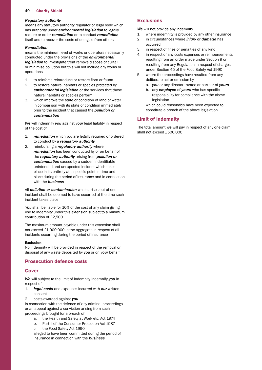#### *Regulatory authority*

means any statutory authority regulator or legal body which has authority under *environmental legislation* to legally require or order *remediation* or to conduct *remediation*  itself and to recover the costs of doing so from others

#### *Remediation*

means the minimum level of works or operators necessarily conducted under the provisions of the *environmental legislation* to investigate treat remove dispose of curtail or minimise pollution but this will not include any works or operations

- 1. to reinforce reintroduce or restore flora or fauna
- 2. to restore natural habitats or species protected by *environmental legislation* or the services that those natural habitats or species perform
- 3. which improve the state or condition of land or water in comparison with its state or condition immediately prior to the incident that caused the *pollution or contamination*

*We* will indemnify *you* against *your* legal liability in respect of the cost of

- $1<sup>1</sup>$ remediation which you are legally required or ordered to conduct by a *regulatory authority*
- *contamination* caused by a sudden indentifiable place in its entirety at a specific point in time and 2. reimbursing a *regulatory authority* where *remediation* has been conducted by or on behalf of the *regulatory authority* arising from *pollution or*  unintended and unexpected incident which takes place during the period of insurance and in connection with the *business*

All *pollution or contamination* which arises out of one incident shall be deemed to have occurred at the time such incident takes place

 *You* shall be liable for 10% of the cost of any claim giving contribution of £2,500 rise to indemnity under this extension subject to a minimum

 not exceed £1,000,000 in the aggregate in respect of all The maximum amount payable under this extension shall incidents occurring during the period of insurance

#### Exclusion

No indemnity will be provided in respect of the removal or disposal of any waste deposited by *you* or on *your* behalf

# **Prosecution defence costs**

#### **Cover**

*We* will subject to the limit of indemnity indemnify *you* in respect of

- 1. *legal costs* and expenses incurred with *our* written consent
- 2. costs awarded against *you*

in connection with the defence of any criminal proceedings or an appeal against a conviction arising from such proceedings brought for a breach of

- a. the Health and Safety at Work etc. Act 1974
- b. Part II of the Consumer Protection Act 1987
- c. the Food Safety Act 1990

alleged to have been committed during the period of insurance in connection with the *business* 

#### **Exclusions**

We will not provide any indemnity

- 1. where indemnity is provided by any other insurance
- 2. in circumstances where *injury* or *damage* has occurred
- 3. in respect of fines or penalties of any kind
- under Section 45 of the Food Safety Act 1990 4. in respect of any costs expenses or reimbursements resulting from an order made under Section 9 or resulting from any Regulation in respect of charges
- 5. where the proceedings have resulted from any deliberate act or omission by
	- a. *you* or any director trustee or partner of *yours*
- b. any *employee* of *yours* who has specific responsibility for compliance with the above legislation

which could reasonably have been expected to constitute a breach of the above legislation

# **Limit of indemnity**

 shall not exceed £500,000The total amount *we* will pay in respect of any one claim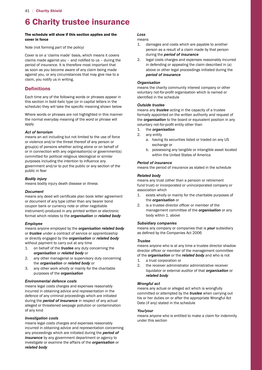# 6 Charity trustee insurance

#### The schedule will show if this section applies and the cover in force

Note (not forming part of the policy)

 claims made against you – and notified to us – during the Cover is on a 'claims made' basis, which means it covers period of insurance. It is therefore most important that as soon as you become aware of any claim being made against you, or any circumstances that may give rise to a claim, you notify us in writing.

# **Definitions**

 schedule) they will take the specific meaning shown below Each time any of the following words or phrases appear in this section in bold italic type (or in capital letters in the

Where words or phrases are not highlighted in this manner the normal everyday meaning of the word or phrase will apply

#### *Act of terrorism*

 purposes including the intention to influence any means an act including but not limited to the use of force or violence and/or the threat thereof of any person or group(s) of persons whether acting alone or on behalf of or in connection with any organisation(s) or government(s) committed for political religious ideological or similar government and/or to put the public or any section of the public in fear

#### *Bodily injury*

means bodily injury death disease or illness

#### *Document*

 means any deed will certificate plan book letter agreement or document of any type (other than any bearer bond coupon bank or currency note or other negotiable instrument) produced in any printed written or electronic format which relates to the *organisation* or *related body* 

#### *Employee*

means anyone employed by the *organisation related body*  or *trustee* under a contract of service or apprenticeship or directly engaged by the *organisation* or *related body*  without payment to carry out at any time

- 1. on behalf of the *trustee* any duty concerning the *organisation* or *related body* or
- 2. any other managerial or supervisory duty concerning the *organisation* or *related body* or
- 3. any other work wholly or mainly for the charitable purposes of the *organisation*

#### *Environmental defence costs*

means legal costs charges and expenses reasonably incurred in obtaining advice and representation in the defence of any criminal proceedings which are initiated during the *period of insurance* in respect of any actual alleged or threatened seepage pollution or contamination of any kind

#### *Investigation costs*

means legal costs charges and expenses reasonably incurred in obtaining advice and representation concerning any proceedings which are initiated during the *period of insurance* by any government department or agency to investigate or examine the affairs of the *organisation* or *related body* 

# *Loss*

means

- 1. damages and costs which are payable to another person as a result of a claim made by that person during the *period of insurance*
- 2. legal costs charges and expenses reasonably incurred in defending or appealing the claim described in (a) above or other legal proceedings initiated during the *period of insurance*

#### *Organisation*

 voluntary not-for-profit organisation which is named or identified in the schedule means the charity community interest company or other

#### *Outside trustee*

 voluntary not-for-profit entity other than means any *trustee* acting in the capacity of a trustee formally appointed on the written authority and request of the *organisation* to the board or equivalent position in any

- $\mathbf{1}$ 1. the *organisation*
- 2. any entity
	- a. having its securities listed or traded on any US exchange or
	- within the United States of America b. possessing any tangible or intangible asset located

#### *Period of insurance*

means the period of insurance as stated in the schedule

#### *Related body*

means any trust (other than a pension or retirement fund trust) or incorporated or unincorporated company or association which

- 1. exists wholly or mainly for the charitable purposes of the *organisation* or
- 2. is a trustee director officer or member of the management committee of the *organisation* or any body within 1. above

#### *Subsidiary companies*

 as defined by the Companies Act 2006 means any company or companies that is *your* subsidiary

#### *Trustee*

 director officer or member of the management committee means anyone who is at any time a trustee director shadow of the *organisation* or the *related body* and who is not

- 1. a trust corporation or
- 2. the receiver administrator administrative receiver liquidator or external auditor of that *organisation* or *related body*

# *Wrongful act*

 his or her duties on or after the appropriate Wrongful Act means any actual or alleged act which is wrongfully committed or attempted by the *trustee* when carrying out Date (if any) stated in the schedule

#### *You/your*

means anyone who is entitled to make a claim for indemnity under this section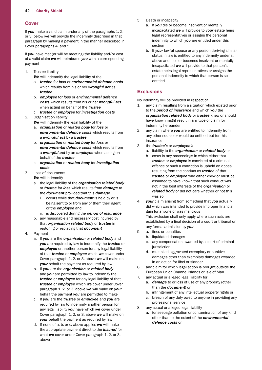# **Cover**

If *you* make a valid claim under any of the paragraphs 1. 2. or 3. below *we* will provide the indemnity described in that paragraph by making a payment in the manner described in Cover paragraphs 4. and 5.

If *you* have met (or will be meeting) the liability and/or cost of a valid claim *we* will reimburse *you* with a corresponding payment

- 1. Trustee liability
	- *We* will indemnify the legal liability of the
	- a. *trustee* for *loss* or *environmental defence costs*  which results from his or her *wrongful act* as *trustee*
	- b. *employee* for *loss* or *environmental defence costs* which results from his or her *wrongful act*  when acting on behalf of the *trustee*
	- c. *trustee* or *employee* for *investigation costs*

#### 2. Organisation liability

- *We* will indemnify the legal liability of the
- a. *organisation* or *related body* for *loss* or *environmental defence costs* which results from a *wrongful act* by a *trustee*
- b. *organisation* or *related body* for *loss* or *environmental defence costs* which results from a *wrongful act* by an *employee* when acting on behalf of the *trustee*
- c. *organisation* or *related body* for *investigation costs*
- 3. Loss of documents
	- *We* will indemnify
	- a. the legal liability of the *organisation related body*  or *trustee* for *loss* which results from *damage* to the *document* provided that this *damage* 
		- i. occurs while that *document* is held by or is being sent to or from any of them their agent or the *employee* and
		- ii. is discovered during the *period of insurance*
	- b. any reasonable and necessary cost incurred by that *organisation related body* or *trustee* in restoring or replacing that *document*
- 4. Payment
	- a. If *you* are the *organisation* or *related body* and *you* are required by law to indemnify the *trustee* or *employee* or another person for any legal liability of that *trustee* or *employee* which *we* cover under Cover paragraph 1. 2. or 3. above *we* will make on *your* behalf the payment as required by law
	- b. If *you* are the *organisation* or *related body*  and *you* are permitted by law to indemnify the *trustee* or *employee* for any legal liability of that *trustee* or *employee* which *we* cover under Cover paragraph 1. 2. or 3. above *we* will make on *your*  behalf the payment *you* are permitted to make
	- c. If *you* are the *trustee* or *employee* and *you* are required by law to indemnify another person for any legal liability *you* have which *we* cover under Cover paragraph 1. 2. or 3. above *we* will make on *your* behalf the payment as required by law
	- d. If none of a. b. or c. above applies *we* will make the appropriate payment direct to the *Insured* for what *we* cover under Cover paragraph 1. 2. or 3. above
- 5. Death or incapacity
	- a. If *you* die or become insolvent or mentally incapacitated *we* will provide to *your* estate heirs legal representatives or assigns the personal indemnity to which *you* are entitled under this section
	- b. If *your* lawful spouse or any person deriving similar status in law is entitled to any indemnity under a. above and dies or becomes insolvent or mentally incapacitated *we* will provide to that person's estate heirs legal representatives or assigns the personal indemnity to which that person is so entitled

# **Exclusions**

No indemnity will be provided in respect of

- 1. any claim resulting from a situation which existed prior to the *period of insurance* and which *you* the *organisation related body* or *trustee* knew or should have known might result in any type of claim for indemnity hereunder
- 2. any claim where *you* are entitled to indemnity from any other source or would be entitled but for this insurance
- $3.$ 3. the *trustee's* or *employee's* 
	- a. liability to the *organisation* or *related body* or b. costs in any proceedings in which either that *trustee* or *employee* is convicted of a criminal offence or such a conviction is upheld on appeal resulting from the conduct as *trustee* of that *trustee* or *employee* who either knew or must be assumed to have known that such conduct was not in the best interests of the *organisation* or *related body* or did not care whether or not this was so
- did which was intended to provide improper financial established by a final decision of a court or tribunal or 4. *your* claim arising from something that *you* actually gain for anyone or was malicious This exclusion shall only apply where such acts are any formal admission by *you*
- 5. a. fines or penalties
	- b. liquidated damages
	- c. any compensation awarded by a court of criminal iurisdiction
	- d. multiplied aggravated exemplary or punitive damages other than exemplary damages awarded in an action for libel or slander
- 6. any claim for which legal action is brought outside the European Union Channel Islands or Isle of Man
- 7. any actual or alleged legal liability for
	- a. *damage* to or loss of use of any property (other than the *document*) or
	- b. infringement of any intellectual property rights or
	- c. breach of any duty owed to anyone in providing any professional service
- 8. any actual or alleged legal liability
	- a. for seepage pollution or contamination of any kind other than to the extent of the *environmental defence costs* or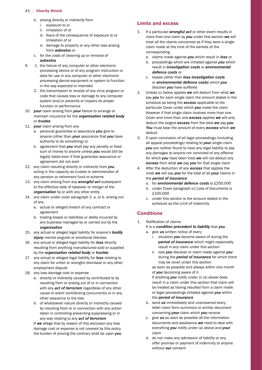- b. arising directly or indirectly from
	- i. exposure to or
	- ii. inhalation of or
	- iii. fears of the consequence of exposure to or inhalation of or
	- iv. damage to property or any other loss arising from *asbestos* or
- c. for the costs of cleaning up or removal of
- *asbestos*
- $\mathsf{Q}$ 1. the failure of any computer or other electronic processing device or of any program instruction or data for use in any computer or other electronic processing device equipment or system to function in the way expected or intended
	- 2. the transmission or receipt of any virus program or code that causes loss or damage to any computer system and/or prevents or impairs its proper function or performance
- 10. *your* claim arising from *your* failure to arrange or maintain insurance for the *organisation related body*  or *trustee*
- 11. *your* claim arising from any
	- a. personal guarantee or assurance *you* give to anyone (other than *your* assurance that *you* have authority to do something) or
- b. agreement that *you* shall pay any penalty or fixed sum of money to anyone unless *you* would still be legally liable even if that guarantee assurance or agreement did not exist
- 12. any claim resulting directly or indirectly from *you*  acting in the capacity as trustee or administrator of any pension or retirement fund or scheme
- 13. any claim arising from any *wrongful act* subsequent to the effective date of takeover or merger of the *organisation* by or with any other entity
- 14. any claim under cover paragraph 2. a. or b. arising out of any
	- a. actual or alleged breach of any contract or agreement
	- b. trading losses or liabilities or debts incurred by any business managed by or carried out by the *organisation*
- 15. any actual or alleged legal liability for anyone's *bodily injury* mental anguish or emotional distress
- 16. any actual or alleged legal liability for *loss* directly resulting from anything manufactured sold or supplied by the *organisation related body* or *trustee*
- 17. any actual or alleged legal liability for *loss* relating to any claim for unfair or wrongful dismissal or any other employment dispute
- 18. any loss damage cost or expense
	- a. directly or indirectly caused by contributed to by resulting from or arising out of or in connection with any *act of terrorism* regardless of any other cause or event contributing concurrently or in any other sequence to the loss
	- b. of whatsoever nature directly or indirectly caused by resulting from or in connection with any action taken in controlling preventing suppressing or in any way relating to any *act of terrorism*

If *we* allege that by reason of this exclusion any loss damage cost or expense is not covered by this policy the burden of proving the contrary shall be upon *you* 

# **Limits and excess**

- 1. If a particular *wrongful act* or other event results in more than one claim by *you* under this section *we* will treat all the claims concerned as if they were a single claim made at the time of the earliest of the corresponding
	- a. claims made against *you* which result in *loss* or
	- b. proceedings which are initiated against *you* which result in *investigation costs* or *environmental defence costs* or
	- c. losses (other than *loss investigation costs*  or *environmental defence costs*) which *you*  discover *you* have suffered
- 2. Unless (c) below applies *we* will deduct from what *we*  pay *you* for each single claim the amount stated in the schedule as being the *excess* applicable to the particular Cover under which *you* make the claim However if that single claim involves more than one Cover and more than one *excess* applies *we* will only deduct the largest *excess* from the total *we* pay *you You* must bear the amount of every *excess* which *we*  deduct
- 3. If upon conclusion of all legal proceedings (including all appeal proceedings) relating to *your* single claim *you* are neither found to have any legal liability to pay any damages to anyone nor convicted of any offence for which *you* have been tried *we* will not deduct any *excess* from what *we* pay *you* for that single claim
- 4. After the deduction of any *excess* that applies the most *we* will pay *you* for the total of all *your* claims in the *period of insurance* 
	- a. for *environmental defence costs* is £250,000
	- b. under Cover paragraph (c) Loss of documents is £100,000
	- c. under this section is the amount stated in the schedule as the Limit of indemnity

# **Conditions**

- 1. Notification of claims It is a *condition precedent to liability* that *you* 
	- a. give *us* written notice of every
		- i. situation *you* become aware of during the *period of insurance* which might reasonably result in any claim under this section
		- ii. loss *you* discover or claim made against *you*  during the *period of insurance* for which there may be cover under this section

as soon as possible and always within one month of *you* becoming aware of it

If anything *you* notify under (i) (a) above does result in a claim under this section that claim will be treated as having resulted from a claim made or legal proceedings initiated against *you* within the *period of insurance* 

- b. send *us* immediately and unanswered every letter claim form summons or similar document concerning *your* claim which *you* receive
- c. give *us* as soon as possible all the information documents and assistance *we* need to deal with everything *you* notify under (a) above and *your*  claim
- d. do not make any admission of liability or any offer promise or payment of indemnity to anyone without *our* consent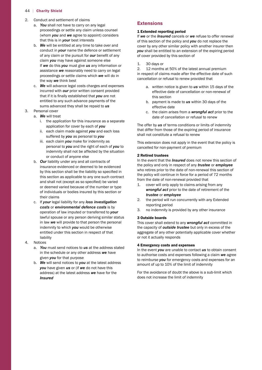- 2. Conduct and settlement of claims
	- a. *You* shall not have to carry on any legal proceedings or settle any claim unless counsel (whom *you* and *we* agree to appoint) considers that this is in *your* best interests
	- of any claim or the pursuit for *our* benefit of any b. *We* will be entitled at any time to take over and conduct in *your* name the defence or settlement claim *you* may have against someone else If *we* do this *you* must give *us* any information or assistance *we* reasonably need to carry on legal proceedings or settle claims which *we* will do in the way *we* think best
	- that if it is finally established that *you* are not c. *We* will advance legal costs charges and expenses incurred with *our* prior written consent provided entitled to any such advance payments of the sums advanced they shall be repaid to *us*
- 3. Personal cover
	- a. *We* will treat
		- i. the application for this insurance as a separate application for cover by each of *you*
		- ii. each claim made against *you* and each loss suffered by *you* as personal to *you*
		- iii. each claim *you* make for indemnity as personal to *you* and the right of each of *you* to indemnity shall not be affected by the situation or conduct of anyone else
		- by this section shall be the liability so specified in and shall not (except as so specified) be varied b. *Our* liability under any and all contracts of insurance evidenced or deemed to be evidenced this section as applicable to any one such contract or deemed varied because of the number or type of individuals or bodies insured by this section or their claims
		- c. If *your* legal liability for any *loss investigation costs* or *environmental defence costs* is by operation of law imputed or transferred to *your*  lawful spouse or any person deriving similar status in law *we* will provide to that person the personal indemnity to which *you* would be otherwise entitled under this section in respect of that liability
- 4. Notices
	- a. *You* must send notices to *us* at the address stated in the schedule or any other address *we* have given *you* for that purpose
	- b. *We* will send notices to *you* at the latest address *you* have given *us* or (if *we* do not have this address) at the latest address *we* have for the *Insured*

# **Extensions**

#### 1 Extended reporting period

If *we* or the *Insured* cancels or *we* refuse to offer renewal of this section of the policy and *you* do not replace the cover by any other similar policy with another insurer then *you* shall be entitled to an extension of the expiring period of cover provided by this section of

#### 1. 30 days or

 2. 12 months at 50% of the latest annual premium in respect of claims made after the effective date of such cancellation or refusal to renew provided that

- a. written notice is given to *us* within 15 days of the effective date of cancellation or non-renewal of this section
- b. payment is made to *us* within 30 days of the effective date
	- c. the claim arises from a *wrongful act* prior to the date of cancellation or refusal to renew

The offer by *us* of terms conditions or limits of indemnity that differ from those of the expiring period of insurance shall not constitute a refusal to renew

This extension does not apply in the event that the policy is cancelled for non-payment of premium

#### 2 Retired trustees

In the event that the *Insured* does not renew this section of the policy and only in respect of any *trustee* or *employee*  who retires prior to the date of non-renewal this section of the policy will continue in force for a period of 72 months from the date of non-renewal provided that

- 1. cover will only apply to claims arising from any *wrongful act* prior to the date of retirement of the *trustee* or *employee*
- 2. the period will run concurrently with any Extended reporting period
- 3. no indemnity is provided by any other insurance

#### 3 Outside boards

This cover shall extend to any *wrongful act* committed in the capacity of *outside trustee* but only in excess of the aggregate of any other potentially applicable cover whether or not it actually responds

#### 4 Emergency costs and expenses

 amount of up to 10% of the limit of indemnity In the event *you* are unable to contact *us* to obtain consent to authorise costs and expenses following a claim *we* agree to reimburse *you* for emergency costs and expenses for an

For the avoidance of doubt the above is a sub-limit which does not increase the limit of indemnity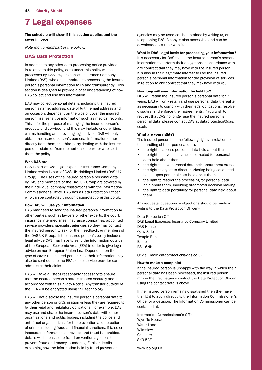# 7 Legal expenses

#### The schedule will show if this section applies and the cover in force

Note (not forming part of the policy):

# **DAS Data Protection**

 processed by DAS Legal Expenses Insurance Company Limited (DAS), who are committed to processing the insured DAS collect and use this information. In addition to any other data processing notice provided in relation to this policy, data under this policy will be person's personal information fairly and transparently. This section is designed to provide a brief understanding of how

 DAS may collect personal details, including the insured claims handling and providing legal advice. DAS will only person's name, address, date of birth, email address and, on occasion, dependent on the type of cover the insured person has, sensitive information such as medical records. This is for the purpose of managing the insured person's products and services, and this may include underwriting, obtain the insured person's personal information either directly from them, the third party dealing with the insured person's claim or from the authorised partner who sold them the policy.

#### Who DAS are

 DAS is part of DAS Legal Expenses Insurance Company Limited which is part of DAS UK Holdings Limited (DAS UK by DAS and members of the DAS UK Group are covered by Commissioner's Office. DAS has a Data Protection Officer Group). The uses of the insured person's personal data their individual company registrations with the Information who can be contacted through [dataprotection@das.co.uk](mailto:dataprotection@das.co.uk).

#### How DAS will use your information

 DAS may need to send the insured person's information to the DAS UK Group. If the insured person's policy includes legal advice DAS may have to send the information outside of the European Economic Area (EEA) in order to give legal also be sent outside the EEA so the service provider can other parties, such as lawyers or other experts, the court, insurance intermediaries, insurance companies, appointed service providers, specialist agencies so they may contact the insured person to ask for their feedback, or members of advice on non-European Union law. Dependent on the type of cover the insured person has, their information may administer their claim.

 DAS will take all steps reasonably necessary to ensure accordance with this Privacy Notice. Any transfer outside of the EEA will be encrypted using SSL technology. that the insured person's data is treated securely and in

 DAS will not disclose the insured person's personal data to by their legal and regulatory obligations. For example, DAS of crime, including fraud and financial sanctions. If false or inaccurate information is provided and fraud is identified, any other person or organisation unless they are required to may use and share the insured person's data with other organisations and public bodies, including the police and anti-fraud organisations, for the prevention and detection details will be passed to fraud prevention agencies to prevent fraud and money laundering. Further details explaining how the information held by fraud prevention

 telephoning DAS. A copy is also accessible and can be agencies may be used can be obtained by writing to, or downloaded via their website.

#### What is DAS' legal basis for processing your information?

 It is necessary for DAS to use the insured person's personal information to perform their obligations in accordance with any contract that they may have with the insured person. It is also in their legitimate interest to use the insured person's personal information for the provision of services in relation to any contract that they may have with you.

#### How long will your information be held for?

 DAS will retain the insured person's personal data for 7 years. DAS will only retain and use personal data thereafter request that DAS no longer use the insured person's personal data, please contact DAS at dataprotection@das. as necessary to comply with their legal obligations, resolve disputes, and enforce their agreements. If you wish to co.uk.

#### What are your rights?

The insured person has the following rights in relation to the handling of their personal data:

- the right to access personal data held about them
- the right to have inaccuracies corrected for personal data held about them
- the right to have personal data held about them erased
- the right to object to direct marketing being conducted based upon personal data held about them
- the right to restrict the processing for personal data held about them, including automated decision-making
- the right to data portability for personal data held about them

 Any requests, questions or objections should be made in writing to the Data Protection Officer:-

# Data Protection Officer

 DAS Legal Expenses Insurance Company Limited DAS House Quay Side Temple Back Bristol BS1 6NH

Or via Email: [dataprotection@das.co.uk](mailto:dataprotection@das.co.uk) 

#### How to make a complaint

 may in the first instance contact the Data Protection Officer If the insured person is unhappy with the way in which their personal data has been processed, the insured person using the contact details above.

 If the insured person remains dissatisfied then they have Office for a decision. The Information Commissioner can be the right to apply directly to the Information Commissioner's contacted at: -

 Information Commissioner's Office Wycliffe House Water Lane Wilmslow Cheshire SK9 5AF

<www.ico.org.uk>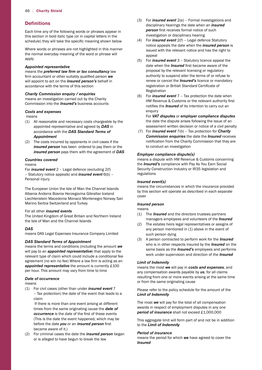# **Definitions**

 schedule) they will take the specific meaning shown below Each time any of the following words or phrases appear in this section in bold italic type (or in capital letters in the

Where words or phrases are not highlighted in this manner the normal everyday meaning of the word or phrase will apply

#### *Appointed representative*

 firm accountant or other suitably qualified person *we*  means the *preferred law firm or tax consultancy* law will appoint to act on the *insured person's* behalf in accordance with the terms of this section

#### *Charity Commission enquiry / enquiries*

means an investigation carried out by the Charity Commission into the *Insured's* business accounts

#### *Costs and expenses*

means

- (1) All reasonable and necessary costs chargeable by the appointed representative and agreed by *DAS* in accordance with the *DAS Standard Terms of Appointment*
- (2) The costs incurred by opponents in civil cases if the *insured person* has been ordered to pay them or the *insured person* pays them with the agreement of *DAS*

#### *Countries covered*

#### means

For *insured event* 2 – Legal defence (excluding 2(f) – Statutory notice appeals) and *insured event* 6(b) – Personal injury

 Albania Andorra Bosnia Herzegovina Gibraltar Iceland The European Union the Isle of Man the Channel Islands Liechtenstein Macedonia Monaco Montenegro Norway San Marino Serbia Switzerland and Turkey

#### For all other *insured events*

 The United Kingdom of Great Britain and Northern Ireland the Isle of Man and the Channel Islands

#### *DAS*

 means DAS Legal Expenses Insurance Company Limited

#### *DAS Standard Terms of Appointment*

 agreement (no win no fee) Where a law firm is acting as an *appointed representative* the amount is currently £100 means the terms and conditions (including the amount *we*  will pay to an *appointed representative*) that apply to the relevant type of claim which could include a conditional fee per hour. This amount may vary from time to time

#### *Date of occurrence*

means

(1) For civil cases (other than under *insured event* 7 – Tax protection) the date of the event that leads to a claim

 *occurrence* is the date of the first of these events before the date *you* or an *insured person* first If there is more than one event arising at different times from the same originating cause the *date of*  (This is the date the event happened, which may be became aware of it.)

(2) For criminal cases the date the *insured person* began or is alleged to have begun to break the law

- *person* first receives formal notice of such (3) For *insured event* 2(e) – Formal investigations and disciplinary hearings the date when an *insured*  investigation or disciplinary hearing
- (4) For *insured event* 2(f) Legal defence Statutory notice appeals the date when the *insured person* is issued with the relevant notice and has the right to appeal
- date when the *Insured* first became aware of the registration or British Standard Certificate of (5) For *insured event* 3 – Statutory licence appeal the proposal by the relevant licensing or regulatory authority to suspend alter the terms of or refuse to renew or cancel the *Insured's* licence or mandatory Registration
- HM Revenue & Customs or the relevant authority first notifies the *Insured* of its intention to carry out an (6) For *insured event* 7 – Tax protection the date when enquiry

For *VAT disputes* or *employer compliance disputes*  the date the dispute arises following the issue of an assessment written decision or notice of a civil penalty

 notification from the Charity Commission that they are (7) For *insured event* 7(b) – Tax protection for *Charity Commission enquiries* the date the *Insured* receives to conduct an investigation

#### *Employer compliance dispute(s)*

 the *Insured's* compliance with Pay As You Earn Social means a dispute with HM Revenue & Customs concerning Security Construction Industry or IR35 legislation and regulations

#### *Insured event(s)*

means the circumstances in which the insurance provided by this section will operate as described in each separate cover

#### *Insured person*

means

- (1) The *Insured* and the directors trustees partners managers employees and volunteers of the *Insured*
- (2) The estates heirs legal representatives or assigns of any person mentioned in (1) above in the event of such person dying
- (3) A person contracted to perform work for the *Insured*  who is in other respects insured by the *Insured* on the same basis as the *Insured's* employees and performs work under supervision and direction of the *Insured*

#### *Limit of Indemnity*

means the most *we* will pay in *costs and expenses*, and any compensation awards payable by *us*, for all claims resulting from one or more events arising at the same time or from the same originating cause

Please refer to the policy schedule for the amount of the *Limit of Indemnity* 

 *period of insurance* shall not exceed £1,000,000 The most *we* will pay for the total of all compensation awards in respect of employment disputes in any one

This aggregate limit will form part of and not be in addition to the *Limit of Indemnity* 

#### *Period of insurance*

means the period for which *we* have agreed to cover the *Insured*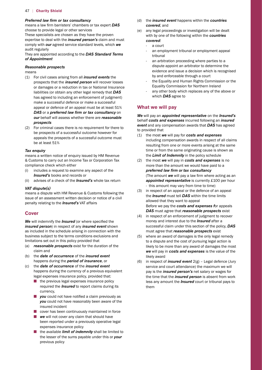#### *Preferred law frm or tax consultancy*

 means a law firm barristers' chambers or tax expert *DAS*  choose to provide legal or other services

These specialists are chosen as they have the proven expertise to deal with the *insured person's* claim and must comply with *our* agreed service standard levels, which *we*  audit regularly

They are appointed according to the *DAS Standard Terms of Appointment* 

#### *Reasonable prospects*

means

- (1) For civil cases arising from all *insured events* the prospects that the *insured person* will recover losses or damages or a reduction in tax or National Insurance liabilities (or obtain any other legal remedy that *DAS*  has agreed to including an enforcement of judgment) make a successful defence or make a successful appeal or defence of an appeal must be at least 51% *DAS* or a *preferred law firm or tax consultancy* on *our* behalf will assess whether there are *reasonable prospects*
- (2) For criminal cases there is no requirement for there to be prospects of a successful outcome however for appeals the prospects of a successful outcome must be at least 51%

#### *Tax enquiry*

means a written notice of enquiry issued by HM Revenue & Customs to carry out an Income Tax or Corporation Tax compliance check which either

- (i) includes a request to examine any aspect of the *Insured's* books and records or
- (ii) advises of a check of the *Insured's* whole tax return

#### *VAT dispute(s)*

 penalty relating to the *Insured's* VAT affairs means a dispute with HM Revenue & Customs following the issue of an assessment written decision or notice of a civil

# **Cover**

 *We* will indemnify the *Insured* (or where specified the *insured person*) in respect of any *insured event* shown as included in the schedule arising in connection with the business subject to the terms conditions exclusions and limitations set out in this policy provided that

- (a) *reasonable prospects* exist for the duration of the claim and
- (b) the *date of occurrence* of the *insured event*  happens during the *period of insurance*, or
- (c) the *date of occurrence* of the *insured event*  happens during the currency of a previous equivalent legal expenses insurance policy, provided that:
	- $\blacksquare$  the previous legal expenses insurance policy required the *Insured* to report claims during its currency,
- **n** *you* could not have notified a claim previously as *you* could not have reasonably been aware of the insured incident
	- $\Box$  cover has been continuously maintained in force
	- **n** *we* will not cover any claim that should have been reported under a previously operative legal expenses insurance policy
	- **n** the available *limit of indemnity* shall be limited to the lesser of the sums payable under this or *your*  previous policy
- (d) the *insured event* happens within the *countries covered*, and
- (e) any legal proceedings or investigation will be dealt with by one of the following within the *countries covered*:
	- a court
	- an employment tribunal or employment appeal tribunal
	- an arbitration proceeding where parties to a dispute appoint an arbitrator to determine the evidence and issue a decision which is recognised by and enforceable through a court
	- the Equality and Human Rights Commission or the Equality Commission for Northern Ireland
	- any other body which replaces any of the above or which *DAS* agree to

# **What we will pay**

*We* will pay an *appointed representative* on the *Insured's*  behalf *costs and expenses* incurred following an *insured event* and any compensation awards that *DAS* has agreed to provided that

- (1) the most *we* will pay for *costs and expenses*  including compensation awards in respect of all claims resulting from one or more events arising at the same time or from the same originating cause is shown as the *Limit of Indemnity* in the policy schedule
- *preferred law frm or tax consultancy*  (The amount *we* will pay a law firm where acting as an *appointed representative* is currently £100 per hour (2) the most *we* will pay in *costs and expenses* is no more than the amount we would have paid to a - this amount may vary from time to time)
- (3) in respect of an appeal or the defence of an appeal the *Insured* must tell *DAS* within the time limits allowed that they want to appeal Before we pay the *costs and expenses f*or appeals *DAS* must agree that *reasonable prospects* exist
- (4) in respect of an enforcement of judgment to recover money and interest due to the *Insured* after a successful claim under this section of the policy, *DAS*  must agree that *reasonable prospects* exist
- (5) where an award of damages is the only legal remedy to a dispute and the cost of pursuing legal action is likely to be more than any award of damages the most *we* will pay in *costs and expenses* is the value of the likely award
- (6) in respect of *insured event* 2(g) Legal defence (Jury service and court attendance) the maximum we will pay is the *insured person's* net salary or wages for the time that the *insured person* is absent from work less any amount the *Insured* court or tribunal pays to them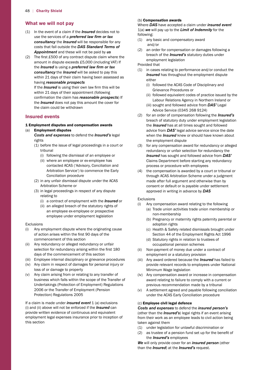# **What we will not pay**

- (1) In the event of a claim if the *Insured* decides not to use the services of a *preferred law frm or tax consultancy* the *Insured* will be responsible for any costs that fall outside the *DAS Standard Terms of Appointment* and these will not be paid by *us*
- (2) The first  $£500$  of any contract dispute claim where the amount in dispute exceeds £5,000 (including VAT) If the *Insured* is using a *preferred law firm or tax consultancy* the *Insured* will be asked to pay this within 21 days of their claim having been assessed as having *reasonable prospects*

 If the *Insured* is using their own law firm this will be confirmation the claim has *reasonable prospects*) If within 21 days of their appointment (following the *Insured* does not pay this amount the cover for the claim could be withdrawn

#### **Insured events**

# 1 Employment disputes and compensation awards

### (a) Employment disputes *Costs and expenses* to defend the *Insured's* legal

- rights
- (1) before the issue of legal proceedings in a court or tribunal
	- (i) following the dismissal of an employee or
	- contacted ACAS ('Advisory, Conciliation and Arbitration Service') to commence the Early (ii) where an employee or ex-employee has Conciliation procedure
- (2) in any unfair dismissal dispute under the ACAS Arbitration Scheme or
	- (3) in legal proceedings in respect of any dispute relating to
		- (i) a contract of employment with the *Insured* or
		- (ii) an alleged breach of the statutory rights of an employee ex-employee or prospective employee under employment legislation

#### Exclusions

- (i) Any employment dispute where the originating cause of action arises within the first 90 days of the commencement of this section
- (ii) Any redundancy or alleged redundancy or unfair selection for redundancy arising within the first 180 days of the commencement of this section
- (iii) Employee internal disciplinary or grievance procedures
- (iv) Any claim in respect of damages for personal injury or loss of or damage to property
- (v) Any claim arising from or relating to any transfer of 2006 or the Transfer of Employment (Pension Protection) Regulations 2005 business which falls within the scope of the Transfer of Undertakings (Protection of Employment) Regulations

If a claim is made under *insured event* 1 (a) exclusions (i) and (ii) above will not be enforced if the *Insured* can provide written evidence of continuous and equivalent employment legal expenses insurance prior to inception of this section

#### (b) Compensation awards

Where *DAS* have accepted a claim under *insured event*  1(a) *we* will pay up to the *Limit of Indemnity* for the following:

- (1) any basic and compensatory award and/or
- (2) an order for compensation or damages following a breach of the *Insured's* statutory duties under employment legislation

Provided that

- (1) in cases relating to performance and/or conduct the **Insured** has throughout the employment dispute either
	- (i) followed the ACAS Code of Disciplinary and Grievance Procedures or
	- Labour Relations Agency in Northern Ireland or (ii) followed equivalent codes of practice issued by the
	- Advice Service (0345 268 9124) (iii) sought and followed advice from *DAS'* Legal
- (2) for an order of compensation following the *Insured's*  breach of statutory duty under employment legislation the *Insured* has at all times sought and followed advice from *DAS'* legal advice service since the date when the *Insured* knew or should have known about the employment dispute
- (3) for any compensation award for redundancy or alleged redundancy or unfair selection for redundancy the *Insured* has sought and followed advice from *DAS'*  Claims Department before starting any redundancy process or procedure with employees
- through ACAS Arbitration Scheme under a judgment (4) the compensation is awarded by a court or tribunal or made after full argument and otherwise than by consent or default or is payable under settlement approved in writing in advance by *DAS*

#### Exclusions

- (i) Any compensation award relating to the following
	- (a) Trade union activities trade union membership or non-membership
	- (b) Pregnancy or maternity rights paternity parental or adoption rights
	- Section 44 of the Employment Rights Act 1996 (c) Health & Safety related dismissals brought under
	- (d) Statutory rights in relation to trustees of occupational pension schemes
- (ii) Non-payment of money due under a contract of employment or a statutory provision
- (iii) Any award ordered because the *Insured* has failed to provide relevant records to employees under National Minimum Wage legislation
- (iv) Any compensation award or increase in compensation award relating to failure to comply with a current or previous recommendation made by a tribunal
- (v) A settlement agreed and payable following conciliation under the ACAS Early Conciliation procedure

#### (c) Employee civil legal defence

*Costs and expenses* to defend the *insured person's*  (other than the *Insured's*) legal rights if an event arising from their work as an employee leads to civil action being taken against them

- (1) under legislation for unlawful discrimination or
- (2) as trustee of a pension fund set up for the benefit of the *Insured's* employees

*We* will only provide cover for an *insured person* (other than the *Insured*) at the *Insured's* request.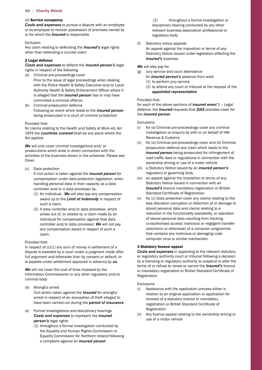#### (d) Service occupancy

*Costs and expenses* to pursue a dispute with an employee or ex-employee to recover possession of premises owned by or for which the *Insured* is responsible

#### Exclusion

 Any claim relating to defending the *Insured's* legal rights other than defending a counter-claim

### 2 Legal defence

*Costs and expenses* to defend the *insured person's* legal rights in respect of the following

- (a) Criminal pre-proceedings cover
- Authority Health & Safety Enforcement Officer where it Prior to the issue of legal proceedings when dealing with the Police Health & Safety Executive and/or Local is alleged that the *insured person* has or may have committed a criminal offence
- (b) Criminal prosecution defence Following an event which leads to the *insured person*  being prosecuted in a court of criminal jurisdiction

#### Provided that:

 for claims relating to the Health and Safety at Work etc Act 1974 the *countries covered* shall be any place where the Act applies.

*We* will only cover criminal investigations and/ or prosecutions which arise in direct connection with the activities of the business shown in the schedule. Please see Cover.

(c) Data protection

If civil action is taken against the *insured person* for compensation under data protection legislation, when handling personal data in their capacity as a data controller and/or a data processor by;

- (1) An individual. We will also pay any compensation award up to the *Limit of Indemnity* in respect of such a claim.
- (2) A data controller and/or data processor, which arises out of, or relates to, a claim made by an individual for compensation against that data controller and/or data processor. *We* will not pay any compensation award in respect of such a claim.

#### Provided that:

In respect of (c)(1) any sum of money in settlement of a dispute is awarded by a court under a judgment made after full argument and otherwise than by consent or default, or is payable under settlement approved in advance by *us*.

 *We* will not cover the cost of fines imposed by the Information Commissioner or any other regulatory and/or criminal body

- (d) Wrongful arrest Civil action taken against the *Insured* for wrongful arrest in respect of an accusation of theft alleged to have been carried out during the *period of insurance*
- (e) Formal investigations and disciplinary hearings *Costs and expenses* to represent the *insured person's* legal rights
	- (1) throughout a formal investigation conducted by the Equality and Human Rights Commission or Equality Commission for Northern Ireland following a complaint against an *insured person*

 $(2)$ throughout a formal investigation or disciplinary hearing conducted by any other relevant business association professional or regulatory body

#### (f) Statutory notice appeals

 An appeal against the imposition or terms of any Statutory Notice issued under legislation affecting the *Insured's* business

#### *We* will also pay for

- (g) Jury service and court attendance
- An *insured person's* absence from work
	- (1) to perform jury service
	- (2) to attend any court or tribunal at the request of the *appointed representative*

#### Provided that:

for each of the above sections of *insured event* 2 – Legal defence, the *Insured* requests that *DAS* provides cover for the *insured person* 

#### Exclusions

- (i) for (a) Criminal pre-proceedings cover any criminal investigation or enquiry by with or on behalf of HM Revenue & Customs
- road traffic laws or regulations in connection with the (ii) for (a) Criminal pre-proceedings cover and (b) Criminal prosecution defence any claim which leads to the *insured person* being prosecuted for infringement of ownership driving or use of a motor vehicle
- (iii) a Statutory Notice issued by an *insured person's*  regulatory or governing body
- Standard Certificate of Registration (iv) an appeal against the imposition or terms of any Statutory Notice issued in connection with an *Insured's* licence mandatory registration or British
- (v) for (c) Data protection cover any claims relating to the loss alteration corruption or distortion of or damage to stored personal data and claims relating to a reduction in the functionality availability, or operation of stored personal data resulting from hacking (unauthorised access) malicious or negligent transfer (electronic or otherwise) of a computer programme that contains any malicious or damaging code computer virus or similar mechanism

#### 3 Statutory licence appeal

 or mandatory registration or British Standard Certificate of *Costs and expenses* in appealing to the relevant statutory or regulatory authority court or tribunal following a decision by a licensing or regulatory authority to suspend or alter the terms of or refuse to renew or cancel the *Insured's* licence Registration

#### Exclusions

- (i) Assistance with the application process either in registration or British Standard Certificate of relation to an original application or application for renewal of a statutory licence or mandatory Registration
- (ii) Any licence appeal relating to the ownership driving or use of a motor vehicle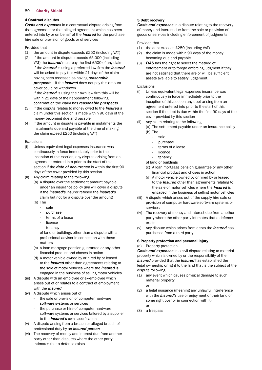#### 4 Contract disputes

*Costs and expenses* in a contractual dispute arising from that agreement or that alleged agreement which has been entered into by or on behalf of the *Insured* for the purchase hire sale or provision of goods or of services

#### Provided that

- $(1)$  the amount in dispute exceeds £250 (including VAT)
- $(2)$  If the amount in dispute exceeds £5,000 (including VAT) the *Insured* must pay the first £500 of any claim If the *Insured* is using a preferred law firm the *Insured*  If the *Insured* is using their own law firm this will be will be asked to pay this within 21 days of the claim having been assessed as having *reasonable prospects -* if the *Insured* does not pay this amount cover could be withdrawn

within 21 days of their appointment following confirmation the claim has *reasonable prospects* 

- claim under this section is made within 90 days of the (3) if the dispute relates to money owed to the *Insured* a money becoming due and payable
- the claim exceed £250 (including VAT) (4) if the amount in dispute is payable in instalments the instalments due and payable at the time of making

#### Exclusions

- section if the *date of occurrence* is within the first 90 (i) Unless equivalent legal expenses insurance was continuously in force immediately prior to the inception of this section, any dispute arising from an agreement entered into prior to the start of this days of the cover provided by this section
- (ii) Any claim relating to the following
- (a) A dispute over the settlement amount payable under an insurance policy (*we* will cover a dispute if the *Insured's* insurer refused the *Insured's*  claim but not for a dispute over the amount)
	- (b) The
		- sale
		- purchase
		- terms of a lease
		- **licence**
		- tenancy

of land or buildings other than a dispute with a professional adviser in connection with these matters

- (c) A loan mortgage pension guarantee or any other financial product and choses in action
- (d) A motor vehicle owned by or hired by or leased to the *Insured* other than agreements relating to the sale of motor vehicles where the *Insured* is engaged in the business of selling motor vehicles
- (iii) A dispute with an employee or ex-employee which arises out of or relates to a contract of employment with the *Insured*
- (iv) A dispute which arises out of
	- the sale or provision of computer hardware software systems or services
	- to the *Insured's* own specification - the purchase or hire of computer hardware software systems or services tailored by a supplier
- (v) A dispute arising from a breach or alleged breach of professional duty by an *insured person*
- (vi) The recovery of money and interest due from another party other than disputes where the other party intimates that a defence exists

#### 5 Debt recovery

*Costs and expenses* in a dispute relating to the recovery of money and interest due from the sale or provision of goods or services including enforcement of judgments

#### Provided that

- $(1)$  the debt exceeds £250 (including VAT)
- (2) the claim is made within 90 days of the money becoming due and payable
- are not satisfied that there are or will be sufficient (3) *DAS* has the right to select the method of enforcement or to forego enforcing judgment if they assets available to satisfy judgement

#### Exclusions

- section if the debt is due within the first 90 days of the (i) Unless equivalent legal expenses insurance was continuously in force immediately prior to the inception of this section any debt arising from an agreement entered into prior to the start of this cover provided by this section
- (ii) Any claim relating to the following
	- (a) The settlement payable under an insurance policy (b) The
		- sale
			- purchase
			- terms of a lease
		- **licence**
		- tenancy

of land or buildings

- (c) A loan mortgage pension guarantee or any other financial product and choses in action
- (d) A motor vehicle owned by or hired by or leased to the *Insured* other than agreements relating to the sale of motor vehicles where the *Insured* is engaged in the business of selling motor vehicles
- (iii) A dispute which arises out of the supply hire sale or provision of computer hardware software systems or services
- (iv) The recovery of money and interest due from another party where the other party intimates that a defence exists
- (v) Any dispute which arises from debts the *Insured* has purchased from a third party

#### 6 Property protection and personal injury

#### (a) Property protection

*Costs and expenses* in a civil dispute relating to material property which is owned by or the responsibility of the *Insured* provided that the *Insured* has established the legal ownership or right to the land that is the subject of the dispute following

- (1) any event which causes physical damage to such material property
	- or
- (2) a legal nuisance (meaning any unlawful interference with the *Insured's* use or enjoyment of their land or some right over or in connection with it) or
- (3) a trespass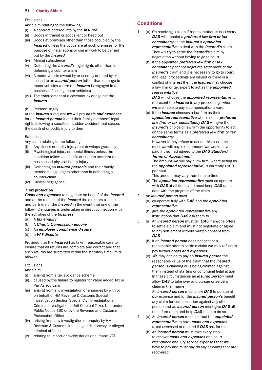#### Exclusions

 Any claim relating to the following

- (i) A contract entered into by the *Insured*
- (ii) Goods in transit or goods lent or hired out
- (iii) Goods at premises other than those occupied by the **Insured** unless the goods are at such premises for the purpose of installations or use in work to be carried out by the *Insured*
- (iv) Mining subsidence
- (v) Defending the *Insured's* legal rights other than in defending a counter-claim
- (vi) A motor vehicle owned by or used by or hired by or leased to an *insured person* (other than damage to motor vehicles where the *Insured* is engaged in the business of selling motor vehicles)
- (vii) The enforcement of a covenant by or against the *Insured*
- (b) Personal injury

 rights following a specific or sudden accident that causes At the *Insured's* request *we* will pay *costs and expenses*  for an *insured person's* and their family members' legal the death of or bodily injury to them

#### Exclusions

 Any claim relating to the following

- (i) Any illness or bodily injury that develops gradually
- condition follows a specific or sudden accident that (ii) Psychological injury or mental illness unless the has caused physical bodily injury
- (iii) Defending an *insured person's* and their family members' legal rights other than in defending a counter-claim
- (iv) Clinical negligence

# 7 Tax protection

*Costs and expenses* to negotiate on behalf of the *Insured*  and at the request of the *Insured* the directors trustees and partners of the *Insured* in the event that one of the following enquiries is undertaken in direct connection with the activities of the *business* 

- (a) A *tax enquiry*
- (b) A *Charity Commission enquiry*
- (c) An *employer compliance dispute*
- (d) a *VAT dispute*

Provided that the *Insured* has taken reasonable care to ensure that all returns are complete and correct and that such returns are submitted within the statutory time limits allowed

#### Exclusions

Any claim

- (i) arising from a tax avoidance scheme
- (ii) caused by the failure to register for Value Added Tax or Pay As You Earn
- Public Notice 160 or by the Revenue and Customs (iii) arising from any investigation or enquiries by with or on behalf of HM Revenue & Customs Special Investigation Section Special Civil Investigations Criminal Investigations Unit Criminal Taxes Unit under Prosecution Office
- (iv) arising from any investigation or enquiry by HM Revenue & Customs into alleged dishonesty or alleged criminal offences
- (v) relating to import or excise duties and import VAT

# **Conditions**

- $\mathbf{1}$ **DAS** will appoint a *preferred law firm or tax* (a) On receiving a claim if representation is necessary *consultancy* as the *Insured's appointed representative* to deal with the *Insured's* claim They will try to settle the *Insured's* claim by negotiation without having to go to court
	- conflict of interest then the *Insured* may choose a law firm or tax expert to act as the *appointed*  (b) If the appointed *preferred law frm or tax consultancy* cannot negotiate settlement of the *Insured's* claim and it is necessary to go to court and legal proceedings are issued or there is a *representative*

*DAS* will choose the *appointed representative* to represent the *Insured* in any proceedings where *we* are liable to pay a compensation award

 (c) If the *Insured* chooses a law firm as their *Insured's* choice of law firm the opportunity to act *consultancy appointed representative* who is not a *preferred law frm or tax consultancy DAS* will give the on the same terms as a *preferred law frm or tax* 

 *Terms of Appointment*  However if they refuse to act on this basis the most *we* will pay is the amount *we* would have paid if they had agreed to the *DAS Standard* 

 The amount *we* will pay a law firm (where acting as the *appointed representative*) is currently £100 per hour

This amount may vary from time to time

- (d) The *appointed representative* must co-operate with *DAS* at all times and must keep *DAS* up to date with the progress of the claim
- 2 An *insured person* must
	- (a) co-operate fully with *DAS* and the *appointed representative*
	- (b) give the *appointed representative* any instructions that *DAS* ask them to
- 3 (a) An *insured person* must tell *DAS* if anyone offers to settle a claim and must not negotiate or agree to any settlement without written consent from *DAS* 
	- (b) If an *insured person* does not accept a reasonable offer to settle a claim *we* may refuse to pay further *costs and expenses*
	- (c) *We* may decide to pay an *insured person* the reasonable value of the claim that the *insured person* is claiming or is being claimed against them instead of starting or continuing legal action In these circumstances an *insured person* must allow *DAS* to take over and pursue or settle a claim in their name

 An *insured person* must allow *DAS* to pursue at *our* expense and for the *insured person's* benefit any claim for compensation against any other person and an *insured person* must give *DAS* all the information and help *DAS* need to do so

- 4 (a) An *insured person* must instruct the *appointed representative* to have *costs and expenses*  taxed assessed or audited if *DAS* ask for this
- (b) An *insured person* must take every step to recover *costs and expenses* and court attendance and jury service expenses that *we*  have to pay and must pay *us* any amounts that are recovered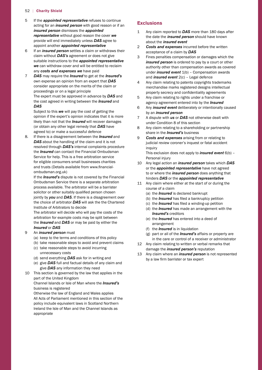- 5 If the *appointed representative* refuses to continue **Exclusions** acting for an *insured person* with good reason or if an *insured person* dismisses the *appointed representative* without good reason the cover *we*  provide will end immediately unless *DAS* agree to appoint another *appointed representative*
- 6 If an *insured person* settles a claim or withdraws their claim without *DAS's* agreement or does not give suitable instructions to the *appointed representative we* can withdraw cover and will be entitled to reclaim any *costs and expenses we* have paid
- 7 *DAS* may require the *Insured* to get at the *Insured's*  own expense an opinion from an expert that *DAS*  consider appropriate on the merits of the claim or proceedings or on a legal principle The expert must be approved in advance by *DAS* and the cost agreed in writing between the *Insured* and *DAS*

Subject to this *we* will pay the cost of getting the opinion if the expert's opinion indicates that it is more likely than not that the *Insured* will recover damages (or obtain any other legal remedy that *DAS* have agreed to) or make a successful defence

 and trusts (Details available from <www.financial>-8. If there is a disagreement between the *Insured* and *DAS* about the handling of the claim and it is not resolved through *DAS's* internal complaints procedure the *Insured* can contact the Financial Ombudsman Service for help. This is a free arbitration service for eligible consumers small businesses charities ombudsman.org.uk)

 solicitor or other suitably qualified person chosen Institute of Arbitrators to decide If the *Insured's* dispute is not covered by the Financial Ombudsman Service there is a separate arbitration process available. The arbitrator will be a barrister jointly by *you* and *DAS*. If there is a disagreement over the choice of arbitrator *DAS* will ask the the Chartered

The arbitrator will decide who will pay the costs of the arbitration for example costs may be split between the *Insured* and *DAS* or may be paid by either the *Insured* or *DAS* 

- 9 An *insured person* must
	- (a) keep to the terms and conditions of this policy
	- (b) take reasonable steps to avoid and prevent claims (c) take reasonable steps to avoid incurring
	- unnecessary costs
	- (d) send everything *DAS* ask for in writing and
	- (e) give *DAS* full and factual details of any claim and give *DAS* any information they need
- 10 This section is governed by the law that applies in the part of the United Kingdom

Channel Islands or Isle of Man where the *Insured's*  business is registered

 All Acts of Parliament mentioned in this section of the Otherwise the law of England and Wales applies policy include equivalent laws in Scotland Northern Ireland the Isle of Man and the Channel Islands as appropriate

- 1 Any claim reported to *DAS* more than 180 days after the date the *insured person* should have known about the *insured event*
- 2 *Costs and expenses* incurred before the written acceptance of a claim by *DAS*
- 3 Fines penalties compensation or damages which the *insured person* is ordered to pay by a court or other authority other than compensation awards as covered under *insured event* 1(b) – Compensation awards and *insured event* 2(c) – Legal defence
- 4 Any claim relating to patents copyrights trademarks property secrecy and confidentiality agreements merchandise marks registered designs intellectual
- 5 Any claim relating to rights under a franchise or agency agreement entered into by the *Insured*
- 6 6 Any *insured event* deliberately or intentionally caused by an *insured person*
- 7 A dispute with *us* or *DAS* not otherwise dealt with under Condition 8 of this section
- 8 Any claim relating to a shareholding or partnership share in the *Insured's* business
- 9 *Costs and expenses* arising from or relating to judicial review coroner's inquest or fatal accident inquiry

This exclusion does not apply to *insured event* 6(b) – Personal injury

- 10 Any legal action an *insured person* takes which *DAS*  or the *appointed representative* have not agreed to or where the *insured person* does anything that hinders *DAS* or the *appointed representative*
- 11 Any claim where either at the start of or during the course of a claim
	- (a) the *Insured* is declared bankrupt
- (b) the *Insured* has filed a bankruptcy petition
- (c) the *Insured* has filed a winding-up petition
	- (d) the *Insured* has made an arrangement with the *Insured's* creditors
	- (e) the *Insured* has entered into a deed of arrangement
	- (f) the *Insured* is in liquidation
	- (g) part or all of the *Insured's* affairs or property are in the care or control of a receiver or administrator
- 12 Any claim relating to written or verbal remarks that damage the *insured person's* reputation
- 13 Any claim where an *insured person* is not represented by a law firm barrister or tax expert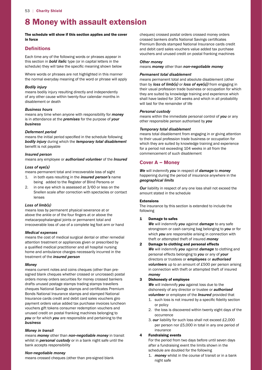# 8 Money with assault extension

The schedule will show if this section applies and the cover in force

# **Definitions**

 schedule) they will take the specific meaning shown below Each time any of the following words or phrases appear in this section in *bold italic* type (or in capital letters in the

Where words or phrases are not highlighted in this manner the normal everyday meaning of the word or phrase will apply

#### *Bodily injury*

means bodily injury resulting directly and independently of any other cause within twenty-four calendar months in disablement or death

#### *Business hours*

means any time when anyone with responsibility for *money*  is in attendance at the *premises* for the purpose of *your business* 

#### *Deferment period*

 means the initial period specified in the schedule following benefit is not payable *bodily injury* during which the *temporary total disablement* 

#### *Insured person*

means any employee or *authorised volunteer* of the *Insured* 

# *Loss of eye(s)*

means permanent total and irrecoverable loss of sight

- 1. in both eyes resulting in the *insured person's* name being added to the Register of Blind Persons or
- 2. in one eye which is assessed at 3/60 or less on the Snellen scale after correction with spectacles or contact lenses

# *Loss of limb(s)*

 above the ankle or of the four fingers at or above the means loss by permanent physical severance at or metacarpophalangeal joints or permanent total and irrecoverable loss of use of a complete leg foot arm or hand

#### *Medical expenses*

 a qualified medical practitioner and all hospital nursing means the cost of medical surgical dental or other remedial attention treatment or appliances given or prescribed by home and ambulance charges necessarily incurred in the treatment of the *insured person* 

#### *Money*

 cheques National Savings stamps and certificates Premium means current notes and coins cheques (other than presigned blank cheques whether crossed or uncrossed) postal orders money orders securities for money crossed bankers drafts unused postage stamps trading stamps travellers Bonds National Insurance stamps and stamped National Insurance cards credit and debit card sales vouchers giro payment orders value added tax purchase invoices luncheon vouchers gift tokens consumer redemption vouchers and unused credit on postal franking machines belonging to *you* or for which *you* are responsible and pertaining to the *business* 

#### *Money in transit*

means *money* other than *non-negotiable money* in transit whilst in *personal custody* or in a bank night safe until the bank accepts responsibility

#### *Non-negotiable money*

means crossed cheques (other than pre-signed blank

 crossed bankers drafts National Savings certificates cheques) crossed postal orders crossed money orders Premium Bonds stamped National Insurance cards credit and debit card sales vouchers value added tax purchase vouchers and unused credit on postal franking machines

#### *Other money*

means *money* other than *non-negotiable money* 

#### *Permanent total disablement*

 shall have lasted for 104 weeks and which in all probability means permanent total and absolute disablement (other than by *loss of limb(s)* or *loss of eye(s))* from engaging in their usual profession trade business or occupation for which they are suited by knowledge training and experience which will last for the remainder of life

#### *Personal custody*

means within the immediate personal control of *you* or any other responsible person authorised by *you* 

#### *Temporary total disablement*

 for a period not exceeding 104 weeks in all from the means total disablement from engaging in or giving attention to their usual profession trade business or occupation for which they are suited by knowledge training and experience commencement of such disablement

# **Cover A – Money**

*We* will indemnify *you* in respect of *damage* to *money*  happening during the period of insurance anywhere in the *geographical limits* 

*Our* liability in respect of any one loss shall not exceed the amount stated in the schedule

### Extensions

The insurance by this section is extended to include the following

#### 1 Damage to safes

*We* will indemnify *you* against *damage* to any safe strongroom or cash carrying bag belonging to *you* or for which *you* are responsible arising in connection with theft or attempted theft of insured *money* 

#### 2 Damage to clothing and personal effects

 *volunteers* up to an amount of £500 per person arising *We* will indemnify *you* against *damage* to clothing and personal effects belonging to *you* or any of *your*  directors or trustees or *employees* or *authorised*  in connection with theft or attempted theft of insured *money* 

# 3 Dishonesty of employee

*We* will indemnify *you* against loss due to the dishonesty of any director or trustee or *authorised volunteer* or employee of the *Insured* provided that

- 1. such loss is not insured by a specific fidelity section or policy
- 2. the loss is discovered within twenty eight days of the occurrence
- 3. *our* liability for such loss shall not exceed £2,000 per person nor £5,000 in total in any one period of insurance

#### 4 Fundraising events

For the period from two days before until seven days after a fundraising event the limits shown in the schedule are doubled for the following

1. *money* whilst in the course of transit or in a bank night safe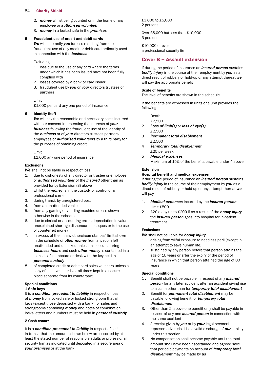- 2. *money* whilst being counted or in the home of any employee or *authorised volunteer*
- 3. *money* in a locked safe in the *premises*

#### 5 Fraudulent use of credit and debit cards

*We* will indemnify *you* for loss resulting from the fraudulent use of any credit or debit card ordinarily used in connection with the *business* 

#### Excluding

- 1. loss due to the use of any card where the terms under which it has been issued have not been fully complied with
- 2. losses covered by a bank or card issuer
- 3. fraudulent use by *you* or *your* directors trustees or partners

#### Limit

 £1,000 per card any one period of insurance

#### 6 Identity theft

*We* will pay the reasonable and necessary costs incurred with our consent in protecting the interests of *your business* following the fraudulent use of the identity of the *business* or of *your* directors trustees partners employees or *authorised volunteers* by a third party for the purposes of obtaining credit

#### Limit

 £1,000 any one period of insurance

#### Exclusions

*We* shall not be liable in respect of loss

- 1. due to dishonesty of any director or trustee or employee or *authorised volunteer* of the *Insured* other than as provided for by Extension (3) above
- 2. whilst the *money* is in the custody or control of a professional carrier
- 3. during transit by unregistered post
- 4. from an unattended vehicle
- 5. from any gaming or vending machine unless shown otherwise in the schedule
- 6. due to clerical or accounting errors depreciation in value unexplained shortage dishonoured cheques or to the use of counterfeit money
- 7. in excess of the 'in any othercircumstances' limit shown in the schedule of *other money* from any room left unattended and unlocked unless this occurs during *business hours* and such *other money* is contained in a locked safe cupboard or desk with the key held in *personal custody*
- 8. of completed credit or debit card sales vouchers unless a copy of each voucher is at all times kept in a secure place separate from its counterpart

# Special conditions

# 1 Safe keys

It is a *condition precedent to liability* in respect of loss of *money* from locked safe or locked strongroom that all keys (except those deposited with a bank) for safes and strongrooms containing *money* and notes of combination locks letters and numbers must be held in *personal custody* 

#### 2 Cash escort

 security firm as indicated until deposited in a secure area of It is a *condition precedent to liability* in respect of cash in transit that the amounts shown below are escorted by at least the stated number of responsible adults or professional *your premises* or at the bank

 £3,000 to £5,000 2 persons

 Over £5,000 but less than £10,000 3 persons

 £10,000 or over a professional security firm

# **Cover B – Assault extension**

 will pay the appropriate benefit If during the period of insurance an *insured person* sustains *bodily injury* in the course of their employment by *you* as a direct result of robbery or hold-up or any attempt thereat *we* 

#### Scale of benefits

 The level of benefits are shown in the schedule

 If the benefits are expressed in units one unit provides the following

- 1 Death
	- £2,500
- 2 *Loss of limb(s)* or *loss of eye(s)*  £2,500
- 3 *Permanent total disablement*  £2,500
- 4 *Temporary total disablement*  £25 per week
- Maximum of 15% of the benefits payable under 4 above 5 *Medical expenses*

#### Extension

#### Hospital benefit and medical expenses

If during the period of insurance an *insured person* sustains *bodily injury* in the course of their employment by *you* as a direct result of robbery or hold up or any attempt thereat *we*  will pay

- 1. 1. *Medical expenses* incurred by the *insured person*  Limit £500
- 2. £20 a day up to £200 if as a result of the *bodily injury*  the *insured person* goes into hospital for in-patient treatment

#### Exclusions

#### *We* shall not be liable for *bodily injury*

- 1. arising from wilful exposure to needless peril (except in an attempt to save human life)
- insurance in which that person attained the age of 80 2. sustained by any person before that person attains the age of 16 years or after the expiry of the period of years

#### Special conditions

- 1 . Benefit shall not be payable in respect of any *insured*  **person** for any later accident after an accident giving rise to a claim other than for *temporary total disablement*
- 2. Benefit for *permanent total disablement* may be payable following benefit for *temporary total disablement*
- 3. Other than 2. above one benefit only shall be payable in respect of any one *insured person* in connection with the same accident
- 4. A receipt given by *you* or by *your* legal personal representatives shall be a valid discharge of *our* liability under this section
- 5. No compensation shall become payable until the total amount shall have been ascertained and agreed save that periodic payments on account of *temporary total disablement* may be made by *us*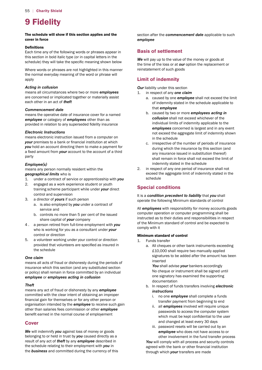# 9 Fidelity

#### The schedule will show if this section applies and the cover in force

#### **Definitions**

 schedule) they will take the specific meaning shown below Each time any of the following words or phrases appear in this section in bold italic type (or in capital letters in the

Where words or phrases are not highlighted in this manner the normal everyday meaning of the word or phrase will apply

#### *Acting in collusion*

means all circumstances where two or more *employees*  are concerned or implicated together or materially assist each other in an act of *theft* 

#### *Commencement date*

 provided in relation to any superseded fidelity insurance means the operative date of insurance cover for a named *employee* or category of *employees* other than as

#### *Electronic Instructions*

 *your* premises to a bank or financial institution at which a fixed amount from *your* account to the account of a third means electronic instruction issued from a computer on *you* hold an account directing them to make a payment for party

#### *Employee(s)*

means any person normally resident within the *geographical limits* who is

- 1. under a contract of service or apprenticeship with *you*
- 2. engaged as a work experience student or youth training scheme participant while under *your* direct control and supervision
- 3. a director of *yours* if such person
	- a. is also employed by *you* under a contract of service and
	- b. controls no more than 5 per cent of the issued share capital of *your* company
- 4 . a person retired from full-time employment with *you*  who is working for you as a consultant under *your*  control or direction
- provided that volunteers are specified as insured in 5. a volunteer working under your control or direction the schedule

#### *One claim*

means all acts of fraud or dishonesty during the periods of insurance which this section (and any substituted section or policy) shall remain in force committed by an individual *employee* or *employees acting in collusion* 

#### *Theft*

 financial gain for themselves or for any other person or benefit earned in the normal course of employement means any act of fraud or dishonesty by any *employee*  committed with the clear intent of obtaining an improper organisation intended by the *employee* to receive such gain other than salaries fees commission or other *employee* 

# **Cover**

*We* will indemnify *you* against loss of money or goods belonging to or held in trust by *you* caused directly as a result of any act of *theft* by any *employee* described in the schedule relating to their employment with *you* in the *business* and committed during the currency of this section after the *commencement date* applicable to such *employee* 

# **Basis of settlement**

We will pay up to the value of the money or goods at the time of the loss or at *our* option the replacement or reinstatement of such goods

# **Limit of indemnity**

*Our* liability under this section

- 1. in respect of any *one claim* 
	- a. caused by one *employee* shall not exceed the limit of indemnity stated in the schedule applicable to that *employee*
	- b. caused by two or more *employees acting in collusion* shall not exceed whichever of the individual limits of indemnity applicable to the *employees* concerned is largest and in any event not exceed the aggregate limit of indemnity shown in the schedule
	- c. irrespective of the number of periods of insurance during which the insurance by this section (and any insurance issued in substitution thereof) shall remain in force shall not exceed the limit of indemnity stated in the schedule
- 2. in respect of any one period of insurance shall not exceed the aggregate limit of indemnity stated in the schedule

# **Special conditions**

It is a *condition precedent to liability* that *you* shall operate the following Minimum standards of control

All *employees* with responsibility for money accounts goods computer operation or computer programming shall be instructed as to their duties and responsibilities in respect of the Minimum standard of control and be expected to comply with it

#### Minimum standard of control

- 1. Funds transfer
- a. All cheques or other bank instruments exceeding £10,000 shall require two manually applied signatures to be added after the amount has been inserted

*You* shall advise *your* bankers accordingly No cheque or instrument shall be signed until one signatory has examined the supporting documentation

- b. In respect of funds transfers involving *electronic instructions* 
	- i. no one *employee* shall complete a funds transfer payment from beginning to end
	- which must be kept confidential to the user and changed at least every 30 days ii. all *employees* involved will require unique passwords to access the computer system
	- iii. password resets will be carried out by an *employee* who does not have access to or other involvement in the fund transfer process

 agreed with the bank or other financial institution You will comply with all process and security controls through which *your* transfers are made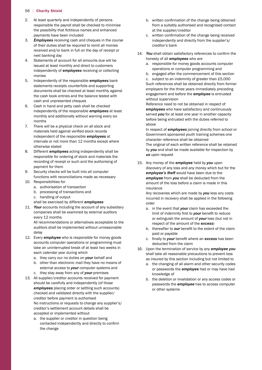- 2. At least quarterly and independently of persons the possibility that fictitious names and enhanced responsible the payroll shall be checked to minimise payments have been included
- 3. *Employees* receiving cash and cheques in the course of their duties shall be required to remit all monies received and/or bank in full on the day of receipt or next banking day
- 4. Statements of account for all amounts due will be issued at least monthly and direct to customers independently of *employees* receiving or collecting monies
- 5. Independently of the responsible *employees* bank statements receipts counterfoils and supporting documents shall be checked at least monthly against the cash book entries and the balance tested with cash and unpresented cheques
- 6. Cash in hand and petty cash shall be checked independently of the responsible *employees* at least monthly and additionally without warning every six months
- materials held against verified stock records 7. There will be a physical check on all stock and independent of the responsible *employees* at intervals or not more than 12 months except where otherwise stated
- 8. Different *employees* acting independently shall be responsible for ordering of stock and materials the recording of receipt or such and the authorising of payment for them
- 9. Security checks will be built into all computer functions with reconciliations made as necessary
- 10. Responsibilities for
	- a. authorisation of transaction
	- b. processing of transactions and
	- c. handling of output
	- shall be exercised by different *employees*
- 11. *Your* accounts including the account of any subsidiary companies shall be examined by external auditors every 12 months

 All recommendations or alternatives acceptable to the auditors shall be implemented without unreasonable delay

- 12. Every *employee* who is responsible for money goods accounts computer operations or programming must take an uninterrupted break of at least two weeks in each calendar year during which
	- a. they carry our no duties on *your* behalf and
	- b. other than electronic mail they have no means of external access to *your* computer systems and
	- c. they stay away from any of *your* premises
- 13. All supplier/creditor accounts received for payment should be carefully and independently (of those *employees* placing order or settling such accounts) checked and validated directly with the supplier/ creditor before payment is authorised No instructions or requests to change any supplier's/ creditor's settlement account details shall be accepted or implemented without
	- contacted independently and directly to confirm a. the supplier or creditor in question being the change
- b. written confirmation of the change being obtained from a suitably authorised and recognised contact at the supplier/creditor
- c. written confirmation of the change being received independently and directly from the supplier's/ creditor's bank
- 14. *You* shall obtain satisfactory references to confirm the honesty of all *employees* who are
	- a. responsible for money goods accounts computer operations or computer programming and
	- c. subject to an indemnity of greater than £5,000 b. engaged after the commencement of this section Such references shall be obtained directly from former employers for the three years immediately preceding engagement and before the *employee* is entrusted without supervision

Reference need to not be obtained in respect of *employees* who have satisfactory and continuously served *you* for at least one year in another capacity before being entrusted with the duties referred to above

In respect of *employees* joining directly from school or Government sponsored youth training schemes one character reference shall be obtained The original of each written reference shall be retained by *you* and shall be made available for inspection by *us* upon request

 15. Any money of the *employee* held by *you* upon discovery of any loss and any money which but for the *employee's theft* would have been due to the *employee* from *you* shall be deducted from the amount of the loss before a claim is made in this insurance

 Any recoveries which are made by *you* less any costs incurred in recovery shall be applied in the following order

- limit of indemnity first to *your* benefit to reduce a. in the event that *your* claim has exceeded the or extinguish the amount of *your* loss (but not in respect of the amount of the *excess*)
- b. thereafter to *our* benefit to the extent of the claim paid or payable
	- c. finally to *your* benefit where an *excess* has been deducted from the claim
- 16. Upon the termination of service by any *employee you*  shall take all reasonable precautions to prevent loss as insured by this section including but not limited to
	- a. the changing of all alarm and other security codes or passwords the *employee* had or may have had knowledge of
	- b. the deletion or invalidation or any access codes or passwords the *employee* has to access computer or other systems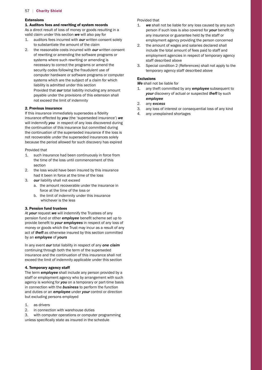#### **Extensions**

#### 1. Auditors fees and rewriting of system records

 As a direct result of loss of money or goods resulting in a valid claim under this section *we* will also pay for

- 1. auditors fees incurred with *our* written consent solely to substantiate the amount of the claim
- 2. the reasonable costs incurred with *our* written consent of rewriting or amending the software programs or systems where such rewriting or amending is necessary to correct the programs or amend the security codes following the fraudulent use of computer hardware or software programs or computer systems which are the subject of a claim for which liability is admitted under this section Provided that *our* total liability including any amount payable under the provisions of this extension shall not exceed the limit of indemnity

#### 2. Previous insurance

 If this insurance immediately supersedes a fidelity insurance effected by *you* (the 'superseded insurance') *we*  will indemnify *you* in respect of any loss discovered during the continuation of this insurance but committed during the continuation of the superseded insurance if the loss is not recoverable under the superseded insurances solely because the period allowed for such discovery has expired

#### Provided that

- 1. such insurance had been continuously in force from the time of the loss until commencement of this section
- 2. the loss would have been insured by this insurance had it been in force at the time of the loss
- 3. *our* liability shall not exceed
	- a. the amount recoverable under the insurance in force at the time of the loss or
	- b. the limit of indemnity under this insurance whichever is the less

#### 3. Pension fund trustees

 pension fund or other *employee* benefit scheme set up to provide benefit to *your employees* in respect of any loss of At *your* request *we* will indemnify the Trustees of any money or goods which the Trust may incur as a result of any act of *theft* as otherwise insured by this section committed by an *employee* of *yours* 

In any event *our* total liability in respect of any *one claim*  continuing through both the term of the superseded insurance and the continuation of this insurance shall not exceed the limit of indemnity applicable under this section

#### 4. Temporary agency staff

The term *employee* shall include any person provided by a staff or employment agency who by arrangement with such agency is working for *you* on a temporary or part-time basis in connection with the *business* to perform the function and duties or an *employee* under *your* control or direction but excluding persons employed

- 1. as drivers
- 2. in connection with warehouse duties

 unless specifically state as insured in the schedule 3. with computer operations or computer programming

#### Provided that

- person if such loss is also covered for *your* benefit by 1. *we* shall not be liable for any loss caused by any such any insurance or guarantee held by the staff or employment agency providing the person concerned
- 2. the amount of wages and salaries declared shall include the total amount of fees paid to staff and employment agencies in respect of temporary agency staff described above
- 3. Special condition 2 (References) shall not apply to the temporary agency staff described above

#### Exclusions

*We* shall not be liable for

- $1.$ any theft committed by any **employee** subsequent to *your* discovery of actual or suspected *theft* by such *employee*
- 2. any *excess*
- 3. any loss of interest or consequential loss of any kind
- 4. any unexplained shortages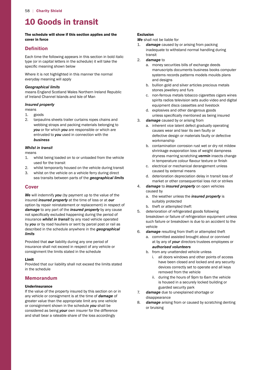# 10 Goods in transit

The schedule will show if this section applies and the cover in force

# **Definition**

 specific meaning shown below Each time the following appears in this section in bold italic type (or in capital letters in the schedule) it will take the

Where it is not highlighted in this manner the normal everyday meaning will apply

#### *Geographical limits*

means England Scotland Wales Northern Ireland Republic of Ireland Channel Islands and Isle of Man

# *Insured property*

means

- 1. goods
- 2. tarpaulins sheets trailer curtains ropes chains and webbing straps and packing materials belonging to *you* or for which *you* are responsible or which are entrusted to *you* used in connection with the *business*

# *Whilst in transit*

means

- 1. whilst being loaded on to or unloaded from the vehicle used for the transit
- 2. whilst temporarily housed on the vehicle during transit
- 3. whilst on the vehicle on a vehicle ferry during direct sea transits between parts of the *geographical limits*

# **Cover**

 not specifically excluded happening during the period of *We* will indemnify *you* (by payment up to the value of the insured *insured property* at the time of loss or at *our*  option by repair reinstatement or replacement) in respect of *damage* to any part of the *insured property* by any cause insurance *whilst in transit* by any road vehicle operated by *you* or by road hauliers or sent by parcel post or rail as described in the schedule anywhere in the *geographical limits* 

Provided that *our* liability during any one period of insurance shall not exceed in respect of any vehicle or consignment the limits stated in the schedule

# Limit

Provided that our liability shall not exceed the limits stated in the schedule

# **Memorandum**

# Underinsurance

If the value of the property insured by this section on or in any vehicle or consignment is at the time of *damage* of greater value than the appropriate limit any one vehicle or consignment shown in the schedule *you* shall be considered as being *your* own insurer for the difference and shall bear a rateable share of the loss accordingly

# Exclusion

*We* shall not be liable for

- $\mathbf{1}$ . damage caused by or arising from packing inadequate to withstand normal handling during transit
- 2. *damage* to
	- a. money securities bills of exchange deeds manuscripts documents business books computer systems records patterns models moulds plans and designs
	- b. bullion gold and silver articles precious metals stones jewellery and furs
	- c. non-ferrous metals tobacco cigarettes cigars wines spirits radios television sets audio video and digital equipment discs cassettes and livestock
- unless specifically mentioned as being insured d. explosives and other dangerous goods
- 3. *damage* caused by or arising from
	- a. inherent vice latent defect gradually operating causes wear and tear its own faulty or defective design or materials faulty or defective workmanship
	- in temperature colour flavour texture or finish b. contamination corrosion rust wet or dry rot mildew shrinkage evaporation loss of weight dampness dryness marring scratching *vermin* insects change
	- c. electrical or mechanical derangement unless caused by external means
	- d. deterioration depreciation delay in transit loss of market or other consequential loss riot or strikes
- 4. *damage* to *insured property* on open vehicles caused by
	- a. the weather unless the *insured property* is suitably protected
	- b. theft or attempted theft
- 5. deterioration of refrigerated goods following breakdown or failure of refrigeration equipment unless such failure or breakdown is due to an accident to the vehicle
- 6. *damage* resulting from theft or attempted theft
	- a. committed assisted brought about or connived at by any of *your* directors trustees employees or *authorised volunteers*
	- b. from any unattended vehicle unless
		- i. all doors windows and other points of access have been closed and locked and any security devices correctly set to operate and all keys removed from the vehicle
		- ii. during the hours of 9pm to 6am the vehicle is housed in a securely locked building or guarded security park
- 7. *damage* due to unexplained shortage or disappearance
- 8. *damage* arising from or caused by scratching denting or bruising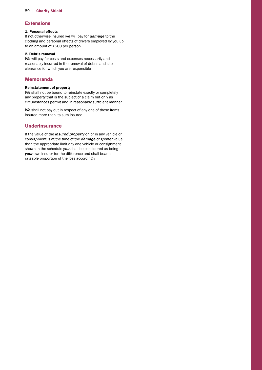# **Extensions**

# 1. Personal effects

 to an amount of £500 per person If not otherwise insured *we* will pay for *damage* to the clothing and personal effects of drivers employed by you up

#### 2. Debris removal

*We* will pay for costs and expenses necessarily and reasonably incurred in the removal of debris and site clearance for which you are responsible

# **Memoranda**

#### Reinstatement of property

 circumstances permit and in reasonably sufficient manner *We* shall not be bound to reinstate exactly or completely any property that is the subject of a claim but only as

*We* shall not pay out in respect of any one of these items insured more than its sum insured

# **Underinsurance**

If the value of the *insured property* on or in any vehicle or consignment is at the time of the *damage* of greater value than the appropriate limit any one vehicle or consignment shown in the schedule *you* shall be considered as being *your* own insurer for the difference and shall bear a rateable proportion of the loss accordingly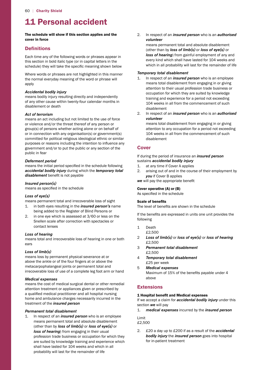# 11 Personal accident

#### The schedule will show if this section applies and the cover in force

# **Definitions**

 schedule) they will take the specific meaning shown below Each time any of the following words or phrases appear in this section in bold italic type (or in capital letters in the

Where words or phrases are not highlighted in this manner the normal everyday meaning of the word or phrase will apply

#### *Accidental bodily injury*

means bodily injury resulting directly and independently of any other cause within twenty-four calendar months in disablement or death

#### *Act of terrorism*

 purposes or reasons including the intention to influence any means an act including but not limited to the use of force or violence and/or the threat thereof of any person or group(s) of persons whether acting alone or on behalf of or in connection with any organisation(s) or government(s) committed for political religious ideological ethnic or similar government and/or to put the public or any section of the public in fear

#### *Deferment period*

 means the initial period specified in the schedule following *disablement* benefit is not payable *accidental bodily injury* during which the *temporary total* 

#### *Insured person(s)*

 means as specified in the schedule

#### *Loss of eye(s)*

means permanent total and irrecoverable loss of sight

- 1. in both eyes resulting in the *insured person's* name being added to the Register of Blind Persons or
- 2. in one eye which is assessed at 3/60 or less on the Snellen scale after correction with spectacles or contact lenses

# *Loss of hearing*

means total and irrecoverable loss of hearing in one or both ears

# *Loss of limb(s)*

 above the ankle or of the four fingers at or above the means loss by permanent physical severance at or metacarpophalangeal joints or permanent total and irrecoverable loss of use of a complete leg foot arm or hand

#### *Medical expenses*

 a qualified medical practitioner and all hospital nursing means the cost of medical surgical dental or other remedial attention treatment or appliances given or prescribed by home and ambulance charges necessarily incurred in the treatment of the *insured person* 

#### *Permanent total disablement*

 shall have lasted for 104 weeks and which in all 1. In respect of an *insured person* who is an employee means permanent total and absolute disablement (other than by *loss of limb(s)* or *loss of eye(s)* or *loss of hearing*) from engaging in their usual profession trade business or occupation for which they are suited by knowledge training and experience which probability will last for the remainder of life

2. In respect of an *insured person* who is an *authorised volunteer* 

 every kind which shall have lasted for 104 weeks and means permanent total and absolute disablement (other than by *loss of limb(s)* or *loss of eye(s)* or *loss of hearing*) from gainful employment of any and which in all probability will last for the remainder of life

#### *Temporary total disablement*

- 104 weeks in all from the commencement of such 1. In respect of an *insured person* who is an employee means total disablement from engaging in or giving attention to their usual profession trade business or occupation for which they are suited by knowledge training and experience for a period not exceeding disablement
- 2. In respect of an *insured person* who is an *authorised volunteer*

 104 weeks in all from the commencement of such means total disablement from engaging in or giving attention to any occupation for a period not exceeding disablement

# **Cover**

If during the period of insurance an *insured person*  sustains *accidental bodily injury* 

- 1. at any time if Cover A applies
- 2. arising out of and in the course of their employment by *you* if Cover B applies

 *we* will pay the appropriate benefit

#### Cover operative (A) or (B)

 As specified in the schedule

#### Scale of benefits

 The level of benefits are shown in the schedule

 If the benefits are expressed in units one unit provides the following

1 Death

£2,500

- 2 *Loss of limb(s)* or *loss of eye(s)* or *loss of hearing*  £2,500
- 3 *Permanent total disablement*  £2,500
- 4 *Temporary total disablement*  £25 per week
- Maximum of 15% of the benefits payable under 4 5 *Medical expenses*  above

# **Extensions**

#### 1 Hospital benefit and Medical expenses

If we accept a claim for *accidental bodily injury* under this section *we* will pay

 $\mathbf{1}$ . 1. *medical expenses* incurred by the *insured person* 

Limit £2,500

 2. £20 a day up to £200 if as a result of the *accidental bodily injury* the *insured person* goes into hospital for in-patient treatment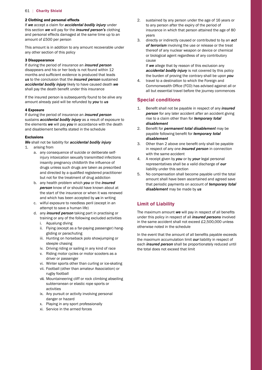#### 2 Clothing and personal effects

 amount of £500 per person If *we* accept a claim for *accidental bodily injury* under this section *we* will pay for the *insured person's* clothing and personal effects damaged at the same time up to an

This amount is in addition to any amount recoverable under any other section of this policy

#### 3 Disappearance

 months and sufficient evidence is produced that leads shall pay the death benefit under this insurance If during the period of insurance an *insured person*  disappears and his or her body is not found within 12 *us* to the conclusion that the *insured person* sustained *accidental bodily injury* likely to have caused death *we* 

If the insured person is subsequently found to be alive any amount already paid will be refunded by *you* to *us* 

#### 4 Exposure

 and disablement benefits stated in the schedule If during the period of insurance an *insured person*  sustains *accidental bodily injury* as a result of exposure to the elements *we* will pay *you* in accordance with the death

#### Exclusions

*We* shall not be liability for *accidental bodily injury* 

- 1. arising from
	- insanity pregnancy childbirth the influence of and directed by a qualified registered practitioner a. any consequence of suicide or deliberate selfinjury intoxication sexually transmitted infections drugs unless such drugs are taken as prescribed but not for the treatment of drug addiction
	- b. any health problem which *you* or the *insured person* know of or should have known about at the start of the insurance or when it was renewed and which has been accepted by *us* in writing
	- c. wilful exposure to needless peril (except in an attempt to save a human life)
	- d. any *insured person* taking part in practising or training or any of the following excluded activities
- i. Aqualung diving
	- ii. Flying (except as a far-paying passenger) hanggliding or parachuting
	- iii. Hunting on horseback polo showjumping or steeple chasing
	- iv. Driving riding or sailing in any kind of race
	- v. Riding motor cycles or motor scooters as a driver or passenger
	- vi. Winter sports other than curling or ice-skating
- vii. Football (other than amateur Association) or rugby football
	- viii. Mountaineering cliff or rock climbing abseiling subterranean or elastic rope sports or activities
	- ix. Any pursuit or activity involving personal danger or hazard
	- x. Playing in any sport professionally
	- xi. Service in the armed forces
- insurance in which that person attained the age of 80 2. sustained by any person under the age of 16 years or to any person after the expiry of the period of years
- 3. directly or indirectly caused or contributed to by an *act of terrorism* involving the use or release or the treat thereof of any nuclear weapon or device or chemical or biological agent regardless of any contributory cause

If *we* allege that by reason of this exclusion any *accidental bodily injury* is not covered by this policy the burden of proving the contrary shall be upon *you* 

 Commonwealth Office (FCO) has advised against all or 4. travel to a destination to which the Foreign and all but essential travel before the journey commences

# **Special conditions**

- 1. Benefit shall not be payable in respect of any *insured*  **person** for any later accident after an accident giving rise to a claim other than for *temporary total disablement*
- 2. Benefit for *permanent total disablement* may be payable following benefit for *temporary total disablement*
- 3. Other than 2 above one benefit only shall be payable in respect of any one *insured person* in connection with the same accident
- 4. A receipt given by *you* or by *your* legal personal representatives shall be a valid discharge of *our*  liability under this section
- 5. No compensation shall become payable until the total amount shall have been ascertained and agreed save that periodic payments on account of *temporary total disablement* may be made by *us*

# **Limit of Liability**

 The maximum amount *we* will pay in respect of all benefits in the same accident shall not exceed £2,500,000 unless under this policy in respect of all *insured persons* involved otherwise noted in the schedule

 In the event that the amount of all benefits payable exceeds the maximum accumulation limit *our* liability in respect of each *insured person* shall be proportionately reduced until the total does not exceed that limit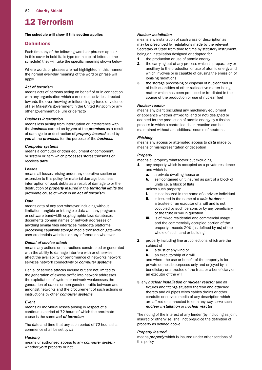# 12 Terrorism

#### The schedule will show if this section applies

# **Definitions**

 schedule) they will take the specific meaning shown below Each time any of the following words or phrases appear in this cover in bold italic type (or in capital letters in the

Where words or phrases are not highlighted in this manner the normal everyday meaning of the word or phrase will apply

#### *Act of terrorism*

 towards the overthrowing or influencing by force or violence of Her Majesty's government in the United Kingdom or any means acts of persons acting on behalf of or in connection with any organisation which carries out activities directed other government de jure or de facto

#### *Business interruption*

means loss arising from interruption or interference with the *business* carried on by *you* at the *premises* as a result of damage to or destruction of *property insured* used by *you* at the *premises* for the purpose of the *business* 

#### *Computer systems*

means a computer or other equipment or component or system or item which processes stores transmits or receives *data* 

#### *Losses*

means all losses arising under any operative section or extension to this policy for material damage business interruption or book debts as a result of damage to or the destruction of *property insured* in the *territorial limits* the proximate cause of which is an *act of terrorism* 

#### *Data*

 anything similar files interfaces metadata platforms means data of any sort whatever including without limitation tangible or intangible data and any programs or software bandwidth cryptographic keys databases documents domain names or network addresses or processing capability storage media transaction gateways user credentials websites or any information whatever

#### *Denial of service attack*

means any actions or instructions constructed or generated with the ability to damage interfere with or otherwise affect the availability or performance of networks network services network connectivity or *computer systems* 

 the generation of excess traffic into network addresses generation of excess or non-genuine traffic between and Denial of service attacks include but are not limited to the exploitation of system or network weaknesses the amongst networks and the procurement of such actions or instructions by other *computer systems* 

#### *Event*

means all individual losses arising in respect of a continuous period of 72 hours of which the proximate cause is the same *act of terrorism* 

The date and time that any such period of 72 hours shall commence shall be set by *us* 

#### *Hacking*

means unauthorised access to any *computer system*  whether *your* property or not

#### *Nuclear installation*

means any installation of such class or description as may be prescribed by regulations made by the relevant Secretary of State from time to time by statutory instrument being an installation designed or adapted for

- **1.** the production or use of atomic energy
- 2. the carrying out of any process which is preparatory or ancillary to the production or use of atomic energy and which involves or is capable of causing the emission of ionising radiations
- 3. the storage processing or disposal of nuclear fuel or of bulk quantities of other radioactive matter being matter which has been produced or irradiated in the course of the production or use of nuclear fuel

#### *Nuclear reactor*

 or appliance whether affixed to land or not) designed or adapted for the production of atomic energy by a fission means any plant (including any machinery equipment process in which a controlled chain reaction can be maintained without an additional source of neutrons

#### *Phishing*

means any access or attempted access to *data* made by means of misrepresentation or deception

#### *Property*

means all property whatsoever but excluding

- 1. any property which is occupied as a private residence and which is
	- a. a private dwelling house or
	- units i.e. a block of flats **b.** self-contained unit insured as part of a block of

unless such property

- i. is not insured in the name of a private individual
- occupied by such persons or by any beneficiary ii. is insured in the name of a *sole trader* or a trustee or an executor of a will and is not of the trust or will in question
- property exceeds 20% (as defined by *us*) of the **iii.** is of mixed residential and commercial usage and the commercially occupied portion of the whole of such land or building
- **2**. property including fine art collections which are the subject of
	- a. a trust of any kind or
	- h. an executorship of a will

 and where the use or benefit of the property is for beneficiary or a trustee of the trust or a beneficiary or private domestic purposes only and enjoyed by a an executor of the will

 fixtures and fittings situated thereon and attached are affixed or connected to or in any way serve such 3. any *nuclear installation* or *nuclear reactor* and all thereto and all pipes wires cables drains or other conduits or service media of any description which *nuclear installation* or *nuclear reactor* 

 insured or otherwise) shall not prejudice the definition of property as defined above The noting of the interest of any lender (by including as joint

#### *Property insured*

means *property* which is insured under other sections of this policy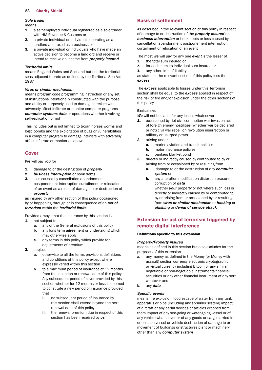### *Sole trader*

means

- 1. a self-employed individual registered as a sole trader with HM Revenue & Customs or
- 2. a private individual or individuals operating as a landlord and taxed as a business or
- **3.** a private individual or individuals who have made an active decision to become a landlord and receive or intend to receive an income from *property insured*

#### *Territorial limits*

 seas adjacent thereto as defined by the Territorial Sea Act means England Wales and Scotland but not the territorial 1987

#### *Virus or similar mechanism*

 adversely affect infiltrate or monitor computer programs means program code programming instruction or any set of instructions intentionally constructed with the purpose and ability or purposely used to damage interfere with *computer systems data* or operations whether involving self-replication or not

 affect infiltrate or monitor as above This includes but is not limited to trojan horses worms and logic bombs and the exploitation of bugs or vulnerabilities in a computer program to damage interfere with adversely

# **Cover**

*We* will pay *you* for

- 1. damage to or the destruction of *property*
- 2. *business interruption* or book debts
- **3.** loss caused by cancellation abandonment postponement interruption curtailment or relocation of an event as a result of damage to or destruction of *property*

as insured by any other section of this policy occasioned by or happening through or in consequence of an *act of terrorism* within the *territorial limits* 

Provided always that the insurance by this section is

- 1. not subject to
	- **a.** any of the General exclusions of this policy
	- **b.** any long term agreement or undertaking which may otherwise apply
	- c. any terms in this policy which provide for adjustments of premium
- $\mathbf{r}$ subject
	- **a.** otherwise to all the terms provisions definitions and conditions of this policy except where expressly varied within this section
	- Any subsequent period of cover provided by this **b.** to a maximum period of insurance of 12 months from the inception or renewal date of this policy section whether for 12 months or less is deemed to constitute a new period of insurance provided that
		- i. no subsequent period of insurance by this section shall extend beyond the next renewal date of this policy
		- ii. the renewal premium due in respect of this section has been received by *us*

# **Basis of settlement**

 As described in the relevant section of this policy in respect of damage to or destruction of the *property insured* or *business interruption* or book debts or loss caused by cancellation abandonment postponement interruption curtailment or relocation of an event

The most *we* will pay for any one *event* is the lesser of

- **1.** the total sum insured or
- **2.** for each item its individual sum insured or
- **3.** any other limit of liability

as stated in the relevant section of this policy less the *excess* 

 the risk of fire and/or explosion under the other sections of The *excess* applicable to losses under this Terrorism section shall be equal to the *excess* applied in respect of this policy

#### Exclusions

*We* will not be liable for any losses whatsoever

- **1.** occasioned by riot civil commotion war invasion act of foreign enemy hostilities (whether war be declared or not) civil war rebellion revolution insurrection or military or usurped power
- 2. arising under
	- **a.** marine aviation and transit policies
	- **b.** motor insurance policies
	- c. bankers blanket bond
- **3.** directly or indirectly caused by contributed to by or arising from or occasioned by or resulting from
	- a. damage to or the destruction of any *computer system* or
	- **b.** any alteration modification distortion erasure corruption of *data*  whether *your* property or not where such loss is

directly or indirectly caused by or contributed to by or arising from or occasioned by or resulting from *virus or similar mechanism* or *hacking* or *phishing* or *denial of service attack* 

# **Extension for act of terrorism triggered by remote digital interference**

#### Definitions specific to this extension

#### *Property/Property insured*

 means as defined in this section but also excludes for the purposes of this extension

- **a.** any money as defined in the Money (or Money with negotiable or non-negotiable instruments financial securities or any other financial instrument of any sort assault) section currency electronic cryptographic or virtual currency including Bitcoin or any similar whatever and
- $\mathbf{b}$ . b. any *data*

#### *Specifc events*

 means fire explosion flood escape of water from any tank apparatus or pipe (including any sprinkler system) impact of aircraft or any aerial devices or articles dropped from them impact of any sea-going or water-going vessel or of any vehicle whatsoever or of any goods or cargo carried in or on such vessel or vehicle destruction of damage to or movement of buildings or structures plant or machinery other than any *computer system*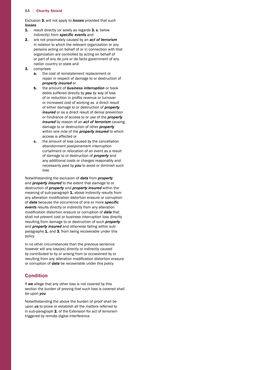Exclusion 3. will not apply to *losses* provided that such *losses* 

- 1. result directly (or solely as regards 3. c. below indirectly) from *specifc events* and
- 2. are not proximately caused by an *act of terrorism*  in relation to which the relevant organization or any persons acting on behalf of or in connection with that organization are controlled by acting on behalf of or part of any de jure or de facto government of any nation country or state and
- 3. comprises
	- a. the cost of reinstatement replacement or repair in respect of damage to or destruction of *property insured* or
	- of or reduction in profits revenue or turnover b. the amount of *business interruption* or book debts suffered directly by *you* by way of loss or increased cost of working as a direct result of either damage to or destruction of *property insured* or as a direct result of denial prevention or hindrance of access to or use of the *property insured* by reason of an *act of terrorism* causing damage to or destruction of other *property*  within one mile of the *property insured* to which access is affected or
	- c. the amount of loss caused by the cancellation abandonment postponement interruption curtailment or relocation of an event as a result of damage to or destruction of *property* and any additional costs or charges reasonably and necessarily paid by *you* to avoid or diminish such loss

 any alteration modification distortion erasure or corruption modification distortion erasure or corruption of *data* that Notwithstanding the exclusion of *data* from *property*  and *property insured* to the extent that damage to or destruction of *property* and *property insured* within the meaning of sub-paragraph 1. above indirectly results from of *data* because the occurrence of one or more *specifc events* results directly or indirectly from any alteration shall not prevent cost or business interruption loss directly resulting from damage to or destruction of such *property*  and *property insured* and otherwise falling within subparagraphs 1. and 3. from being recoverable under this policy

 resulting from any alteration modification distortion erasure In no other circumstances than the previous sentence however will any loss(es) directly or indirectly caused by contributed to by or arising from or occasioned by or or corruption of *data* be recoverable under this policy

# **Condition**

If *we* allege that any other loss is not covered by this section the burden of proving that such loss is covered shall be upon *you* 

Notwithstanding the above the burden of proof shall be upon *us* to prove or establish all the matters referred to in sub-paragraph 2. of the Extension for act of terrorism triggered by remote digital interference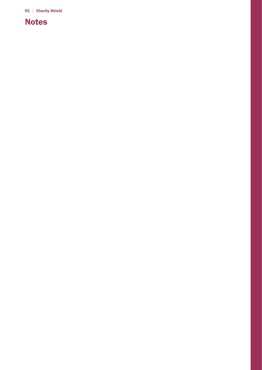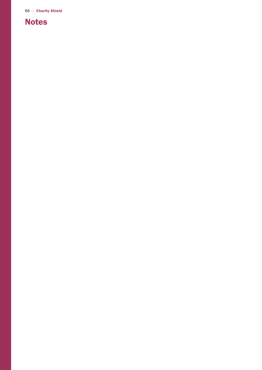# Notes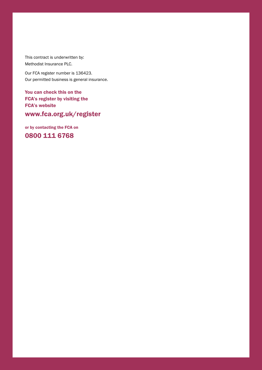This contract is underwritten by: Methodist Insurance PLC.

 Our FCA register number is 136423. Our permitted business is general insurance.

You can check this on the FCA's register by visiting the FCA's website

<www.fca.org.uk/register>

or by contacting the FCA on

0800 111 6768